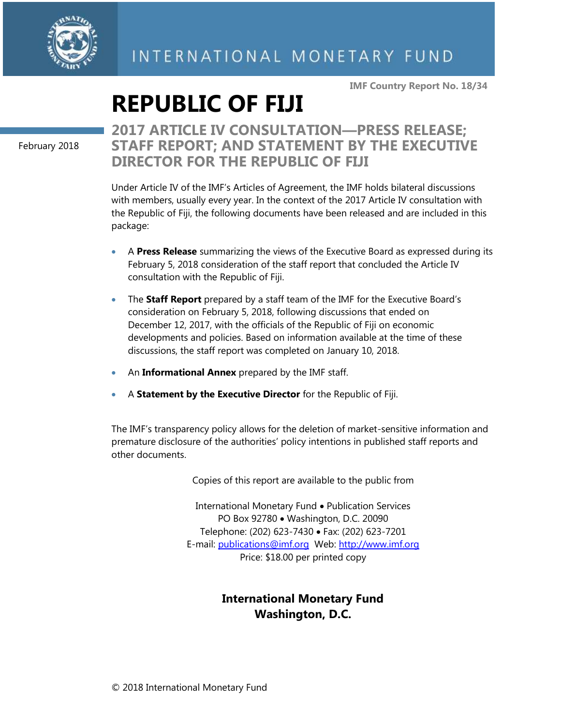

**IMF Country Report No. 18/34**

# **REPUBLIC OF FIJI**

February 2018

# **2017 ARTICLE IV CONSULTATION—PRESS RELEASE; STAFF REPORT; AND STATEMENT BY THE EXECUTIVE DIRECTOR FOR THE REPUBLIC OF FIJI**

Under Article IV of the IMF's Articles of Agreement, the IMF holds bilateral discussions with members, usually every year. In the context of the 2017 Article IV consultation with the Republic of Fiji, the following documents have been released and are included in this package:

- A **Press Release** summarizing the views of the Executive Board as expressed during its February 5, 2018 consideration of the staff report that concluded the Article IV consultation with the Republic of Fiji.
- The **Staff Report** prepared by a staff team of the IMF for the Executive Board's consideration on February 5, 2018, following discussions that ended on December 12, 2017, with the officials of the Republic of Fiji on economic developments and policies. Based on information available at the time of these discussions, the staff report was completed on January 10, 2018.
- An **Informational Annex** prepared by the IMF staff.
- A **Statement by the Executive Director** for the Republic of Fiji.

The IMF's transparency policy allows for the deletion of market-sensitive information and premature disclosure of the authorities' policy intentions in published staff reports and other documents.

Copies of this report are available to the public from

International Monetary Fund • Publication Services PO Box 92780 • Washington, D.C. 20090 Telephone: (202) 623-7430 • Fax: (202) 623-7201 E-mail: [publications@imf.org](mailto:publications@imf.org) Web: [http://www.imf.org](http://www.imf.org/) Price: \$18.00 per printed copy

# **International Monetary Fund Washington, D.C.**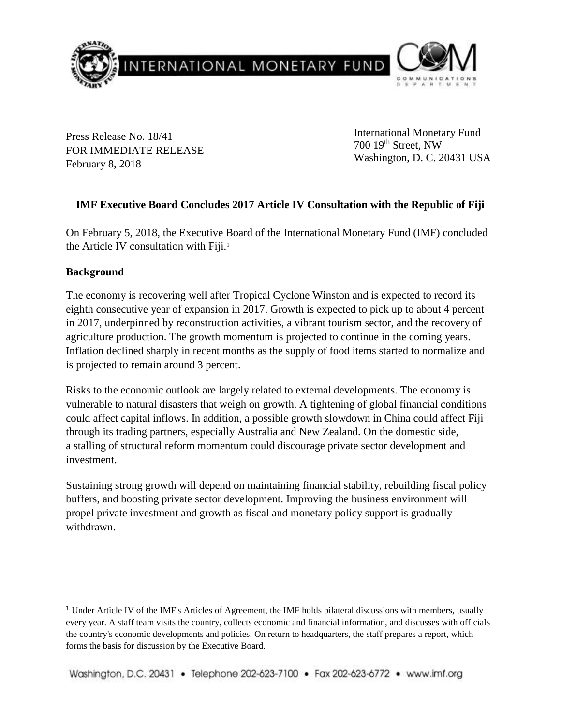

Press Release No. 18/41 FOR IMMEDIATE RELEASE February 8, 2018

International Monetary Fund 700 19th Street, NW Washington, D. C. 20431 USA

# **IMF Executive Board Concludes 2017 Article IV Consultation with the Republic of Fiji**

On February 5, 2018, the Executive Board of the International Monetary Fund (IMF) concluded the Article IV consultation with Fiji.<sup>1</sup>

# **Background**

 $\overline{a}$ 

The economy is recovering well after Tropical Cyclone Winston and is expected to record its eighth consecutive year of expansion in 2017. Growth is expected to pick up to about 4 percent in 2017, underpinned by reconstruction activities, a vibrant tourism sector, and the recovery of agriculture production. The growth momentum is projected to continue in the coming years. Inflation declined sharply in recent months as the supply of food items started to normalize and is projected to remain around 3 percent.

Risks to the economic outlook are largely related to external developments. The economy is vulnerable to natural disasters that weigh on growth. A tightening of global financial conditions could affect capital inflows. In addition, a possible growth slowdown in China could affect Fiji through its trading partners, especially Australia and New Zealand. On the domestic side, a stalling of structural reform momentum could discourage private sector development and investment.

Sustaining strong growth will depend on maintaining financial stability, rebuilding fiscal policy buffers, and boosting private sector development. Improving the business environment will propel private investment and growth as fiscal and monetary policy support is gradually withdrawn.

<sup>&</sup>lt;sup>1</sup> Under Article IV of the IMF's Articles of Agreement, the IMF holds bilateral discussions with members, usually every year. A staff team visits the country, collects economic and financial information, and discusses with officials the country's economic developments and policies. On return to headquarters, the staff prepares a report, which forms the basis for discussion by the Executive Board.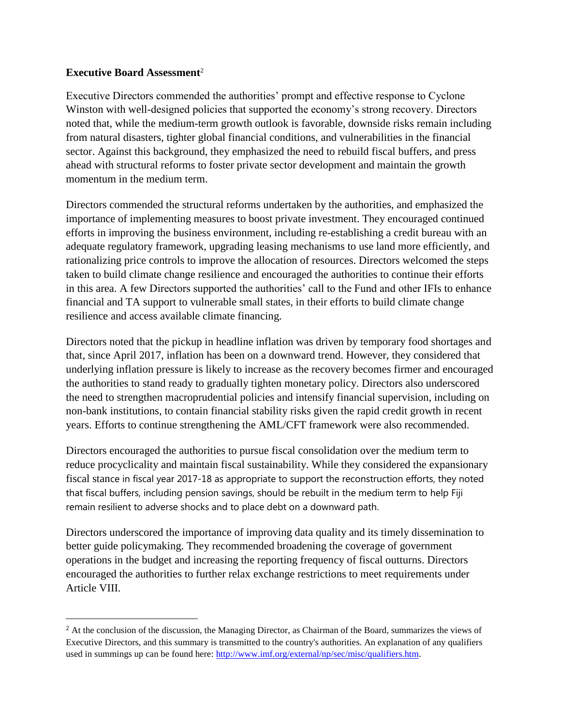# **Executive Board Assessment**<sup>2</sup>

 $\overline{a}$ 

Executive Directors commended the authorities' prompt and effective response to Cyclone Winston with well-designed policies that supported the economy's strong recovery. Directors noted that, while the medium-term growth outlook is favorable, downside risks remain including from natural disasters, tighter global financial conditions, and vulnerabilities in the financial sector. Against this background, they emphasized the need to rebuild fiscal buffers, and press ahead with structural reforms to foster private sector development and maintain the growth momentum in the medium term.

Directors commended the structural reforms undertaken by the authorities, and emphasized the importance of implementing measures to boost private investment. They encouraged continued efforts in improving the business environment, including re-establishing a credit bureau with an adequate regulatory framework, upgrading leasing mechanisms to use land more efficiently, and rationalizing price controls to improve the allocation of resources. Directors welcomed the steps taken to build climate change resilience and encouraged the authorities to continue their efforts in this area. A few Directors supported the authorities' call to the Fund and other IFIs to enhance financial and TA support to vulnerable small states, in their efforts to build climate change resilience and access available climate financing.

Directors noted that the pickup in headline inflation was driven by temporary food shortages and that, since April 2017, inflation has been on a downward trend. However, they considered that underlying inflation pressure is likely to increase as the recovery becomes firmer and encouraged the authorities to stand ready to gradually tighten monetary policy. Directors also underscored the need to strengthen macroprudential policies and intensify financial supervision, including on non-bank institutions, to contain financial stability risks given the rapid credit growth in recent years. Efforts to continue strengthening the AML/CFT framework were also recommended.

Directors encouraged the authorities to pursue fiscal consolidation over the medium term to reduce procyclicality and maintain fiscal sustainability. While they considered the expansionary fiscal stance in fiscal year 2017-18 as appropriate to support the reconstruction efforts, they noted that fiscal buffers, including pension savings, should be rebuilt in the medium term to help Fiji remain resilient to adverse shocks and to place debt on a downward path.

Directors underscored the importance of improving data quality and its timely dissemination to better guide policymaking. They recommended broadening the coverage of government operations in the budget and increasing the reporting frequency of fiscal outturns. Directors encouraged the authorities to further relax exchange restrictions to meet requirements under Article VIII.

<sup>&</sup>lt;sup>2</sup> At the conclusion of the discussion, the Managing Director, as Chairman of the Board, summarizes the views of Executive Directors, and this summary is transmitted to the country's authorities. An explanation of any qualifiers used in summings up can be found here: [http://www.imf.org/external/np/sec/misc/qualifiers.htm.](http://www.imf.org/external/np/sec/misc/qualifiers.htm)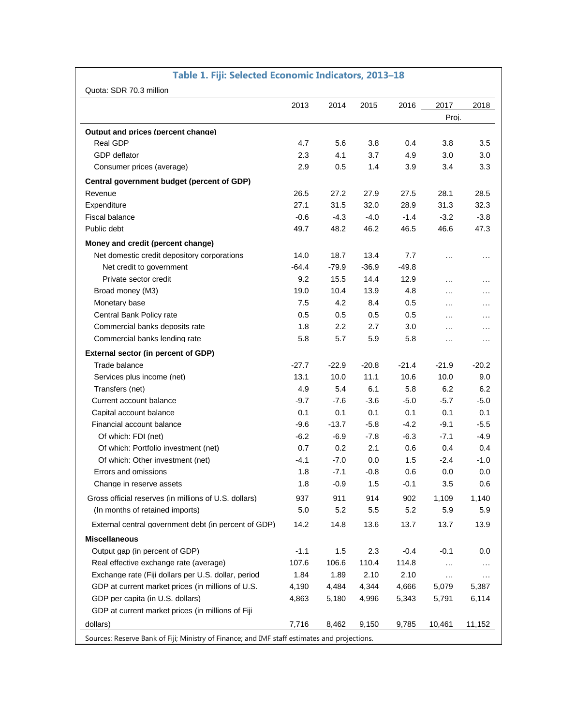|                                                       | 2013    | 2014    | 2015    | 2016    | 2017      | 2018     |
|-------------------------------------------------------|---------|---------|---------|---------|-----------|----------|
|                                                       |         |         |         |         | Proj.     |          |
| Output and prices (percent change)                    |         |         |         |         |           |          |
| <b>Real GDP</b>                                       | 4.7     | 5.6     | 3.8     | 0.4     | 3.8       | 3.5      |
| GDP deflator                                          | 2.3     | 4.1     | 3.7     | 4.9     | 3.0       | 3.0      |
| Consumer prices (average)                             | 2.9     | 0.5     | 1.4     | 3.9     | 3.4       | 3.3      |
| Central government budget (percent of GDP)            |         |         |         |         |           |          |
| Revenue                                               | 26.5    | 27.2    | 27.9    | 27.5    | 28.1      | 28.5     |
| Expenditure                                           | 27.1    | 31.5    | 32.0    | 28.9    | 31.3      | 32.3     |
| <b>Fiscal balance</b>                                 | $-0.6$  | -4.3    | $-4.0$  | $-1.4$  | $-3.2$    | $-3.8$   |
| Public debt                                           | 49.7    | 48.2    | 46.2    | 46.5    | 46.6      | 47.3     |
| Money and credit (percent change)                     |         |         |         |         |           |          |
| Net domestic credit depository corporations           | 14.0    | 18.7    | 13.4    | 7.7     | .         | $\cdots$ |
| Net credit to government                              | $-64.4$ | $-79.9$ | $-36.9$ | $-49.8$ |           |          |
| Private sector credit                                 | 9.2     | 15.5    | 14.4    | 12.9    | $\ddotsc$ | $\cdot$  |
| Broad money (M3)                                      | 19.0    | 10.4    | 13.9    | 4.8     | .         |          |
| Monetary base                                         | 7.5     | 4.2     | 8.4     | 0.5     | .         | $\cdots$ |
| Central Bank Policy rate                              | 0.5     | 0.5     | 0.5     | 0.5     | .         | $\cdots$ |
| Commercial banks deposits rate                        | 1.8     | $2.2\,$ | 2.7     | 3.0     | .         | $\cdots$ |
| Commercial banks lending rate                         | 5.8     | 5.7     | 5.9     | 5.8     | $\cdots$  | $\ldots$ |
| External sector (in percent of GDP)                   |         |         |         |         |           |          |
| Trade balance                                         | $-27.7$ | $-22.9$ | $-20.8$ | $-21.4$ | -21.9     | $-20.2$  |
| Services plus income (net)                            | 13.1    | 10.0    | 11.1    | 10.6    | 10.0      | 9.0      |
| Transfers (net)                                       | 4.9     | 5.4     | 6.1     | 5.8     | 6.2       | 6.2      |
| Current account balance                               | $-9.7$  | $-7.6$  | $-3.6$  | $-5.0$  | $-5.7$    | $-5.0$   |
| Capital account balance                               | 0.1     | 0.1     | 0.1     | 0.1     | 0.1       | 0.1      |
| Financial account balance                             | $-9.6$  | $-13.7$ | $-5.8$  | $-4.2$  | $-9.1$    | $-5.5$   |
| Of which: FDI (net)                                   | -6.2    | $-6.9$  | $-7.8$  | $-6.3$  | $-7.1$    | $-4.9$   |
| Of which: Portfolio investment (net)                  | 0.7     | 0.2     | 2.1     | 0.6     | 0.4       | 0.4      |
| Of which: Other investment (net)                      | $-4.1$  | $-7.0$  | 0.0     | 1.5     | $-2.4$    | $-1.0$   |
| Errors and omissions                                  | 1.8     | $-7.1$  | $-0.8$  | 0.6     | 0.0       | 0.0      |
| Change in reserve assets                              | 1.8     | $-0.9$  | 1.5     | $-0.1$  | 3.5       | 0.6      |
| Gross official reserves (in millions of U.S. dollars) | 937     | 911     | 914     | 902     | 1,109     | 1,140    |
| (In months of retained imports)                       | 5.0     | 5.2     | 5.5     | 5.2     | 5.9       | 5.9      |
| External central government debt (in percent of GDP)  | 14.2    | 14.8    | 13.6    | 13.7    | 13.7      | 13.9     |
| <b>Miscellaneous</b>                                  |         |         |         |         |           |          |
| Output gap (in percent of GDP)                        | $-1.1$  | 1.5     | 2.3     | $-0.4$  | $-0.1$    | 0.0      |
| Real effective exchange rate (average)                | 107.6   | 106.6   | 110.4   | 114.8   | $\sim$    | $\cdots$ |
| Exchange rate (Fiji dollars per U.S. dollar, period   | 1.84    | 1.89    | 2.10    | 2.10    | $\ddotsc$ | $\ldots$ |
| GDP at current market prices (in millions of U.S.     | 4,190   | 4,484   | 4,344   | 4,666   | 5,079     | 5,387    |
| GDP per capita (in U.S. dollars)                      | 4,863   | 5,180   | 4,996   | 5,343   | 5,791     | 6,114    |
| GDP at current market prices (in millions of Fiji     |         |         |         |         |           |          |
| dollars)                                              | 7,716   | 8,462   | 9,150   | 9,785   | 10,461    | 11,152   |

## **Table 1. Fiji: Selected Economic Indicators, 2013–18**

 $\mathsf{l}$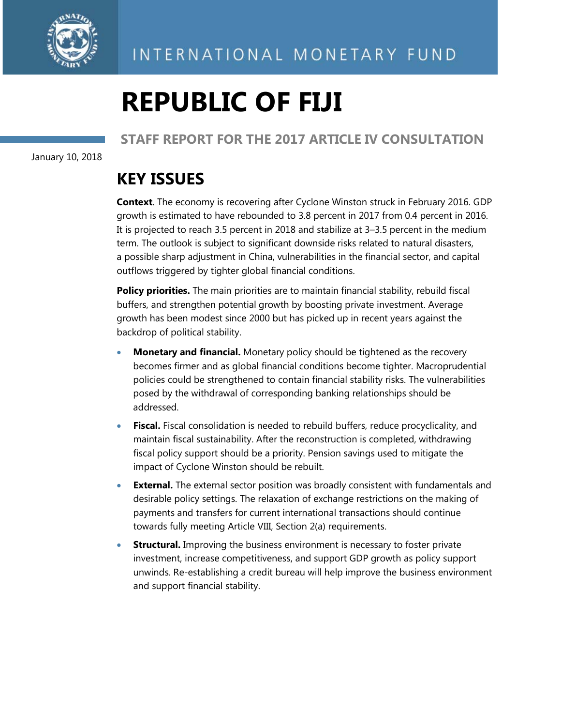

# **REPUBLIC OF FIJI**

# **STAFF REPORT FOR THE 2017 ARTICLE IV CONSULTATION**

January 10, 2018

# **KEY ISSUES**

**Context**. The economy is recovering after Cyclone Winston struck in February 2016. GDP growth is estimated to have rebounded to 3.8 percent in 2017 from 0.4 percent in 2016. It is projected to reach 3.5 percent in 2018 and stabilize at 3–3.5 percent in the medium term. The outlook is subject to significant downside risks related to natural disasters, a possible sharp adjustment in China, vulnerabilities in the financial sector, and capital outflows triggered by tighter global financial conditions.

**Policy priorities.** The main priorities are to maintain financial stability, rebuild fiscal buffers, and strengthen potential growth by boosting private investment. Average growth has been modest since 2000 but has picked up in recent years against the backdrop of political stability.

- **Monetary and financial.** Monetary policy should be tightened as the recovery becomes firmer and as global financial conditions become tighter. Macroprudential policies could be strengthened to contain financial stability risks. The vulnerabilities posed by the withdrawal of corresponding banking relationships should be addressed.
- **Fiscal.** Fiscal consolidation is needed to rebuild buffers, reduce procyclicality, and maintain fiscal sustainability. After the reconstruction is completed, withdrawing fiscal policy support should be a priority. Pension savings used to mitigate the impact of Cyclone Winston should be rebuilt.
- **External.** The external sector position was broadly consistent with fundamentals and desirable policy settings. The relaxation of exchange restrictions on the making of payments and transfers for current international transactions should continue towards fully meeting Article VIII, Section 2(a) requirements.
- **Structural.** Improving the business environment is necessary to foster private investment, increase competitiveness, and support GDP growth as policy support unwinds. Re-establishing a credit bureau will help improve the business environment and support financial stability.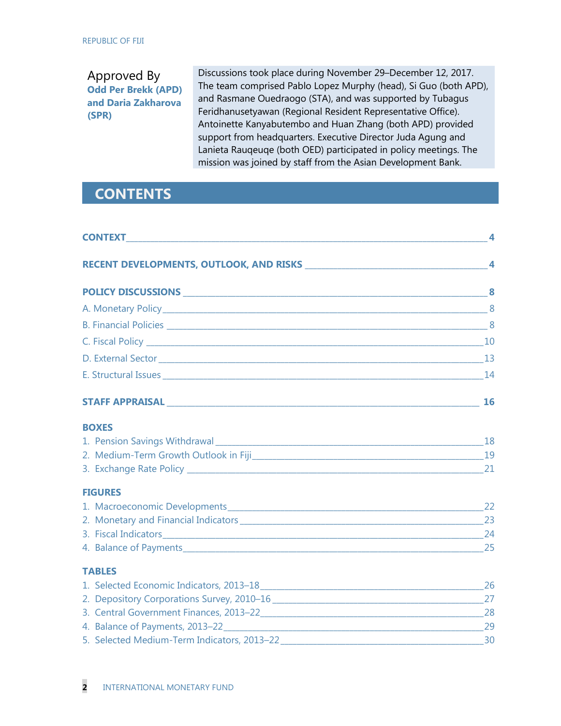# Approved By **Odd Per Brekk (APD) and Daria Zakharova (SPR)**

Discussions took place during November 29–December 12, 2017. The team comprised Pablo Lopez Murphy (head), Si Guo (both APD), and Rasmane Ouedraogo (STA), and was supported by Tubagus Feridhanusetyawan (Regional Resident Representative Office). Antoinette Kanyabutembo and Huan Zhang (both APD) provided support from headquarters. Executive Director Juda Agung and Lanieta Rauqeuqe (both OED) participated in policy meetings. The mission was joined by staff from the Asian Development Bank.

# **CONTENTS**

|                                        | 4         |
|----------------------------------------|-----------|
|                                        |           |
|                                        |           |
|                                        |           |
|                                        |           |
|                                        |           |
|                                        |           |
|                                        |           |
| <b>STAFF APPRAISAL STAFF APPRAISAL</b> | <b>16</b> |
| <b>BOXES</b>                           |           |
|                                        |           |
|                                        |           |
|                                        |           |
| <b>FIGURES</b>                         |           |
|                                        |           |
|                                        |           |
|                                        |           |
|                                        |           |
| <b>TABLES</b>                          |           |
|                                        |           |
|                                        |           |
|                                        |           |
|                                        |           |
|                                        |           |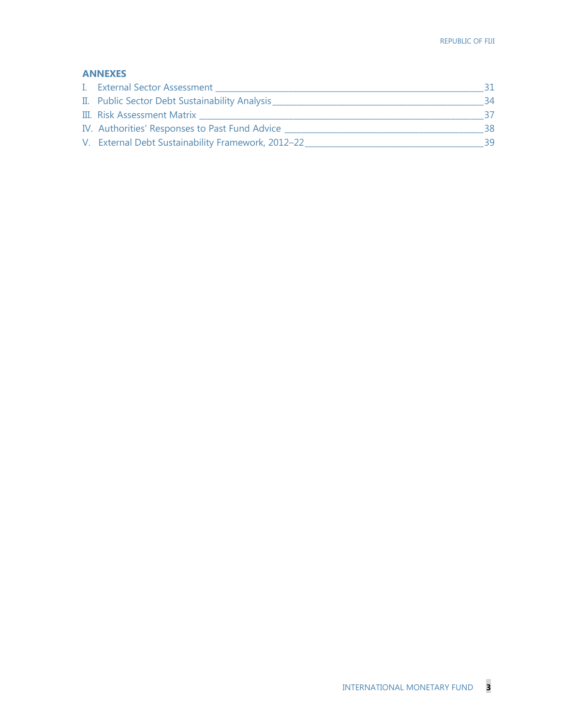# **ANNEXES**

| I. External Sector Assessment                      |    |
|----------------------------------------------------|----|
| II. Public Sector Debt Sustainability Analysis     | 34 |
| III. Risk Assessment Matrix                        |    |
| IV. Authorities' Responses to Past Fund Advice     | 38 |
| V. External Debt Sustainability Framework, 2012-22 | 39 |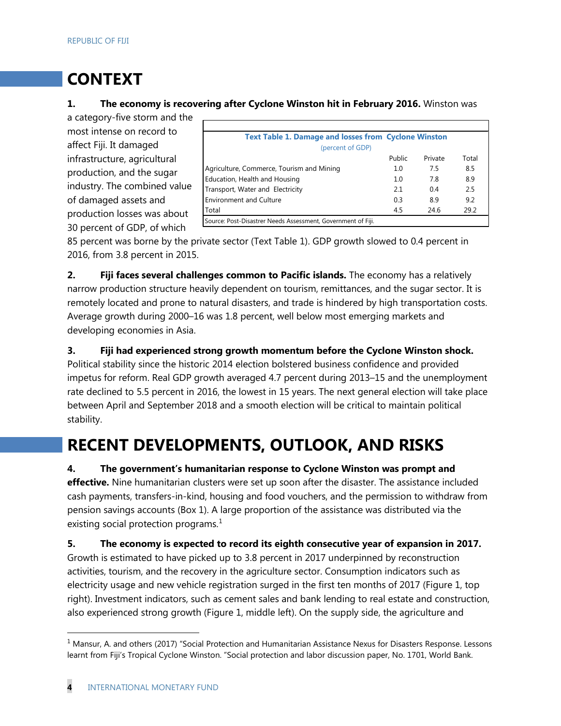# **CONTEXT**

## **1. The economy is recovering after Cyclone Winston hit in February 2016.** Winston was

a category-five storm and the most intense on record to affect Fiji. It damaged infrastructure, agricultural production, and the sugar industry. The combined value of damaged assets and production losses was about 30 percent of GDP, of which

| <b>Text Table 1. Damage and losses from Cyclone Winston</b>  |        |         |       |
|--------------------------------------------------------------|--------|---------|-------|
| (percent of GDP)                                             |        |         |       |
|                                                              | Public | Private | Total |
| Agriculture, Commerce, Tourism and Mining                    | 1.0    | 7.5     | 8.5   |
| Education, Health and Housing                                | 1.0    | 78      | 8.9   |
| Transport, Water and Electricity                             | 2.1    | 0.4     | 2.5   |
| <b>Environment and Culture</b>                               | 0.3    | 8.9     | 9.2   |
| Total                                                        | 4.5    | 24.6    | 29.2  |
| Source: Post-Disastrer Needs Assessment, Government of Fiji. |        |         |       |

Source: Post-Disastrer Needs Assessment, Government of Fiji.

85 percent was borne by the private sector (Text Table 1). GDP growth slowed to 0.4 percent in 2016, from 3.8 percent in 2015.

**2. Fiji faces several challenges common to Pacific islands.** The economy has a relatively narrow production structure heavily dependent on tourism, remittances, and the sugar sector. It is remotely located and prone to natural disasters, and trade is hindered by high transportation costs. Average growth during 2000–16 was 1.8 percent, well below most emerging markets and developing economies in Asia.

**3. Fiji had experienced strong growth momentum before the Cyclone Winston shock.** 

Political stability since the historic 2014 election bolstered business confidence and provided impetus for reform. Real GDP growth averaged 4.7 percent during 2013–15 and the unemployment rate declined to 5.5 percent in 2016, the lowest in 15 years. The next general election will take place between April and September 2018 and a smooth election will be critical to maintain political stability.

# **RECENT DEVELOPMENTS, OUTLOOK, AND RISKS**

**4. The government's humanitarian response to Cyclone Winston was prompt and** 

**effective.** Nine humanitarian clusters were set up soon after the disaster. The assistance included cash payments, transfers-in-kind, housing and food vouchers, and the permission to withdraw from pension savings accounts (Box 1). A large proportion of the assistance was distributed via the existing social protection programs. $<sup>1</sup>$  $<sup>1</sup>$  $<sup>1</sup>$ </sup>

**5. The economy is expected to record its eighth consecutive year of expansion in 2017.**  Growth is estimated to have picked up to 3.8 percent in 2017 underpinned by reconstruction activities, tourism, and the recovery in the agriculture sector. Consumption indicators such as electricity usage and new vehicle registration surged in the first ten months of 2017 (Figure 1, top right). Investment indicators, such as cement sales and bank lending to real estate and construction, also experienced strong growth (Figure 1, middle left). On the supply side, the agriculture and

<span id="page-7-0"></span><sup>&</sup>lt;sup>1</sup> Mansur, A. and others (2017) "Social Protection and Humanitarian Assistance Nexus for Disasters Response. Lessons learnt from Fiji's Tropical Cyclone Winston. "Social protection and labor discussion paper, No. 1701, World Bank.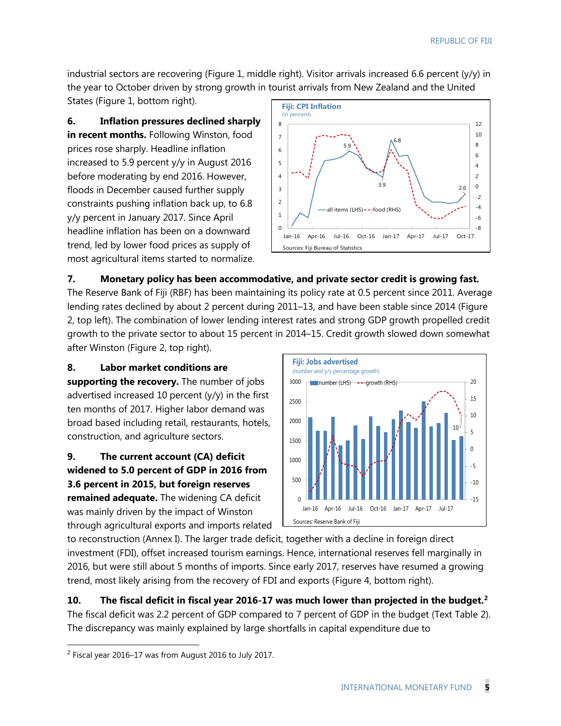industrial sectors are recovering (Figure 1, middle right). Visitor arrivals increased 6.6 percent (y/y) in the year to October driven by strong growth in tourist arrivals from New Zealand and the United States (Figure 1, bottom right).

**6. Inflation pressures declined sharply in recent months.** Following Winston, food prices rose sharply. Headline inflation increased to 5.9 percent y/y in August 2016 before moderating by end 2016. However, floods in December caused further supply constraints pushing inflation back up, to 6.8 y/y percent in January 2017. Since April headline inflation has been on a downward trend, led by lower food prices as supply of most agricultural items started to normalize.



# **7. Monetary policy has been accommodative, and private sector credit is growing fast.**

The Reserve Bank of Fiji (RBF) has been maintaining its policy rate at 0.5 percent since 2011. Average lending rates declined by about 2 percent during 2011–13, and have been stable since 2014 (Figure 2, top left). The combination of lower lending interest rates and strong GDP growth propelled credit growth to the private sector to about 15 percent in 2014–15. Credit growth slowed down somewhat after Winston (Figure 2, top right).

**8. Labor market conditions are** 

**supporting the recovery.** The number of jobs advertised increased 10 percent (y/y) in the first ten months of 2017. Higher labor demand was broad based including retail, restaurants, hotels, construction, and agriculture sectors.

**9. The current account (CA) deficit widened to 5.0 percent of GDP in 2016 from 3.6 percent in 2015, but foreign reserves remained adequate.** The widening CA deficit was mainly driven by the impact of Winston through agricultural exports and imports related



to reconstruction (Annex I). The larger trade deficit, together with a decline in foreign direct investment (FDI), offset increased tourism earnings. Hence, international reserves fell marginally in 2016, but were still about 5 months of imports. Since early 2017, reserves have resumed a growing trend, most likely arising from the recovery of FDI and exports (Figure 4, bottom right).

**10. The fiscal deficit in fiscal year 2016-17 was much lower than projected in the budget.[2](#page-8-0)** The fiscal deficit was 2.2 percent of GDP compared to 7 percent of GDP in the budget (Text Table 2). The discrepancy was mainly explained by large shortfalls in capital expenditure due to

<span id="page-8-0"></span> <sup>2</sup> Fiscal year 2016–17 was from August 2016 to July 2017.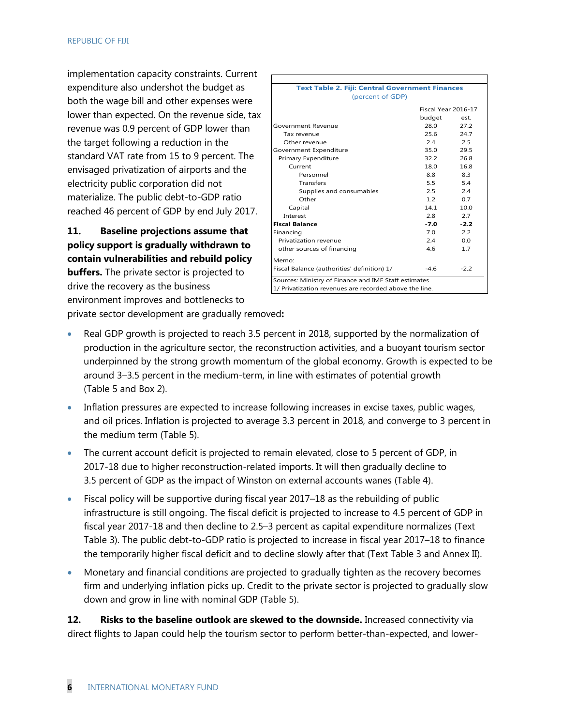implementation capacity constraints. Current expenditure also undershot the budget as both the wage bill and other expenses were lower than expected. On the revenue side, tax revenue was 0.9 percent of GDP lower than the target following a reduction in the standard VAT rate from 15 to 9 percent. The envisaged privatization of airports and the electricity public corporation did not materialize. The public debt-to-GDP ratio reached 46 percent of GDP by end July 2017.

**11. Baseline projections assume that policy support is gradually withdrawn to contain vulnerabilities and rebuild policy** 

**buffers.** The private sector is projected to drive the recovery as the business environment improves and bottlenecks to

| <b>Text Table 2. Fiji: Central Government Finances</b> |                     |        |
|--------------------------------------------------------|---------------------|--------|
| (percent of GDP)                                       |                     |        |
|                                                        | Fiscal Year 2016-17 |        |
|                                                        | budget              | est.   |
| Government Revenue                                     | 28.0                | 27.2   |
| Tax revenue                                            | 25.6                | 247    |
| Other revenue                                          | 24                  | 2.5    |
| Government Expenditure                                 | 35.0                | 29.5   |
| Primary Expenditure                                    | 32.2                | 26.8   |
| Current                                                | 18 O                | 16.8   |
| Personnel                                              | 8.8                 | 8.3    |
| <b>Transfers</b>                                       | $5.5 -$             | 5.4    |
| Supplies and consumables                               | 2.5                 | 24     |
| Other                                                  | 12                  | 0.7    |
| Capital                                                | 141                 | 10.0   |
| Interest                                               | 2.8                 | 2.7    |
| <b>Fiscal Balance</b>                                  | -7.0                | $-2.2$ |
| Financing                                              | 7 O                 | 2.2    |
| Privatization revenue                                  | 2.4                 | 0.0    |
| other sources of financing                             | 4.6                 | 1.7    |
| Memo:                                                  |                     |        |
| Fiscal Balance (authorities' definition) 1/            | $-4.6$              | $-2.2$ |
| Sources: Ministry of Finance and IMF Staff estimates   |                     |        |
| 1/ Privatization revenues are recorded above the line. |                     |        |
|                                                        |                     |        |

private sector development are gradually removed**:**

- Real GDP growth is projected to reach 3.5 percent in 2018, supported by the normalization of production in the agriculture sector, the reconstruction activities, and a buoyant tourism sector underpinned by the strong growth momentum of the global economy. Growth is expected to be around 3–3.5 percent in the medium-term, in line with estimates of potential growth (Table 5 and Box 2).
- Inflation pressures are expected to increase following increases in excise taxes, public wages, and oil prices. Inflation is projected to average 3.3 percent in 2018, and converge to 3 percent in the medium term (Table 5).
- The current account deficit is projected to remain elevated, close to 5 percent of GDP, in 2017-18 due to higher reconstruction-related imports. It will then gradually decline to 3.5 percent of GDP as the impact of Winston on external accounts wanes (Table 4).
- Fiscal policy will be supportive during fiscal year 2017–18 as the rebuilding of public infrastructure is still ongoing. The fiscal deficit is projected to increase to 4.5 percent of GDP in fiscal year 2017-18 and then decline to 2.5–3 percent as capital expenditure normalizes (Text Table 3). The public debt-to-GDP ratio is projected to increase in fiscal year 2017–18 to finance the temporarily higher fiscal deficit and to decline slowly after that (Text Table 3 and Annex II).
- Monetary and financial conditions are projected to gradually tighten as the recovery becomes firm and underlying inflation picks up. Credit to the private sector is projected to gradually slow down and grow in line with nominal GDP (Table 5).

12. Risks to the baseline outlook are skewed to the downside. Increased connectivity via direct flights to Japan could help the tourism sector to perform better-than-expected, and lower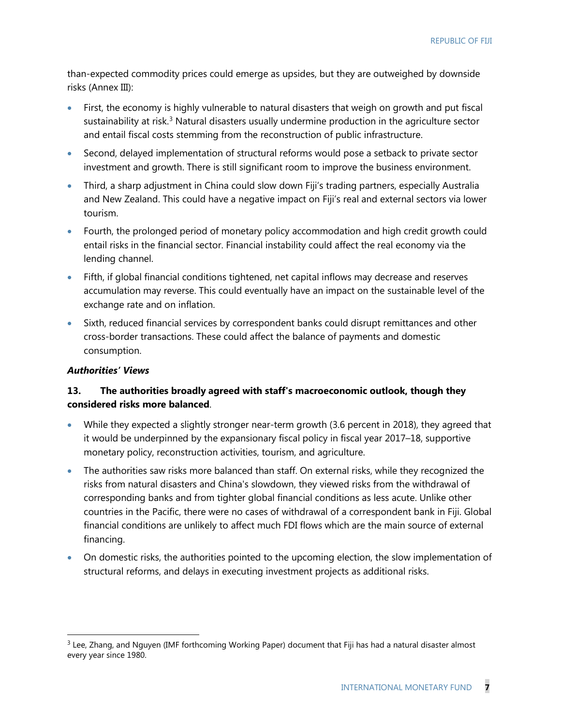than-expected commodity prices could emerge as upsides, but they are outweighed by downside risks (Annex III):

- First, the economy is highly vulnerable to natural disasters that weigh on growth and put fiscal sustainability at risk.<sup>[3](#page-10-0)</sup> Natural disasters usually undermine production in the agriculture sector and entail fiscal costs stemming from the reconstruction of public infrastructure.
- Second, delayed implementation of structural reforms would pose a setback to private sector investment and growth. There is still significant room to improve the business environment.
- Third, a sharp adjustment in China could slow down Fiji's trading partners, especially Australia and New Zealand. This could have a negative impact on Fiji's real and external sectors via lower tourism.
- Fourth, the prolonged period of monetary policy accommodation and high credit growth could entail risks in the financial sector. Financial instability could affect the real economy via the lending channel.
- Fifth, if global financial conditions tightened, net capital inflows may decrease and reserves accumulation may reverse. This could eventually have an impact on the sustainable level of the exchange rate and on inflation.
- Sixth, reduced financial services by correspondent banks could disrupt remittances and other cross-border transactions. These could affect the balance of payments and domestic consumption.

# *Authorities' Views*

# **13. The authorities broadly agreed with staff's macroeconomic outlook, though they considered risks more balanced**.

- While they expected a slightly stronger near-term growth (3.6 percent in 2018), they agreed that it would be underpinned by the expansionary fiscal policy in fiscal year 2017–18, supportive monetary policy, reconstruction activities, tourism, and agriculture.
- The authorities saw risks more balanced than staff. On external risks, while they recognized the risks from natural disasters and China's slowdown, they viewed risks from the withdrawal of corresponding banks and from tighter global financial conditions as less acute. Unlike other countries in the Pacific, there were no cases of withdrawal of a correspondent bank in Fiji. Global financial conditions are unlikely to affect much FDI flows which are the main source of external financing.
- On domestic risks, the authorities pointed to the upcoming election, the slow implementation of structural reforms, and delays in executing investment projects as additional risks.

<span id="page-10-0"></span> $3$  Lee, Zhang, and Nguyen (IMF forthcoming Working Paper) document that Fiji has had a natural disaster almost every year since 1980.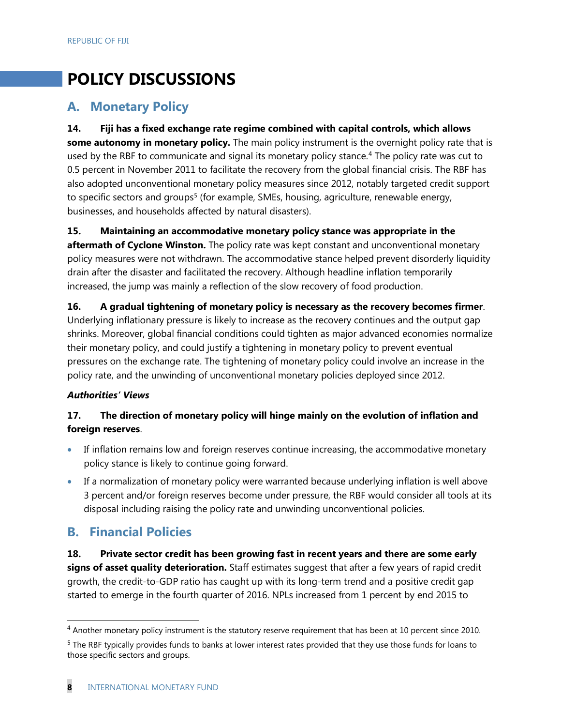# **POLICY DISCUSSIONS**

# **A. Monetary Policy**

**14. Fiji has a fixed exchange rate regime combined with capital controls, which allows some autonomy in monetary policy.** The main policy instrument is the overnight policy rate that is used by the RBF to communicate and signal its monetary policy stance. [4](#page-11-0) The policy rate was cut to 0.5 percent in November 2011 to facilitate the recovery from the global financial crisis. The RBF has also adopted unconventional monetary policy measures since 2012, notably targeted credit support to specific sectors and groups<sup>[5](#page-11-1)</sup> (for example, SMEs, housing, agriculture, renewable energy, businesses, and households affected by natural disasters).

**15. Maintaining an accommodative monetary policy stance was appropriate in the** 

**aftermath of Cyclone Winston.** The policy rate was kept constant and unconventional monetary policy measures were not withdrawn. The accommodative stance helped prevent disorderly liquidity drain after the disaster and facilitated the recovery. Although headline inflation temporarily increased, the jump was mainly a reflection of the slow recovery of food production.

**16. A gradual tightening of monetary policy is necessary as the recovery becomes firmer**. Underlying inflationary pressure is likely to increase as the recovery continues and the output gap shrinks. Moreover, global financial conditions could tighten as major advanced economies normalize their monetary policy, and could justify a tightening in monetary policy to prevent eventual pressures on the exchange rate. The tightening of monetary policy could involve an increase in the policy rate, and the unwinding of unconventional monetary policies deployed since 2012.

# *Authorities' Views*

# **17. The direction of monetary policy will hinge mainly on the evolution of inflation and foreign reserves**.

- If inflation remains low and foreign reserves continue increasing, the accommodative monetary policy stance is likely to continue going forward.
- If a normalization of monetary policy were warranted because underlying inflation is well above 3 percent and/or foreign reserves become under pressure, the RBF would consider all tools at its disposal including raising the policy rate and unwinding unconventional policies.

# **B. Financial Policies**

**18. Private sector credit has been growing fast in recent years and there are some early signs of asset quality deterioration.** Staff estimates suggest that after a few years of rapid credit growth, the credit-to-GDP ratio has caught up with its long-term trend and a positive credit gap started to emerge in the fourth quarter of 2016. NPLs increased from 1 percent by end 2015 to

<span id="page-11-0"></span><sup>&</sup>lt;sup>4</sup> Another monetary policy instrument is the statutory reserve requirement that has been at 10 percent since 2010.

<span id="page-11-1"></span><sup>&</sup>lt;sup>5</sup> The RBF typically provides funds to banks at lower interest rates provided that they use those funds for loans to those specific sectors and groups.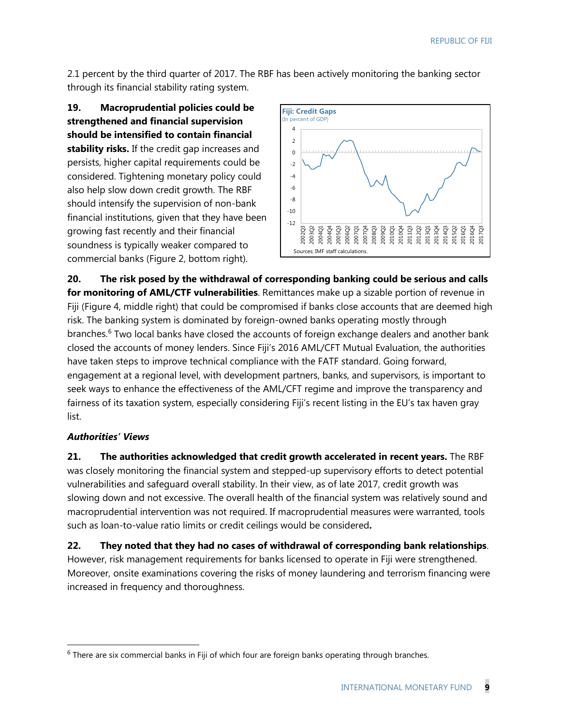2.1 percent by the third quarter of 2017. The RBF has been actively monitoring the banking sector through its financial stability rating system.

**19. Macroprudential policies could be strengthened and financial supervision should be intensified to contain financial stability risks.** If the credit gap increases and persists, higher capital requirements could be considered. Tightening monetary policy could also help slow down credit growth. The RBF should intensify the supervision of non-bank financial institutions, given that they have been growing fast recently and their financial soundness is typically weaker compared to commercial banks (Figure 2, bottom right).



**20. The risk posed by the withdrawal of corresponding banking could be serious and calls for monitoring of AML/CTF vulnerabilities**. Remittances make up a sizable portion of revenue in Fiji (Figure 4, middle right) that could be compromised if banks close accounts that are deemed high risk. The banking system is dominated by foreign-owned banks operating mostly through branches.<sup>[6](#page-12-0)</sup> Two local banks have closed the accounts of foreign exchange dealers and another bank closed the accounts of money lenders. Since Fiji's 2016 AML/CFT Mutual Evaluation, the authorities have taken steps to improve technical compliance with the FATF standard. Going forward, engagement at a regional level, with development partners, banks, and supervisors, is important to seek ways to enhance the effectiveness of the AML/CFT regime and improve the transparency and fairness of its taxation system, especially considering Fiji's recent listing in the EU's tax haven gray list.

# *Authorities' Views*

**21. The authorities acknowledged that credit growth accelerated in recent years.** The RBF was closely monitoring the financial system and stepped-up supervisory efforts to detect potential vulnerabilities and safeguard overall stability. In their view, as of late 2017, credit growth was slowing down and not excessive. The overall health of the financial system was relatively sound and macroprudential intervention was not required. If macroprudential measures were warranted, tools such as loan-to-value ratio limits or credit ceilings would be considered**.**

#### **22. They noted that they had no cases of withdrawal of corresponding bank relationships**.

However, risk management requirements for banks licensed to operate in Fiji were strengthened. Moreover, onsite examinations covering the risks of money laundering and terrorism financing were increased in frequency and thoroughness.

<span id="page-12-0"></span> $6$  There are six commercial banks in Fiji of which four are foreign banks operating through branches.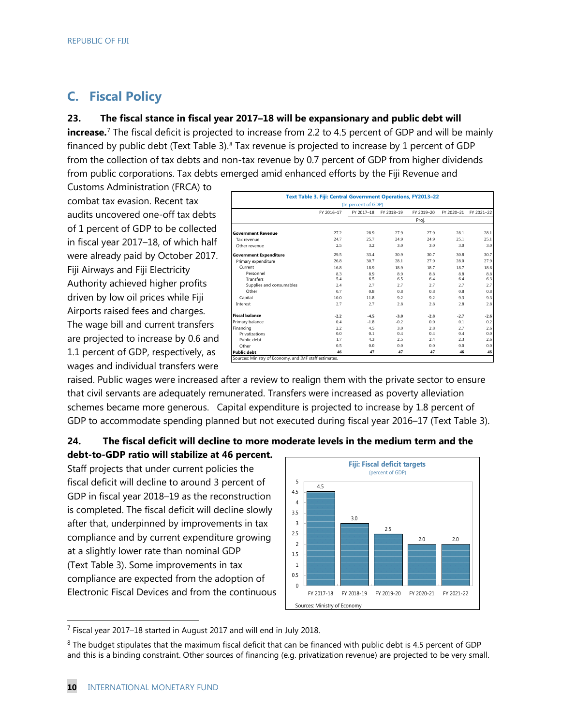# **C. Fiscal Policy**

#### **23. The fiscal stance in fiscal year 2017–18 will be expansionary and public debt will**

**increase.**<sup>[7](#page-13-0)</sup> The fiscal deficit is projected to increase from 2.2 to 4.5 percent of GDP and will be mainly financed by public debt (Text Table 3). $8$  Tax revenue is projected to increase by 1 percent of GDP from the collection of tax debts and non-tax revenue by 0.7 percent of GDP from higher dividends from public corporations. Tax debts emerged amid enhanced efforts by the Fiji Revenue and

Customs Administration (FRCA) to combat tax evasion. Recent tax audits uncovered one-off tax debts of 1 percent of GDP to be collected in fiscal year 2017–18, of which half were already paid by October 2017. Fiji Airways and Fiji Electricity Authority achieved higher profits driven by low oil prices while Fiji Airports raised fees and charges. The wage bill and current transfers are projected to increase by 0.6 and 1.1 percent of GDP, respectively, as wages and individual transfers were

|                               | Text Table 3. Fiji: Central Government Operations, FY2013-22 |            |            |            |                |            |  |  |  |  |  |
|-------------------------------|--------------------------------------------------------------|------------|------------|------------|----------------|------------|--|--|--|--|--|
| (In percent of GDP)           |                                                              |            |            |            |                |            |  |  |  |  |  |
|                               | FY 2016-17                                                   | FY 2017-18 | FY 2018-19 | FY 2019-20 | FY 2020-21     | FY 2021-22 |  |  |  |  |  |
|                               |                                                              |            |            | Proj.      |                |            |  |  |  |  |  |
| <b>Government Revenue</b>     | 27.2                                                         | 28.9       | 27.9       | 27.9       | 28.1           | 28.1       |  |  |  |  |  |
| Tax revenue                   | 24.7                                                         | 25.7       | 24.9       | 24.9       | 25.1           | 25.1       |  |  |  |  |  |
| Other revenue                 | 2.5                                                          | 3.2        | 3.0        | 3.0        | 3.0            | 3.0        |  |  |  |  |  |
| <b>Government Expenditure</b> | 29.5                                                         | 33.4       | 30.9       | 30.7       | 30.8           | 30.7       |  |  |  |  |  |
| Primary expenditure           | 26.8                                                         | 30.7       | 28.1       | 27.9       | 28.0           | 27.9       |  |  |  |  |  |
| Current                       | 16.8                                                         | 18.9       | 18.9       | 18.7       | 18.7           | 18.6       |  |  |  |  |  |
| Personnel                     | 8.3                                                          | 8.9        | 8.9        | 8.8        | 8.8            | 8.8        |  |  |  |  |  |
| Transfers                     | 5.4                                                          | 6.5        | 6.5        | 6.4        | 6.4            | 6.3        |  |  |  |  |  |
| Supplies and consumables      | 2.4                                                          | 2.7        | 2.7        | 2.7        | 2.7            | 2.7        |  |  |  |  |  |
| Other                         | 0.7                                                          | 0.8        | 0.8        | 0.8        | 0.8            | 0.8        |  |  |  |  |  |
| Capital                       | 10.0                                                         | 11.8       | 9.2        | 9.2        | 9.3            | 9.3        |  |  |  |  |  |
| Interest                      | 2.7                                                          | 2.7        | 2.8        | 2.8        | 2.8            | 2.8        |  |  |  |  |  |
| <b>Fiscal balance</b>         | $-2.2$                                                       | $-4.5$     | $-3.0$     | $-2.8$     | $-2.7$         | $-2.6$     |  |  |  |  |  |
| Primary balance               | 0.4                                                          | $-1.8$     | $-0.2$     | 0.0        | 0.1            | 0.2        |  |  |  |  |  |
| Financing                     | 2.2                                                          | 4.5        | 3.0        | 2.8        | 2.7            | 2.6        |  |  |  |  |  |
| Privatizations                | 0.0                                                          | 0.1        | 0.4        | 0.4        | 0.4            | 0.0        |  |  |  |  |  |
| Public debt                   | 1.7                                                          | 43         | 2.5        | 2.4        | 2.3            | 2.6        |  |  |  |  |  |
| Other                         | 0.5                                                          | 0.0        | 0.0        | 0.0        | 0 <sub>0</sub> | 0.0        |  |  |  |  |  |
| <b>Public debt</b>            | 46                                                           | 47         | 47         | 47         | 46             | 46         |  |  |  |  |  |

raised. Public wages were increased after a review to realign them with the private sector to ensure that civil servants are adequately remunerated. Transfers were increased as poverty alleviation schemes became more generous. Capital expenditure is projected to increase by 1.8 percent of GDP to accommodate spending planned but not executed during fiscal year 2016–17 (Text Table 3).

## **24. The fiscal deficit will decline to more moderate levels in the medium term and the debt-to-GDP ratio will stabilize at 46 percent.**

Staff projects that under current policies the fiscal deficit will decline to around 3 percent of GDP in fiscal year 2018–19 as the reconstruction is completed. The fiscal deficit will decline slowly after that, underpinned by improvements in tax compliance and by current expenditure growing at a slightly lower rate than nominal GDP (Text Table 3). Some improvements in tax compliance are expected from the adoption of Electronic Fiscal Devices and from the continuous



<span id="page-13-0"></span>7 Fiscal year 2017–18 started in August 2017 and will end in July 2018.

<span id="page-13-1"></span><sup>&</sup>lt;sup>8</sup> The budget stipulates that the maximum fiscal deficit that can be financed with public debt is 4.5 percent of GDP and this is a binding constraint. Other sources of financing (e.g. privatization revenue) are projected to be very small.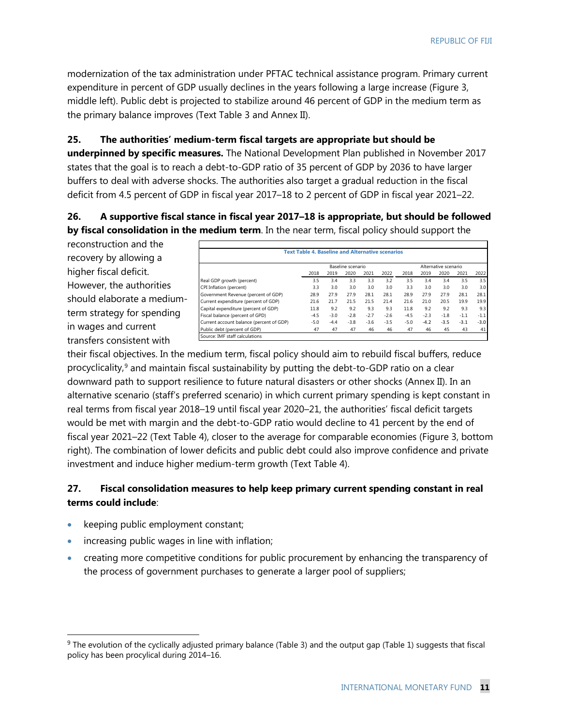modernization of the tax administration under PFTAC technical assistance program. Primary current expenditure in percent of GDP usually declines in the years following a large increase (Figure 3, middle left). Public debt is projected to stabilize around 46 percent of GDP in the medium term as the primary balance improves (Text Table 3 and Annex II).

## **25. The authorities' medium-term fiscal targets are appropriate but should be**

**underpinned by specific measures.** The National Development Plan published in November 2017 states that the goal is to reach a debt-to-GDP ratio of 35 percent of GDP by 2036 to have larger buffers to deal with adverse shocks. The authorities also target a gradual reduction in the fiscal deficit from 4.5 percent of GDP in fiscal year 2017–18 to 2 percent of GDP in fiscal year 2021–22.

# **26. A supportive fiscal stance in fiscal year 2017–18 is appropriate, but should be followed by fiscal consolidation in the medium term**. In the near term, fiscal policy should support the

reconstruction and the recovery by allowing a higher fiscal deficit. However, the authorities should elaborate a mediumterm strategy for spending in wages and current transfers consistent with

|                                          | <b>Text Table 4. Baseline and Alternative scenarios</b> |        |                   |        |        |        |        |                      |        |        |
|------------------------------------------|---------------------------------------------------------|--------|-------------------|--------|--------|--------|--------|----------------------|--------|--------|
|                                          |                                                         |        | Baseline scenario |        |        |        |        | Alternative scenario |        |        |
|                                          | 2018                                                    | 2019   | 2020              | 2021   | 2022   | 2018   | 2019   | 2020                 | 2021   | 2022   |
| Real GDP growth (percent)                | 3.5                                                     | 3.4    | 3.3               | 3.3    | 3.2    | 3.5    | 3.4    | 3.4                  | 3.5    | 3.5    |
| CPI Inflation (percent)                  | 3.3                                                     | 3.0    | 3.0               | 3.0    | 3.0    | 3.3    | 3.0    | 3.0                  | 3.0    | 3.0    |
| Government Revenue (percent of GDP)      | 28.9                                                    | 27.9   | 27.9              | 28.1   | 28.1   | 28.9   | 27.9   | 27.9                 | 28.1   | 28.1   |
| Current expenditure (percent of GDP)     | 21.6                                                    | 21.7   | 21.5              | 21.5   | 21.4   | 21.6   | 21.0   | 20.5                 | 19.9   | 19.9   |
| Capital expenditure (percent of GDP)     | 11.8                                                    | 9.2    | 9.2               | 9.3    | 9.3    | 11.8   | 9.2    | 9.2                  | 9.3    | 9.3    |
| Fiscal balance (percent of GPD)          | $-4.5$                                                  | $-3.0$ | $-2.8$            | $-2.7$ | $-2.6$ | $-4.5$ | $-2.3$ | $-1.8$               | $-1.1$ | $-1.1$ |
| Current account balance (percent of GDP) | $-5.0$                                                  | $-4.4$ | $-3.8$            | $-3.6$ | $-3.5$ | $-5.0$ | $-4.2$ | $-3.5$               | $-3.1$ | $-3.0$ |
| Public debt (percent of GDP)             | 47                                                      | 47     | 47                | 46     | 46     | 47     | 46     | 45                   | 43     | 41     |

their fiscal objectives. In the medium term, fiscal policy should aim to rebuild fiscal buffers, reduce procyclicality, [9](#page-14-0) and maintain fiscal sustainability by putting the debt-to-GDP ratio on a clear downward path to support resilience to future natural disasters or other shocks (Annex II). In an alternative scenario (staff's preferred scenario) in which current primary spending is kept constant in real terms from fiscal year 2018–19 until fiscal year 2020–21, the authorities' fiscal deficit targets would be met with margin and the debt-to-GDP ratio would decline to 41 percent by the end of fiscal year 2021–22 (Text Table 4), closer to the average for comparable economies (Figure 3, bottom right). The combination of lower deficits and public debt could also improve confidence and private investment and induce higher medium-term growth (Text Table 4).

# **27. Fiscal consolidation measures to help keep primary current spending constant in real terms could include**:

- keeping public employment constant;
- increasing public wages in line with inflation;
- creating more competitive conditions for public procurement by enhancing the transparency of the process of government purchases to generate a larger pool of suppliers;

<span id="page-14-0"></span> <sup>9</sup> The evolution of the cyclically adjusted primary balance (Table 3) and the output gap (Table 1) suggests that fiscal policy has been procylical during 2014–16.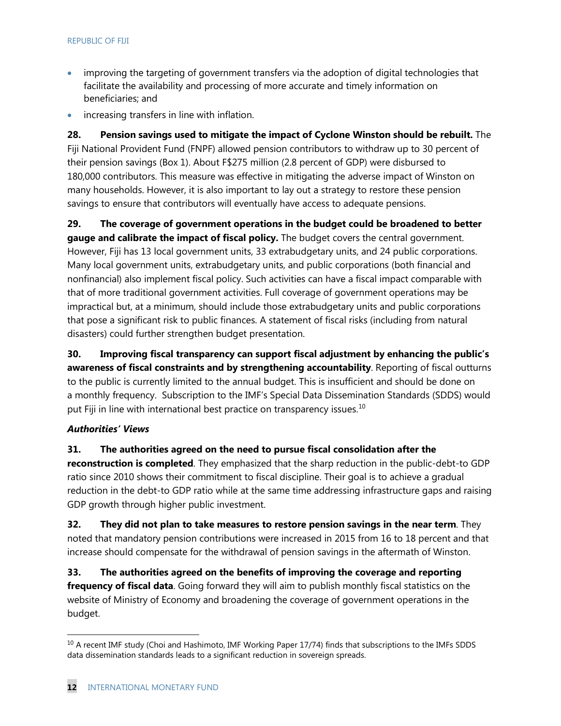- improving the targeting of government transfers via the adoption of digital technologies that facilitate the availability and processing of more accurate and timely information on beneficiaries; and
- increasing transfers in line with inflation.

**28. Pension savings used to mitigate the impact of Cyclone Winston should be rebuilt.** The Fiji National Provident Fund (FNPF) allowed pension contributors to withdraw up to 30 percent of their pension savings (Box 1). About F\$275 million (2.8 percent of GDP) were disbursed to 180,000 contributors. This measure was effective in mitigating the adverse impact of Winston on many households. However, it is also important to lay out a strategy to restore these pension savings to ensure that contributors will eventually have access to adequate pensions.

**29. The coverage of government operations in the budget could be broadened to better gauge and calibrate the impact of fiscal policy.** The budget covers the central government. However, Fiji has 13 local government units, 33 extrabudgetary units, and 24 public corporations. Many local government units, extrabudgetary units, and public corporations (both financial and nonfinancial) also implement fiscal policy. Such activities can have a fiscal impact comparable with that of more traditional government activities. Full coverage of government operations may be impractical but, at a minimum, should include those extrabudgetary units and public corporations that pose a significant risk to public finances. A statement of fiscal risks (including from natural disasters) could further strengthen budget presentation.

**30. Improving fiscal transparency can support fiscal adjustment by enhancing the public's awareness of fiscal constraints and by strengthening accountability**. Reporting of fiscal outturns to the public is currently limited to the annual budget. This is insufficient and should be done on a monthly frequency. Subscription to the IMF's Special Data Dissemination Standards (SDDS) would put Fiji in line with international best practice on transparency issues.<sup>[10](#page-15-0)</sup>

#### *Authorities' Views*

**31. The authorities agreed on the need to pursue fiscal consolidation after the** 

**reconstruction is completed**. They emphasized that the sharp reduction in the public-debt-to GDP ratio since 2010 shows their commitment to fiscal discipline. Their goal is to achieve a gradual reduction in the debt-to GDP ratio while at the same time addressing infrastructure gaps and raising GDP growth through higher public investment.

**32. They did not plan to take measures to restore pension savings in the near term**. They noted that mandatory pension contributions were increased in 2015 from 16 to 18 percent and that increase should compensate for the withdrawal of pension savings in the aftermath of Winston.

**33. The authorities agreed on the benefits of improving the coverage and reporting frequency of fiscal data**. Going forward they will aim to publish monthly fiscal statistics on the website of Ministry of Economy and broadening the coverage of government operations in the budget.

<span id="page-15-0"></span><sup>&</sup>lt;sup>10</sup> A recent IMF study (Choi and Hashimoto, IMF Working Paper 17/74) finds that subscriptions to the IMFs SDDS data dissemination standards leads to a significant reduction in sovereign spreads.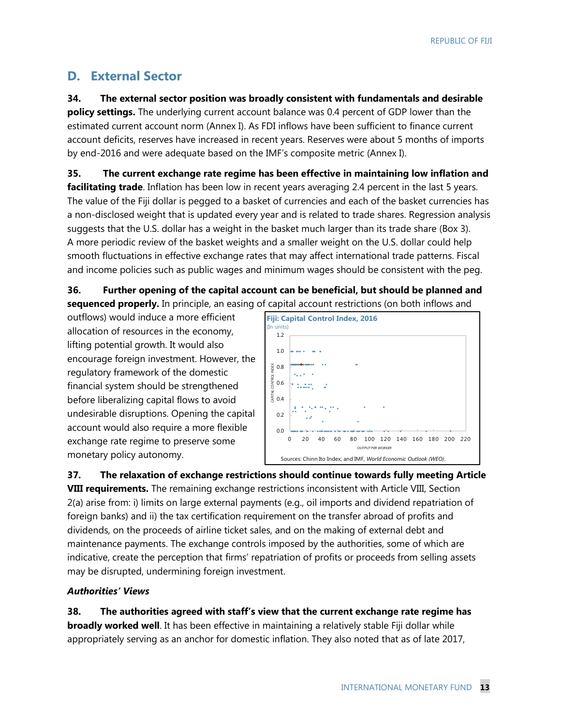# **D. External Sector**

**34. The external sector position was broadly consistent with fundamentals and desirable policy settings.** The underlying current account balance was 0.4 percent of GDP lower than the estimated current account norm (Annex I). As FDI inflows have been sufficient to finance current account deficits, reserves have increased in recent years. Reserves were about 5 months of imports by end-2016 and were adequate based on the IMF's composite metric (Annex I).

**35. The current exchange rate regime has been effective in maintaining low inflation and facilitating trade**. Inflation has been low in recent years averaging 2.4 percent in the last 5 years. The value of the Fiji dollar is pegged to a basket of currencies and each of the basket currencies has a non-disclosed weight that is updated every year and is related to trade shares. Regression analysis suggests that the U.S. dollar has a weight in the basket much larger than its trade share (Box 3). A more periodic review of the basket weights and a smaller weight on the U.S. dollar could help smooth fluctuations in effective exchange rates that may affect international trade patterns. Fiscal and income policies such as public wages and minimum wages should be consistent with the peg.

**36. Further opening of the capital account can be beneficial, but should be planned and sequenced properly.** In principle, an easing of capital account restrictions (on both inflows and

outflows) would induce a more efficient allocation of resources in the economy, lifting potential growth. It would also encourage foreign investment. However, the regulatory framework of the domestic financial system should be strengthened before liberalizing capital flows to avoid undesirable disruptions. Opening the capital account would also require a more flexible exchange rate regime to preserve some monetary policy autonomy.



**37. The relaxation of exchange restrictions should continue towards fully meeting Article VIII requirements.** The remaining exchange restrictions inconsistent with Article VIII, Section 2(a) arise from: i) limits on large external payments (e.g., oil imports and dividend repatriation of foreign banks) and ii) the tax certification requirement on the transfer abroad of profits and dividends, on the proceeds of airline ticket sales, and on the making of external debt and maintenance payments. The exchange controls imposed by the authorities, some of which are indicative, create the perception that firms' repatriation of profits or proceeds from selling assets may be disrupted, undermining foreign investment.

# *Authorities' Views*

**38. The authorities agreed with staff's view that the current exchange rate regime has broadly worked well**. It has been effective in maintaining a relatively stable Fiji dollar while appropriately serving as an anchor for domestic inflation. They also noted that as of late 2017,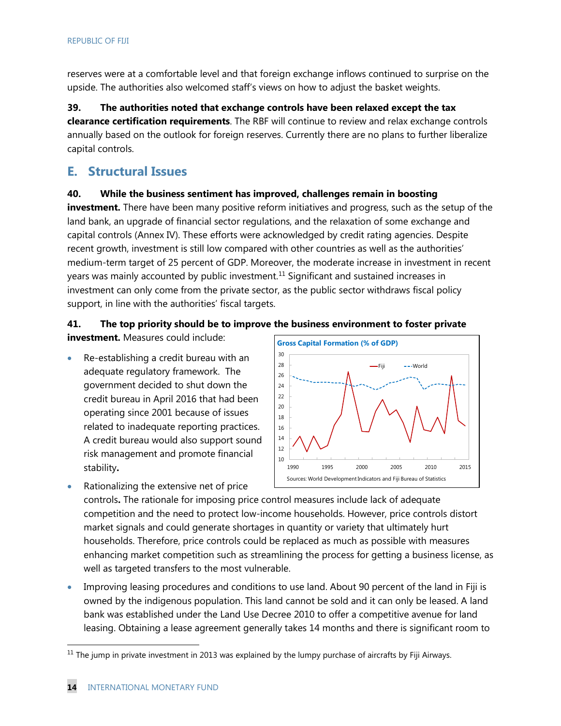reserves were at a comfortable level and that foreign exchange inflows continued to surprise on the upside. The authorities also welcomed staff's views on how to adjust the basket weights.

**39. The authorities noted that exchange controls have been relaxed except the tax clearance certification requirements**. The RBF will continue to review and relax exchange controls annually based on the outlook for foreign reserves. Currently there are no plans to further liberalize capital controls.

# **E. Structural Issues**

# **40. While the business sentiment has improved, challenges remain in boosting**

**investment.** There have been many positive reform initiatives and progress, such as the setup of the land bank, an upgrade of financial sector regulations, and the relaxation of some exchange and capital controls (Annex IV). These efforts were acknowledged by credit rating agencies. Despite recent growth, investment is still low compared with other countries as well as the authorities' medium-term target of 25 percent of GDP. Moreover, the moderate increase in investment in recent years was mainly accounted by public investment.<sup>[11](#page-17-0)</sup> Significant and sustained increases in investment can only come from the private sector, as the public sector withdraws fiscal policy support, in line with the authorities' fiscal targets.

# **41. The top priority should be to improve the business environment to foster private**

**investment.** Measures could include:

• Re-establishing a credit bureau with an adequate regulatory framework. The government decided to shut down the credit bureau in April 2016 that had been operating since 2001 because of issues related to inadequate reporting practices. A credit bureau would also support sound risk management and promote financial stability**.** 

• Rationalizing the extensive net of price



controls**.** The rationale for imposing price control measures include lack of adequate competition and the need to protect low-income households. However, price controls distort market signals and could generate shortages in quantity or variety that ultimately hurt households. Therefore, price controls could be replaced as much as possible with measures enhancing market competition such as streamlining the process for getting a business license, as well as targeted transfers to the most vulnerable.

• Improving leasing procedures and conditions to use land. About 90 percent of the land in Fiji is owned by the indigenous population. This land cannot be sold and it can only be leased. A land bank was established under the Land Use Decree 2010 to offer a competitive avenue for land leasing. Obtaining a lease agreement generally takes 14 months and there is significant room to

<span id="page-17-0"></span> $11$  The jump in private investment in 2013 was explained by the lumpy purchase of aircrafts by Fiji Airways.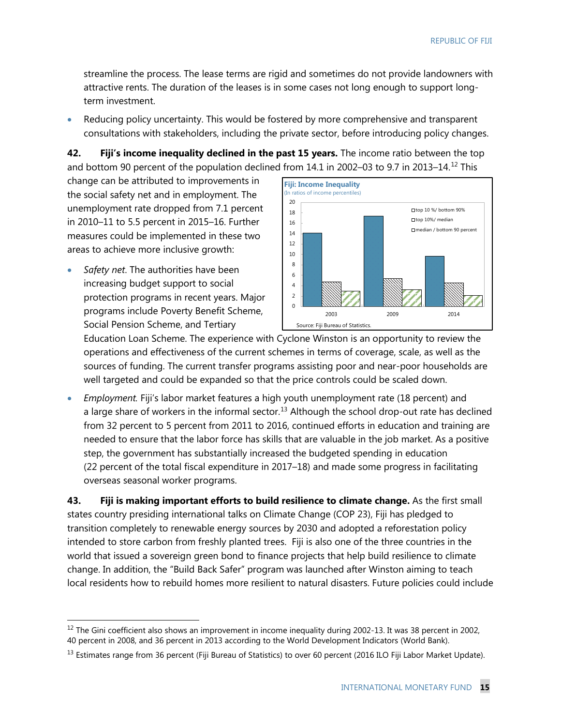streamline the process. The lease terms are rigid and sometimes do not provide landowners with attractive rents. The duration of the leases is in some cases not long enough to support longterm investment.

• Reducing policy uncertainty. This would be fostered by more comprehensive and transparent consultations with stakeholders, including the private sector, before introducing policy changes.

**42. Fiji's income inequality declined in the past 15 years.** The income ratio between the top and bottom 90 percent of the population declined from 14.1 in 2002–03 to 9.7 in 2013–14.<sup>[12](#page-18-0)</sup> This

change can be attributed to improvements in the social safety net and in employment. The unemployment rate dropped from 7.1 percent in 2010–11 to 5.5 percent in 2015–16. Further measures could be implemented in these two areas to achieve more inclusive growth:

• *Safety net*. The authorities have been increasing budget support to social protection programs in recent years. Major programs include Poverty Benefit Scheme, Social Pension Scheme, and Tertiary



Education Loan Scheme. The experience with Cyclone Winston is an opportunity to review the operations and effectiveness of the current schemes in terms of coverage, scale, as well as the sources of funding. The current transfer programs assisting poor and near-poor households are well targeted and could be expanded so that the price controls could be scaled down.

• *Employment.* Fiji's labor market features a high youth unemployment rate (18 percent) and a large share of workers in the informal sector.<sup>13</sup> Although the school drop-out rate has declined from 32 percent to 5 percent from 2011 to 2016, continued efforts in education and training are needed to ensure that the labor force has skills that are valuable in the job market. As a positive step, the government has substantially increased the budgeted spending in education (22 percent of the total fiscal expenditure in 2017–18) and made some progress in facilitating overseas seasonal worker programs.

**43. Fiji is making important efforts to build resilience to climate change.** As the first small states country presiding international talks on Climate Change (COP 23), Fiji has pledged to transition completely to renewable energy sources by 2030 and adopted a reforestation policy intended to store carbon from freshly planted trees. Fiji is also one of the three countries in the world that issued a sovereign green bond to finance projects that help build resilience to climate change. In addition, the "Build Back Safer" program was launched after Winston aiming to teach local residents how to rebuild homes more resilient to natural disasters. Future policies could include

<span id="page-18-0"></span><sup>&</sup>lt;sup>12</sup> The Gini coefficient also shows an improvement in income inequality during 2002-13. It was 38 percent in 2002, 40 percent in 2008, and 36 percent in 2013 according to the World Development Indicators (World Bank).

<span id="page-18-1"></span><sup>&</sup>lt;sup>13</sup> Estimates range from 36 percent (Fiji Bureau of Statistics) to over 60 percent (2016 ILO Fiji Labor Market Update).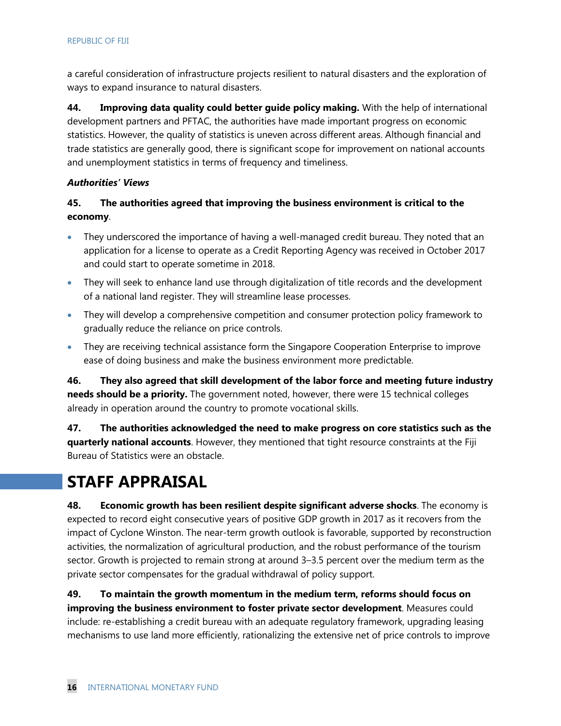a careful consideration of infrastructure projects resilient to natural disasters and the exploration of ways to expand insurance to natural disasters.

**44. Improving data quality could better guide policy making.** With the help of international development partners and PFTAC, the authorities have made important progress on economic statistics. However, the quality of statistics is uneven across different areas. Although financial and trade statistics are generally good, there is significant scope for improvement on national accounts and unemployment statistics in terms of frequency and timeliness.

#### *Authorities' Views*

# **45. The authorities agreed that improving the business environment is critical to the economy**.

- They underscored the importance of having a well-managed credit bureau. They noted that an application for a license to operate as a Credit Reporting Agency was received in October 2017 and could start to operate sometime in 2018.
- They will seek to enhance land use through digitalization of title records and the development of a national land register. They will streamline lease processes.
- They will develop a comprehensive competition and consumer protection policy framework to gradually reduce the reliance on price controls.
- They are receiving technical assistance form the Singapore Cooperation Enterprise to improve ease of doing business and make the business environment more predictable.

**46. They also agreed that skill development of the labor force and meeting future industry needs should be a priority.** The government noted, however, there were 15 technical colleges already in operation around the country to promote vocational skills.

**47. The authorities acknowledged the need to make progress on core statistics such as the quarterly national accounts**. However, they mentioned that tight resource constraints at the Fiji Bureau of Statistics were an obstacle.

# **STAFF APPRAISAL**

**48. Economic growth has been resilient despite significant adverse shocks**. The economy is expected to record eight consecutive years of positive GDP growth in 2017 as it recovers from the impact of Cyclone Winston. The near-term growth outlook is favorable, supported by reconstruction activities, the normalization of agricultural production, and the robust performance of the tourism sector. Growth is projected to remain strong at around 3–3.5 percent over the medium term as the private sector compensates for the gradual withdrawal of policy support.

**49. To maintain the growth momentum in the medium term, reforms should focus on improving the business environment to foster private sector development**. Measures could include: re-establishing a credit bureau with an adequate regulatory framework, upgrading leasing mechanisms to use land more efficiently, rationalizing the extensive net of price controls to improve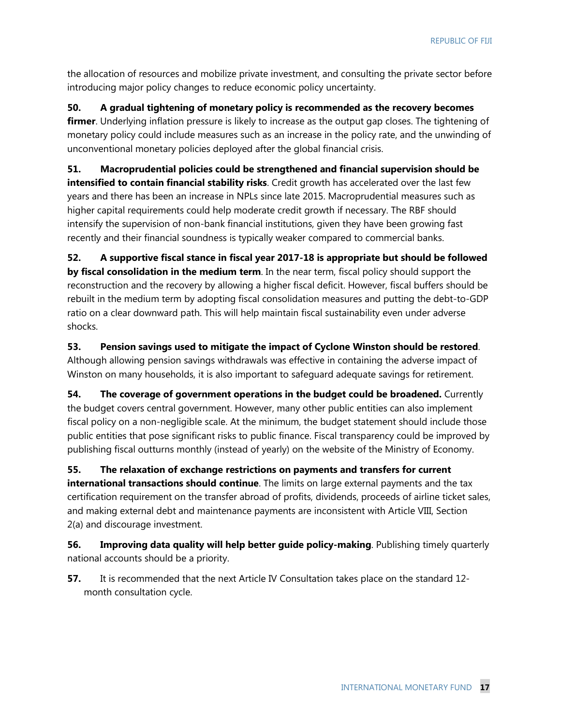the allocation of resources and mobilize private investment, and consulting the private sector before introducing major policy changes to reduce economic policy uncertainty.

**50. A gradual tightening of monetary policy is recommended as the recovery becomes firmer**. Underlying inflation pressure is likely to increase as the output gap closes. The tightening of monetary policy could include measures such as an increase in the policy rate, and the unwinding of unconventional monetary policies deployed after the global financial crisis.

**51. Macroprudential policies could be strengthened and financial supervision should be intensified to contain financial stability risks**. Credit growth has accelerated over the last few years and there has been an increase in NPLs since late 2015. Macroprudential measures such as higher capital requirements could help moderate credit growth if necessary. The RBF should intensify the supervision of non-bank financial institutions, given they have been growing fast recently and their financial soundness is typically weaker compared to commercial banks.

**52. A supportive fiscal stance in fiscal year 2017-18 is appropriate but should be followed by fiscal consolidation in the medium term**. In the near term, fiscal policy should support the reconstruction and the recovery by allowing a higher fiscal deficit. However, fiscal buffers should be rebuilt in the medium term by adopting fiscal consolidation measures and putting the debt-to-GDP ratio on a clear downward path. This will help maintain fiscal sustainability even under adverse shocks.

**53. Pension savings used to mitigate the impact of Cyclone Winston should be restored**. Although allowing pension savings withdrawals was effective in containing the adverse impact of Winston on many households, it is also important to safeguard adequate savings for retirement.

**54.** The coverage of government operations in the budget could be broadened. Currently the budget covers central government. However, many other public entities can also implement fiscal policy on a non-negligible scale. At the minimum, the budget statement should include those public entities that pose significant risks to public finance. Fiscal transparency could be improved by publishing fiscal outturns monthly (instead of yearly) on the website of the Ministry of Economy.

**55. The relaxation of exchange restrictions on payments and transfers for current international transactions should continue**. The limits on large external payments and the tax certification requirement on the transfer abroad of profits, dividends, proceeds of airline ticket sales, and making external debt and maintenance payments are inconsistent with Article VIII, Section 2(a) and discourage investment.

**56. Improving data quality will help better guide policy-making**. Publishing timely quarterly national accounts should be a priority.

**57.** It is recommended that the next Article IV Consultation takes place on the standard 12month consultation cycle.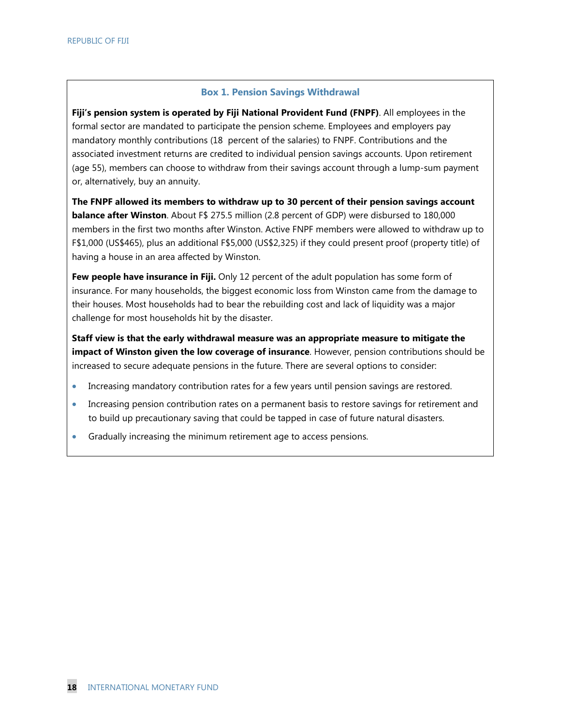#### **Box 1. Pension Savings Withdrawal**

**Fiji's pension system is operated by Fiji National Provident Fund (FNPF)**. All employees in the formal sector are mandated to participate the pension scheme. Employees and employers pay mandatory monthly contributions (18 percent of the salaries) to FNPF. Contributions and the associated investment returns are credited to individual pension savings accounts. Upon retirement (age 55), members can choose to withdraw from their savings account through a lump-sum payment or, alternatively, buy an annuity.

**The FNPF allowed its members to withdraw up to 30 percent of their pension savings account balance after Winston**. About F\$ 275.5 million (2.8 percent of GDP) were disbursed to 180,000 members in the first two months after Winston. Active FNPF members were allowed to withdraw up to F\$1,000 (US\$465), plus an additional F\$5,000 (US\$2,325) if they could present proof (property title) of having a house in an area affected by Winston.

**Few people have insurance in Fiji.** Only 12 percent of the adult population has some form of insurance. For many households, the biggest economic loss from Winston came from the damage to their houses. Most households had to bear the rebuilding cost and lack of liquidity was a major challenge for most households hit by the disaster.

**Staff view is that the early withdrawal measure was an appropriate measure to mitigate the impact of Winston given the low coverage of insurance**. However, pension contributions should be increased to secure adequate pensions in the future. There are several options to consider:

- Increasing mandatory contribution rates for a few years until pension savings are restored.
- Increasing pension contribution rates on a permanent basis to restore savings for retirement and to build up precautionary saving that could be tapped in case of future natural disasters.
- Gradually increasing the minimum retirement age to access pensions.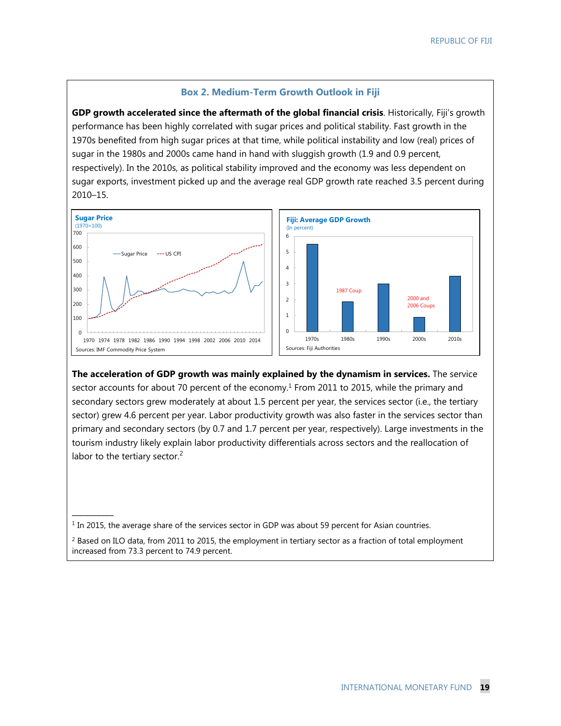#### **Box 2. Medium-Term Growth Outlook in Fiji**

**GDP growth accelerated since the aftermath of the global financial crisis**. Historically, Fiji's growth performance has been highly correlated with sugar prices and political stability. Fast growth in the 1970s benefited from high sugar prices at that time, while political instability and low (real) prices of sugar in the 1980s and 2000s came hand in hand with sluggish growth (1.9 and 0.9 percent, respectively). In the 2010s, as political stability improved and the economy was less dependent on sugar exports, investment picked up and the average real GDP growth rate reached 3.5 percent during 2010–15.



**The acceleration of GDP growth was mainly explained by the dynamism in services.** The service sector accounts for about 70 percent of the economy.<sup>1</sup> From 2011 to 2015, while the primary and secondary sectors grew moderately at about 1.5 percent per year, the services sector (i.e., the tertiary sector) grew 4.6 percent per year. Labor productivity growth was also faster in the services sector than primary and secondary sectors (by 0.7 and 1.7 percent per year, respectively). Large investments in the tourism industry likely explain labor productivity differentials across sectors and the reallocation of labor to the tertiary sector.<sup>2</sup>

\_\_\_\_\_\_\_\_\_\_

<sup>&</sup>lt;sup>1</sup> In 2015, the average share of the services sector in GDP was about 59 percent for Asian countries.

<sup>&</sup>lt;sup>2</sup> Based on ILO data, from 2011 to 2015, the employment in tertiary sector as a fraction of total employment increased from 73.3 percent to 74.9 percent.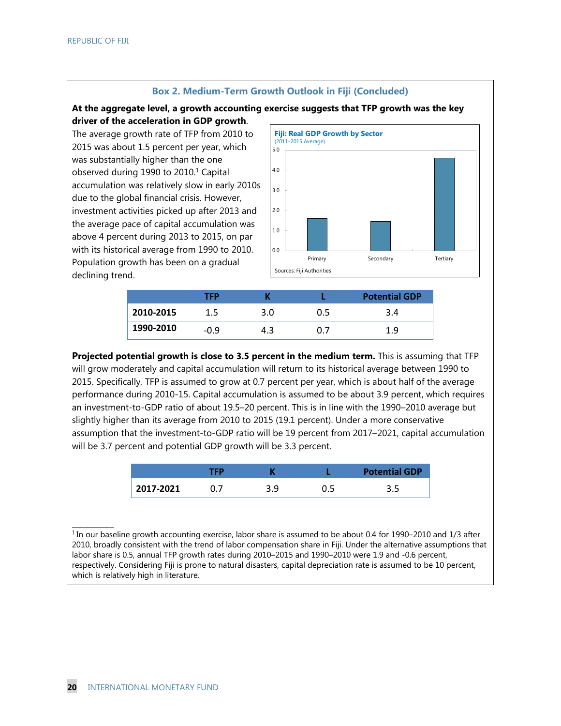#### **Box 2. Medium-Term Growth Outlook in Fiji (Concluded)**

#### **At the aggregate level, a growth accounting exercise suggests that TFP growth was the key driver of the acceleration in GDP growth**.

The average growth rate of TFP from 2010 to 2015 was about 1.5 percent per year, which was substantially higher than the one observed during 1990 to  $2010<sup>1</sup>$  Capital accumulation was relatively slow in early 2010s due to the global financial crisis. However, investment activities picked up after 2013 and the average pace of capital accumulation was above 4 percent during 2013 to 2015, on par with its historical average from 1990 to 2010. Population growth has been on a gradual declining trend.



|           | TFP           |     |     | <b>Potential GDP</b> |
|-----------|---------------|-----|-----|----------------------|
| 2010-2015 | $1.5^{\circ}$ | 3.0 | 0.5 | 3.4                  |
| 1990-2010 | $-0.9$        | 4.3 |     | 1.9                  |

**Projected potential growth is close to 3.5 percent in the medium term.** This is assuming that TFP will grow moderately and capital accumulation will return to its historical average between 1990 to 2015. Specifically, TFP is assumed to grow at 0.7 percent per year, which is about half of the average performance during 2010-15. Capital accumulation is assumed to be about 3.9 percent, which requires an investment-to-GDP ratio of about 19.5–20 percent. This is in line with the 1990–2010 average but slightly higher than its average from 2010 to 2015 (19.1 percent). Under a more conservative assumption that the investment-to-GDP ratio will be 19 percent from 2017–2021, capital accumulation will be 3.7 percent and potential GDP growth will be 3.3 percent.

|           | TЕD |  | <b>Potential GDP</b> |
|-----------|-----|--|----------------------|
| 2017-2021 |     |  |                      |

 $1$  In our baseline growth accounting exercise, labor share is assumed to be about 0.4 for 1990–2010 and 1/3 after 2010, broadly consistent with the trend of labor compensation share in Fiji. Under the alternative assumptions that labor share is 0.5, annual TFP growth rates during 2010–2015 and 1990–2010 were 1.9 and -0.6 percent, respectively. Considering Fiji is prone to natural disasters, capital depreciation rate is assumed to be 10 percent, which is relatively high in literature.

\_\_\_\_\_\_\_\_\_\_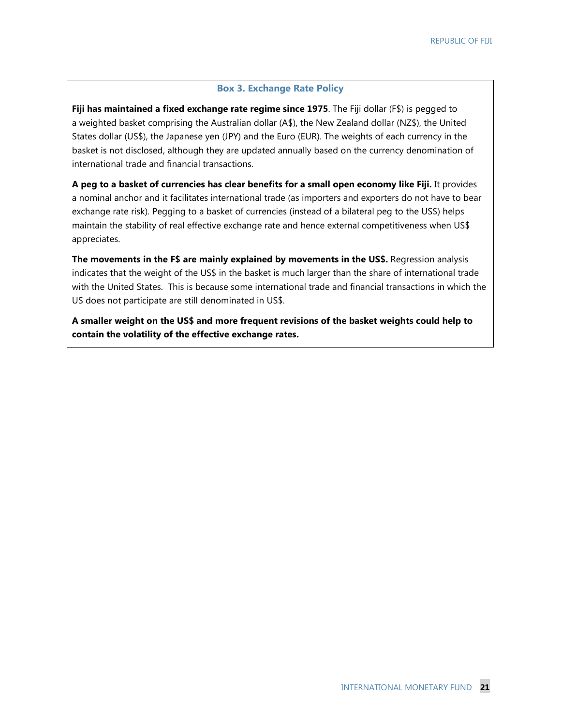#### **Box 3. Exchange Rate Policy**

**Fiji has maintained a fixed exchange rate regime since 1975**. The Fiji dollar (F\$) is pegged to a weighted basket comprising the Australian dollar (A\$), the New Zealand dollar (NZ\$), the United States dollar (US\$), the Japanese yen (JPY) and the Euro (EUR). The weights of each currency in the basket is not disclosed, although they are updated annually based on the currency denomination of international trade and financial transactions.

**A peg to a basket of currencies has clear benefits for a small open economy like Fiji.** It provides a nominal anchor and it facilitates international trade (as importers and exporters do not have to bear exchange rate risk). Pegging to a basket of currencies (instead of a bilateral peg to the US\$) helps maintain the stability of real effective exchange rate and hence external competitiveness when US\$ appreciates.

**The movements in the F\$ are mainly explained by movements in the US\$.** Regression analysis indicates that the weight of the US\$ in the basket is much larger than the share of international trade with the United States. This is because some international trade and financial transactions in which the US does not participate are still denominated in US\$.

**A smaller weight on the US\$ and more frequent revisions of the basket weights could help to contain the volatility of the effective exchange rates.**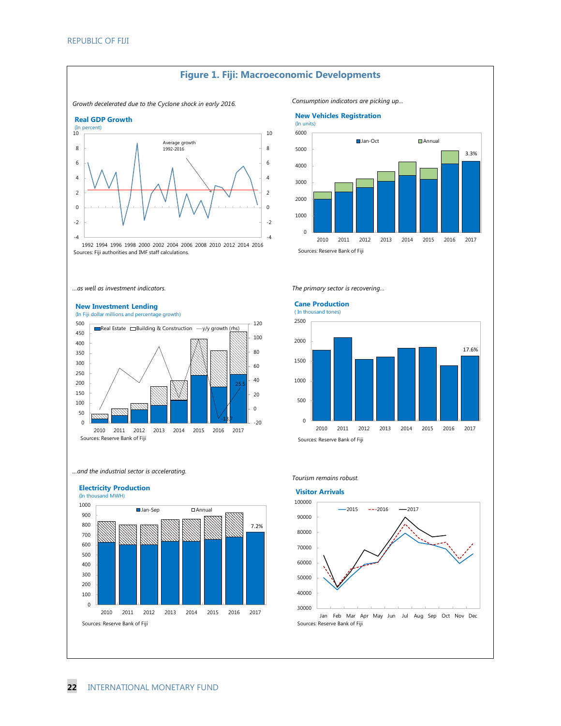#### *Growth decelerated due to the Cyclone shock in early 2016. Consumption indicators are picking up…* -4 -2  $\overline{2}$  -4 -2  $\overline{2}$  (In percent) 1994 1996 1998 2000 2002 2004 2006 2008 2010 2012 2014 2016 **Real GDP Growth** Average growth 1992-2016

 2011 2012 2013 2014 2015 2016 2017 ■ Jan-Oct <br>■ Annual **New Vehicles Registration** (In units) 3.3%

Sources: Fiji authorities and IMF staff calculations.

*…as well as investment indicators. The primary sector is recovering…*

#### **New Investment Lending**



*…and the industrial sector is accelerating.*



#### **Cane Production**

Sources: Reserve Bank of Fiji



*Tourism remains robust.*



Sources: Reserve Bank of Fiji

**Figure 1. Fiji: Macroeconomic Developments**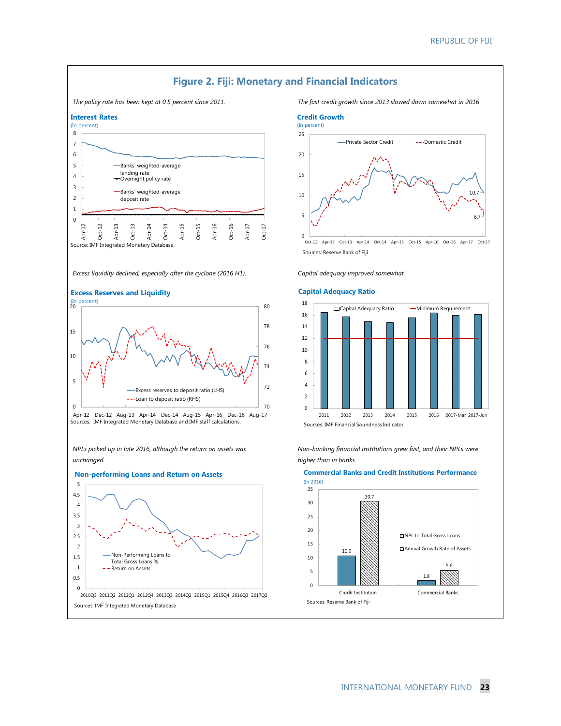$10.7$ 

6.7



INTERNATIONAL MONETARY FUND **23**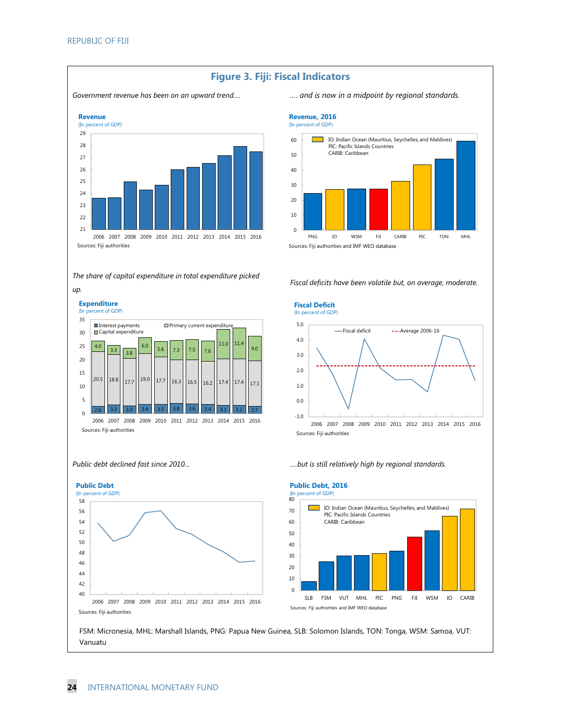

# **Figure 3. Fiji: Fiscal Indicators**

**24** INTERNATIONAL MONETARY FUND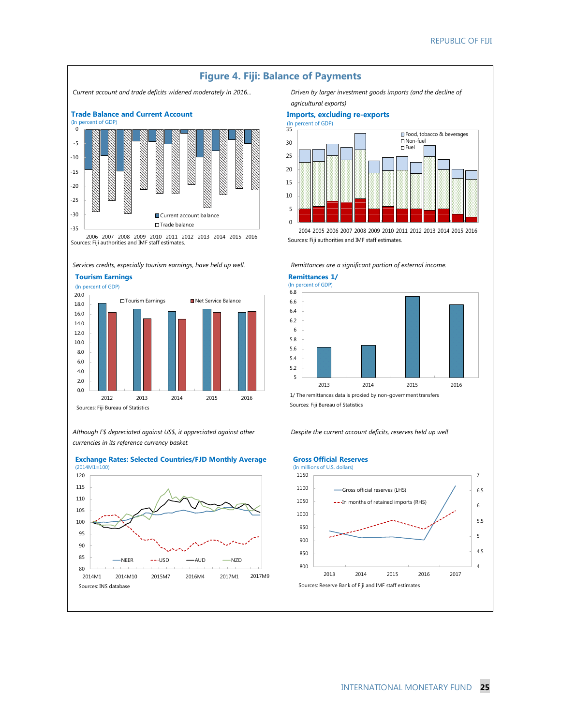

*Services credits, especially tourism earnings, have held up well. Remittances are a significant portion of external income.*

**Tourism Earnings** 



*Although F\$ depreciated against US\$, it appreciated against other currencies in its reference currency basket.* 



**Exchange Rates: Selected Countries/FJD Monthly Average**

*agricultural exports)*

#### **Imports, excluding re-exports**





2004 2005 2006 2007 2008 2009 2010 2011 2012 2013 2014 2015 2016 Sources: Fiji authorities and IMF staff estimates.

**Remittances 1/**



Sources: Fiji Bureau of Statistics

*Despite the current account deficits, reserves held up well* 

#### **Gross Official Reserves**

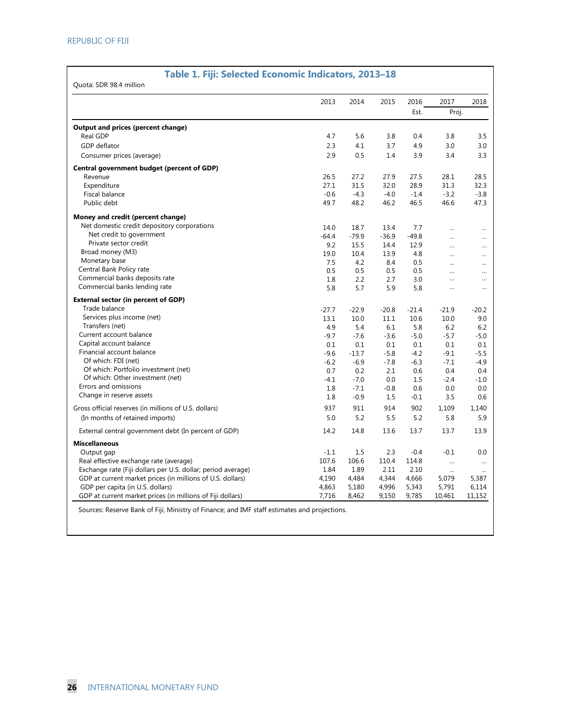# **Table 1. Fiji: Selected Economic Indicators, 2013–18**

|                                                              | 2013    | 2014    | 2015    | 2016    | 2017                 | 2018      |
|--------------------------------------------------------------|---------|---------|---------|---------|----------------------|-----------|
|                                                              |         |         |         | Est.    | Proj.                |           |
| Output and prices (percent change)                           |         |         |         |         |                      |           |
| Real GDP                                                     | 4.7     | 5.6     | 3.8     | 0.4     | 3.8                  | 3.5       |
| GDP deflator                                                 | 2.3     | 4.1     | 3.7     | 4.9     | 3.0                  | 3.0       |
| Consumer prices (average)                                    | 2.9     | 0.5     | 1.4     | 3.9     | 3.4                  | 3.3       |
| Central government budget (percent of GDP)                   |         |         |         |         |                      |           |
| Revenue                                                      | 26.5    | 27.2    | 27.9    | 27.5    | 28.1                 | 28.5      |
| Expenditure                                                  | 27.1    | 31.5    | 32.0    | 28.9    | 31.3                 | 32.3      |
| Fiscal balance                                               | $-0.6$  | $-4.3$  | $-4.0$  | $-1.4$  | $-3.2$               | $-3.8$    |
| Public debt                                                  | 49.7    | 48.2    | 46.2    | 46.5    | 46.6                 | 47.3      |
| Money and credit (percent change)                            |         |         |         |         |                      |           |
| Net domestic credit depository corporations                  | 14.0    | 18.7    | 13.4    | 7.7     | $\ddot{\phantom{a}}$ |           |
| Net credit to government                                     | $-64.4$ | $-79.9$ | $-36.9$ | $-49.8$ | $\ddot{\phantom{a}}$ | $\cdots$  |
| Private sector credit                                        | 9.2     | 15.5    | 14.4    | 12.9    | $\ddot{\phantom{a}}$ |           |
| Broad money (M3)                                             | 19.0    | 10.4    | 13.9    | 4.8     | $\ddot{\phantom{a}}$ | $\ddotsc$ |
| Monetary base                                                | 7.5     | 4.2     | 8.4     | 0.5     | $\cdots$             | $\cdots$  |
| Central Bank Policy rate                                     | 0.5     | 0.5     | 0.5     | 0.5     | $\cdots$             | $\cdots$  |
| Commercial banks deposits rate                               | 1.8     | 2.2     | 2.7     | 3.0     | $\ddot{\phantom{a}}$ |           |
| Commercial banks lending rate                                | 5.8     | 5.7     | 5.9     | 5.8     | $\cdots$             | $\cdots$  |
| <b>External sector (in percent of GDP)</b>                   |         |         |         |         |                      |           |
| Trade balance                                                | $-27.7$ | $-22.9$ | $-20.8$ | $-21.4$ | $-21.9$              | $-20.2$   |
| Services plus income (net)                                   | 13.1    | 10.0    | 11.1    | 10.6    | 10.0                 | 9.0       |
| Transfers (net)                                              | 4.9     | 5.4     | 6.1     | 5.8     | 6.2                  | 6.2       |
| Current account balance                                      | $-9.7$  | $-7.6$  | $-3.6$  | $-5.0$  | $-5.7$               | $-5.0$    |
| Capital account balance                                      | 0.1     | 0.1     | 0.1     | 0.1     | 0.1                  | 0.1       |
| Financial account balance                                    | $-9.6$  | $-13.7$ | $-5.8$  | $-4.2$  | $-9.1$               | $-5.5$    |
| Of which: FDI (net)                                          | $-6.2$  | $-6.9$  | $-7.8$  | $-6.3$  | $-7.1$               | $-4.9$    |
| Of which: Portfolio investment (net)                         | 0.7     | 0.2     | 2.1     | 0.6     | 0.4                  | 0.4       |
| Of which: Other investment (net)                             | $-4.1$  | $-7.0$  | 0.0     | 1.5     | $-2.4$               | $-1.0$    |
| Errors and omissions                                         | 1.8     | $-7.1$  | $-0.8$  | 0.6     | 0.0                  | 0.0       |
| Change in reserve assets                                     | 1.8     | $-0.9$  | 1.5     | $-0.1$  | 3.5                  | 0.6       |
| Gross official reserves (in millions of U.S. dollars)        | 937     | 911     | 914     | 902     | 1,109                | 1,140     |
| (In months of retained imports)                              | 5.0     | 5.2     | 5.5     | 5.2     | 5.8                  | 5.9       |
| External central government debt (In percent of GDP)         | 14.2    | 14.8    | 13.6    | 13.7    | 13.7                 | 13.9      |
| <b>Miscellaneous</b>                                         |         |         |         |         |                      |           |
| Output gap                                                   | $-1.1$  | 1.5     | 2.3     | $-0.4$  | $-0.1$               | 0.0       |
| Real effective exchange rate (average)                       | 107.6   | 106.6   | 110.4   | 114.8   |                      | $\cdots$  |
| Exchange rate (Fiji dollars per U.S. dollar; period average) | 1.84    | 1.89    | 2.11    | 2.10    | $\cdots$             | $\cdots$  |
| GDP at current market prices (in millions of U.S. dollars)   | 4,190   | 4,484   | 4,344   | 4,666   | 5,079                | 5,387     |
| GDP per capita (in U.S. dollars)                             | 4,863   | 5,180   | 4,996   | 5,343   | 5,791                | 6,114     |
| GDP at current market prices (in millions of Fiji dollars)   | 7,716   | 8,462   | 9,150   | 9,785   | 10,461               | 11,152    |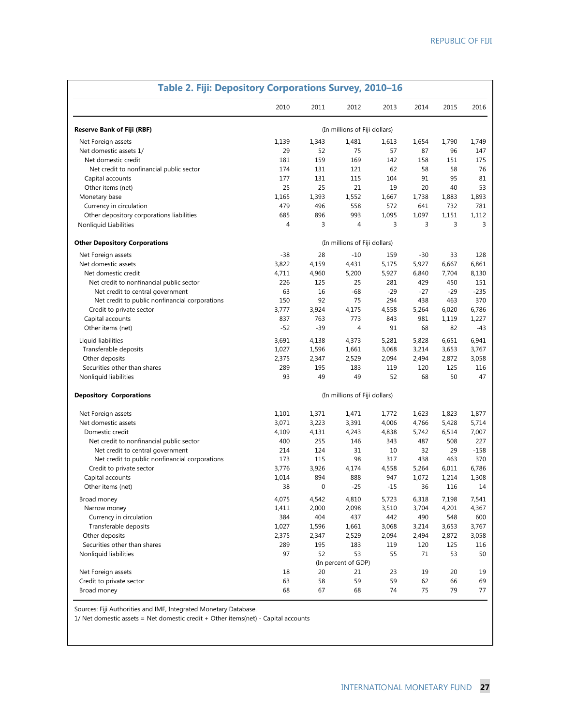| Table 2. Fiji: Depository Corporations Survey, 2010-16 |                |             |                               |       |       |       |        |  |  |  |
|--------------------------------------------------------|----------------|-------------|-------------------------------|-------|-------|-------|--------|--|--|--|
|                                                        | 2010           | 2011        | 2012                          | 2013  | 2014  | 2015  | 2016   |  |  |  |
| <b>Reserve Bank of Fiji (RBF)</b>                      |                |             | (In millions of Fiji dollars) |       |       |       |        |  |  |  |
| Net Foreign assets                                     | 1,139          | 1,343       | 1,481                         | 1,613 | 1,654 | 1,790 | 1,749  |  |  |  |
| Net domestic assets 1/                                 | 29             | 52          | 75                            | 57    | 87    | 96    | 147    |  |  |  |
| Net domestic credit                                    | 181            | 159         | 169                           | 142   | 158   | 151   | 175    |  |  |  |
| Net credit to nonfinancial public sector               | 174            | 131         | 121                           | 62    | 58    | 58    | 76     |  |  |  |
| Capital accounts                                       | 177            | 131         | 115                           | 104   | 91    | 95    | 81     |  |  |  |
| Other items (net)                                      | 25             | 25          | 21                            | 19    | 20    | 40    | 53     |  |  |  |
| Monetary base                                          | 1,165          | 1,393       | 1,552                         | 1,667 | 1,738 | 1,883 | 1,893  |  |  |  |
| Currency in circulation                                | 479            | 496         | 558                           | 572   | 641   | 732   | 781    |  |  |  |
| Other depository corporations liabilities              | 685            | 896         | 993                           | 1,095 | 1,097 | 1,151 | 1,112  |  |  |  |
| Nonliquid Liabilities                                  | $\overline{4}$ | 3           | 4                             | 3     | 3     | 3     | 3      |  |  |  |
| <b>Other Depository Corporations</b>                   |                |             | (In millions of Fiji dollars) |       |       |       |        |  |  |  |
| Net Foreign assets                                     | $-38$          | 28          | $-10$                         | 159   | $-30$ | 33    | 128    |  |  |  |
| Net domestic assets                                    | 3,822          | 4,159       | 4,431                         | 5,175 | 5,927 | 6,667 | 6,861  |  |  |  |
| Net domestic credit                                    | 4,711          | 4,960       | 5,200                         | 5,927 | 6,840 | 7,704 | 8,130  |  |  |  |
| Net credit to nonfinancial public sector               | 226            | 125         | 25                            | 281   | 429   | 450   | 151    |  |  |  |
| Net credit to central government                       | 63             | 16          | $-68$                         | $-29$ | $-27$ | $-29$ | $-235$ |  |  |  |
| Net credit to public nonfinancial corporations         | 150            | 92          | 75                            | 294   | 438   | 463   | 370    |  |  |  |
| Credit to private sector                               | 3,777          | 3,924       | 4,175                         | 4,558 | 5,264 | 6,020 | 6,786  |  |  |  |
| Capital accounts                                       | 837            | 763         | 773                           | 843   | 981   | 1,119 | 1,227  |  |  |  |
| Other items (net)                                      | $-52$          | $-39$       | $\overline{4}$                | 91    | 68    | 82    | -43    |  |  |  |
| Liquid liabilities                                     | 3.691          | 4,138       | 4,373                         | 5,281 | 5,828 | 6,651 | 6,941  |  |  |  |
| Transferable deposits                                  | 1,027          | 1,596       | 1,661                         | 3,068 | 3,214 | 3,653 | 3,767  |  |  |  |
| Other deposits                                         | 2,375          | 2,347       | 2,529                         | 2,094 | 2,494 | 2,872 | 3,058  |  |  |  |
| Securities other than shares                           | 289            | 195         | 183                           | 119   | 120   | 125   | 116    |  |  |  |
| Nonliquid liabilities                                  | 93             | 49          | 49                            | 52    | 68    | 50    | 47     |  |  |  |
| <b>Depository Corporations</b>                         |                |             | (In millions of Fiji dollars) |       |       |       |        |  |  |  |
| Net Foreign assets                                     | 1,101          | 1,371       | 1,471                         | 1,772 | 1,623 | 1,823 | 1,877  |  |  |  |
| Net domestic assets                                    | 3,071          | 3,223       | 3,391                         | 4,006 | 4,766 | 5,428 | 5,714  |  |  |  |
| Domestic credit                                        | 4,109          | 4,131       | 4,243                         | 4,838 | 5,742 | 6,514 | 7,007  |  |  |  |
| Net credit to nonfinancial public sector               | 400            | 255         | 146                           | 343   | 487   | 508   | 227    |  |  |  |
| Net credit to central government                       | 214            | 124         | 31                            | 10    | 32    | 29    | $-158$ |  |  |  |
| Net credit to public nonfinancial corporations         | 173            | 115         | 98                            | 317   | 438   | 463   | 370    |  |  |  |
| Credit to private sector                               | 3,776          | 3,926       | 4,174                         | 4,558 | 5,264 | 6,011 | 6,786  |  |  |  |
| Capital accounts                                       | 1,014          | 894         | 888                           | 947   | 1,072 | 1,214 | 1,308  |  |  |  |
| Other items (net)                                      | 38             | $\mathbf 0$ | $-25$                         | $-15$ | 36    | 116   | 14     |  |  |  |
| Broad money                                            | 4,075          | 4,542       | 4,810                         | 5,723 | 6,318 | 7,198 | 7,541  |  |  |  |
| Narrow money                                           | 1,411          | 2,000       | 2,098                         | 3,510 | 3,704 | 4,201 | 4,367  |  |  |  |
| Currency in circulation                                | 384            | 404         | 437                           | 442   | 490   | 548   | 600    |  |  |  |
| Transferable deposits                                  | 1,027          | 1,596       | 1,661                         | 3,068 | 3,214 | 3,653 | 3,767  |  |  |  |
| Other deposits                                         | 2,375          | 2,347       | 2,529                         | 2,094 | 2,494 | 2,872 | 3,058  |  |  |  |
| Securities other than shares                           | 289            | 195         | 183                           | 119   | 120   | 125   | 116    |  |  |  |
| Nonliquid liabilities                                  | 97             | 52          | 53                            | 55    | 71    | 53    | 50     |  |  |  |
|                                                        |                |             | (In percent of GDP)           |       |       |       |        |  |  |  |
| Net Foreign assets                                     | 18             | 20          | 21                            | 23    | 19    | 20    | 19     |  |  |  |
| Credit to private sector                               | 63             | 58          | 59                            | 59    | 62    | 66    | 69     |  |  |  |
| Broad money                                            | 68             | 67          | 68                            | 74    | 75    | 79    | 77     |  |  |  |

Sources: Fiji Authorities and IMF, Integrated Monetary Database.

1/ Net domestic assets = Net domestic credit + Other items(net) - Capital accounts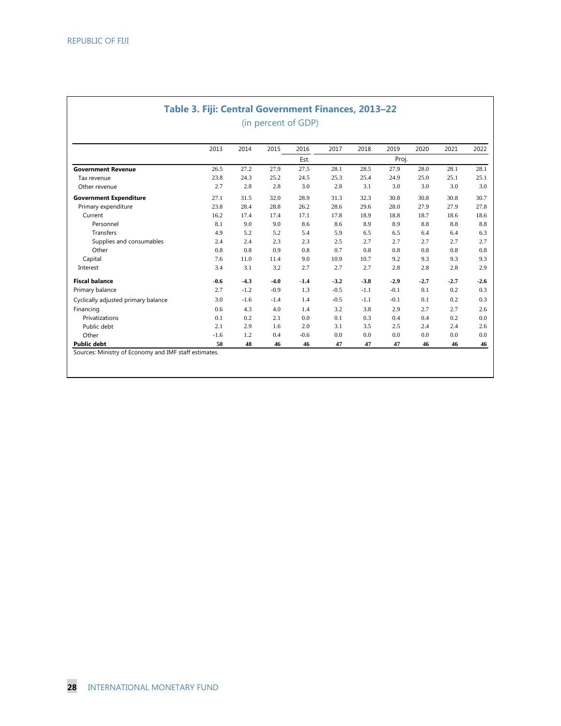# **Table 3. Fiji: Central Government Finances, 2013–22** (in percent of GDP)

|                                     | 2013   | 2014   | 2015   | 2016   | 2017   | 2018   | 2019   | 2020   | 2021   | 2022   |  |  |
|-------------------------------------|--------|--------|--------|--------|--------|--------|--------|--------|--------|--------|--|--|
|                                     |        |        |        | Est.   |        |        | Proj.  |        |        |        |  |  |
| <b>Government Revenue</b>           | 26.5   | 27.2   | 27.9   | 27.5   | 28.1   | 28.5   | 27.9   | 28.0   | 28.1   | 28.1   |  |  |
| Tax revenue                         | 23.8   | 24.3   | 25.2   | 24.5   | 25.3   | 25.4   | 24.9   | 25.0   | 25.1   | 25.1   |  |  |
| Other revenue                       | 2.7    | 2.8    | 2.8    | 3.0    | 2.8    | 3.1    | 3.0    | 3.0    | 3.0    | 3.0    |  |  |
| <b>Government Expenditure</b>       | 27.1   | 31.5   | 32.0   | 28.9   | 31.3   | 32.3   | 30.8   | 30.8   | 30.8   | 30.7   |  |  |
| Primary expenditure                 | 23.8   | 28.4   | 28.8   | 26.2   | 28.6   | 29.6   | 28.0   | 27.9   | 27.9   | 27.8   |  |  |
| Current                             | 16.2   | 17.4   | 17.4   | 17.1   | 17.8   | 18.9   | 18.8   | 18.7   | 18.6   | 18.6   |  |  |
| Personnel                           | 8.1    | 9.0    | 9.0    | 8.6    | 8.6    | 8.9    | 8.9    | 8.8    | 8.8    | 8.8    |  |  |
| <b>Transfers</b>                    | 4.9    | 5.2    | 5.2    | 5.4    | 5.9    | 6.5    | 6.5    | 6.4    | 6.4    | 6.3    |  |  |
| Supplies and consumables            | 2.4    | 2.4    | 2.3    | 2.3    | 2.5    | 2.7    | 2.7    | 2.7    | 2.7    | 2.7    |  |  |
| Other                               | 0.8    | 0.8    | 0.9    | 0.8    | 0.7    | 0.8    | 0.8    | 0.8    | 0.8    | 0.8    |  |  |
| Capital                             | 7.6    | 11.0   | 11.4   | 9.0    | 10.9   | 10.7   | 9.2    | 9.3    | 9.3    | 9.3    |  |  |
| Interest                            | 3.4    | 3.1    | 3.2    | 2.7    | 2.7    | 2.7    | 2.8    | 2.8    | 2.8    | 2.9    |  |  |
| <b>Fiscal balance</b>               | $-0.6$ | $-4.3$ | $-4.0$ | $-1.4$ | $-3.2$ | $-3.8$ | $-2.9$ | $-2.7$ | $-2.7$ | $-2.6$ |  |  |
| Primary balance                     | 2.7    | $-1.2$ | $-0.9$ | 1.3    | $-0.5$ | $-1.1$ | $-0.1$ | 0.1    | 0.2    | 0.3    |  |  |
| Cyclically adjusted primary balance | 3.0    | $-1.6$ | $-1.4$ | 1.4    | $-0.5$ | $-1.1$ | $-0.1$ | 0.1    | 0.2    | 0.3    |  |  |
| Financing                           | 0.6    | 4.3    | 4.0    | 1.4    | 3.2    | 3.8    | 2.9    | 2.7    | 2.7    | 2.6    |  |  |
| Privatizations                      | 0.1    | 0.2    | 2.1    | 0.0    | 0.1    | 0.3    | 0.4    | 0.4    | 0.2    | 0.0    |  |  |
| Public debt                         | 2.1    | 2.9    | 1.6    | 2.0    | 3.1    | 3.5    | 2.5    | 2.4    | 2.4    | 2.6    |  |  |
| Other                               | $-1.6$ | 1.2    | 0.4    | $-0.6$ | 0.0    | 0.0    | 0.0    | 0.0    | 0.0    | 0.0    |  |  |
| <b>Public debt</b>                  | 50     | 48     | 46     | 46     | 47     | 47     | 47     | 46     | 46     | 46     |  |  |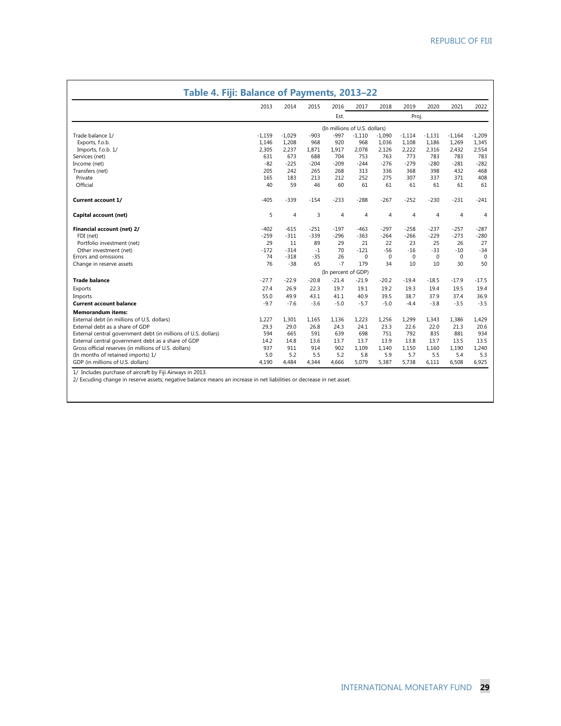| Table 4. Fiji: Balance of Payments, 2013-22                    |          |                |         |                               |                |                |                |                |                |                |
|----------------------------------------------------------------|----------|----------------|---------|-------------------------------|----------------|----------------|----------------|----------------|----------------|----------------|
|                                                                | 2013     | 2014           | 2015    | 2016                          | 2017           | 2018           | 2019           | 2020           | 2021           | 2022           |
|                                                                |          |                |         | Est.                          |                |                | Proj.          |                |                |                |
|                                                                |          |                |         | (In millions of U.S. dollars) |                |                |                |                |                |                |
| Trade balance 1/                                               | $-1,159$ | $-1,029$       | $-903$  | $-997$                        | $-1,110$       | $-1,090$       | $-1,114$       | $-1,131$       | $-1,164$       | $-1,209$       |
| Exports, f.o.b.                                                | 1,146    | 1,208          | 968     | 920                           | 968            | 1,036          | 1,108          | 1,186          | 1,269          | 1,345          |
| Imports, f.o.b. 1/                                             | 2,305    | 2,237          | 1.871   | 1,917                         | 2,078          | 2,126          | 2,222          | 2,316          | 2,432          | 2,554          |
| Services (net)                                                 | 631      | 673            | 688     | 704                           | 753            | 763            | 773            | 783            | 783            | 783            |
| Income (net)                                                   | $-82$    | $-225$         | $-204$  | $-209$                        | $-244$         | $-276$         | $-279$         | $-280$         | $-281$         | $-282$         |
| Transfers (net)                                                | 205      | 242            | 265     | 268                           | 313            | 336            | 368            | 398            | 432            | 468            |
| Private                                                        | 165      | 183            | 213     | 212                           | 252            | 275            | 307            | 337            | 371            | 408            |
| Official                                                       | 40       | 59             | 46      | 60                            | 61             | 61             | 61             | 61             | 61             | 61             |
| <b>Current account 1/</b>                                      | $-405$   | $-339$         | $-154$  | $-233$                        | $-288$         | $-267$         | $-252$         | $-230$         | $-231$         | $-241$         |
| Capital account (net)                                          | 5        | $\overline{4}$ | 3       | 4                             | $\overline{4}$ | $\overline{4}$ | $\overline{4}$ | $\overline{4}$ | $\overline{4}$ | $\overline{4}$ |
| Financial account (net) 2/                                     | $-402$   | $-615$         | $-251$  | $-197$                        | $-463$         | $-297$         | $-258$         | $-237$         | $-257$         | $-287$         |
| FDI (net)                                                      | $-259$   | $-311$         | $-339$  | $-296$                        | $-363$         | $-264$         | $-266$         | $-229$         | $-273$         | $-280$         |
| Portfolio investment (net)                                     | 29       | 11             | 89      | 29                            | 21             | 22             | 23             | 25             | 26             | 27             |
| Other investment (net)                                         | $-172$   | $-314$         | $-1$    | 70                            | $-121$         | $-56$          | $-16$          | $-33$          | $-10$          | $-34$          |
| Errors and omissions                                           | 74       | $-318$         | $-35$   | 26                            | $\Omega$       | $\Omega$       | $\Omega$       | $\Omega$       | $\Omega$       | $\Omega$       |
| Change in reserve assets                                       | 76       | $-38$          | 65      | $-7$                          | 179            | 34             | 10             | 10             | 30             | 50             |
|                                                                |          |                |         | (In percent of GDP)           |                |                |                |                |                |                |
| <b>Trade balance</b>                                           | $-27.7$  | $-22.9$        | $-20.8$ | $-21.4$                       | $-21.9$        | $-20.2$        | $-19.4$        | $-18.5$        | $-17.9$        | $-17.5$        |
| Exports                                                        | 27.4     | 26.9           | 22.3    | 19.7                          | 19.1           | 19.2           | 19.3           | 19.4           | 19.5           | 19.4           |
| Imports                                                        | 55.0     | 49.9           | 43.1    | 41.1                          | 40.9           | 39.5           | 38.7           | 37.9           | 37.4           | 36.9           |
| <b>Current account balance</b>                                 | $-9.7$   | $-7.6$         | $-3.6$  | $-5.0$                        | $-5.7$         | $-5.0$         | $-4.4$         | $-3.8$         | $-3.5$         | $-3.5$         |
| <b>Memorandum items:</b>                                       |          |                |         |                               |                |                |                |                |                |                |
| External debt (in millions of U.S. dollars)                    | 1.227    | 1.301          | 1.165   | 1,136                         | 1.223          | 1,256          | 1,299          | 1.343          | 1,386          | 1,429          |
| External debt as a share of GDP                                | 29.3     | 29.0           | 26.8    | 24.3                          | 24.1           | 23.3           | 22.6           | 22.0           | 21.3           | 20.6           |
| External central government debt (in millions of U.S. dollars) | 594      | 665            | 591     | 639                           | 698            | 751            | 792            | 835            | 881            | 934            |
| External central government debt as a share of GDP             | 14.2     | 14.8           | 13.6    | 13.7                          | 13.7           | 13.9           | 13.8           | 13.7           | 13.5           | 13.5           |
| Gross official reserves (in millions of U.S. dollars)          | 937      | 911            | 914     | 902                           | 1,109          | 1,140          | 1,150          | 1,160          | 1,190          | 1,240          |
| (In months of retained imports) 1/                             | 5.0      | 5.2            | 5.5     | 5.2                           | 5.8            | 5.9            | 5.7            | 5.5            | 5.4            | 5.3            |
| GDP (in millions of U.S. dollars)                              | 4.190    | 4,484          | 4.344   | 4,666                         | 5,079          | 5,387          | 5,738          | 6,111          | 6,508          | 6,925          |

1/ Includes purchase of aircraft by Fiji Airways in 2013. 2/ Excuding change in reserve assets; negative balance means an increase in net liabilities or decrease in net asset.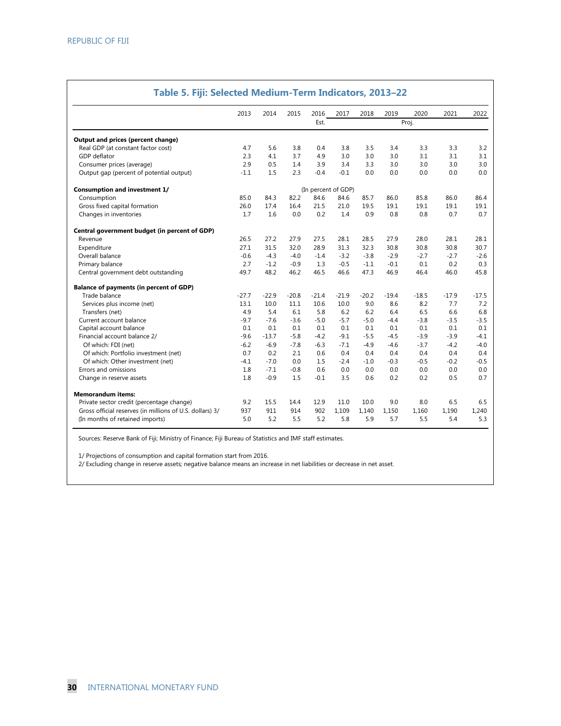|                                                          | 2013    | 2014    | 2015    | 2016                | 2017    | 2018    | 2019    | 2020    | 2021    | 2022    |
|----------------------------------------------------------|---------|---------|---------|---------------------|---------|---------|---------|---------|---------|---------|
|                                                          |         |         |         | Est.                |         |         |         | Proj.   |         |         |
| Output and prices (percent change)                       |         |         |         |                     |         |         |         |         |         |         |
| Real GDP (at constant factor cost)                       | 4.7     | 5.6     | 3.8     | 0.4                 | 3.8     | 3.5     | 3.4     | 3.3     | 3.3     | 3.2     |
| GDP deflator                                             | 2.3     | 4.1     | 3.7     | 4.9                 | 3.0     | 3.0     | 3.0     | 3.1     | 3.1     | 3.1     |
| Consumer prices (average)                                | 2.9     | 0.5     | 1.4     | 3.9                 | 3.4     | 3.3     | 3.0     | 3.0     | 3.0     | 3.0     |
| Output gap (percent of potential output)                 | $-1.1$  | 1.5     | 2.3     | $-0.4$              | $-0.1$  | 0.0     | 0.0     | 0.0     | 0.0     | 0.0     |
| <b>Consumption and investment 1/</b>                     |         |         |         | (In percent of GDP) |         |         |         |         |         |         |
| Consumption                                              | 85.0    | 84.3    | 82.2    | 84.6                | 84.6    | 85.7    | 86.0    | 85.8    | 86.0    | 86.4    |
| Gross fixed capital formation                            | 26.0    | 17.4    | 16.4    | 21.5                | 21.0    | 19.5    | 19.1    | 19.1    | 19.1    | 19.1    |
| Changes in inventories                                   | 1.7     | 1.6     | 0.0     | 0.2                 | 1.4     | 0.9     | 0.8     | 0.8     | 0.7     | 0.7     |
| Central government budget (in percent of GDP)            |         |         |         |                     |         |         |         |         |         |         |
| Revenue                                                  | 26.5    | 27.2    | 27.9    | 27.5                | 28.1    | 28.5    | 27.9    | 28.0    | 28.1    | 28.1    |
| Expenditure                                              | 27.1    | 31.5    | 32.0    | 28.9                | 31.3    | 32.3    | 30.8    | 30.8    | 30.8    | 30.7    |
| Overall balance                                          | $-0.6$  | $-4.3$  | $-4.0$  | $-1.4$              | $-3.2$  | $-3.8$  | $-2.9$  | $-2.7$  | $-2.7$  | $-2.6$  |
| Primary balance                                          | 2.7     | $-1.2$  | $-0.9$  | 1.3                 | $-0.5$  | $-1.1$  | $-0.1$  | 0.1     | 0.2     | 0.3     |
| Central government debt outstanding                      | 49.7    | 48.2    | 46.2    | 46.5                | 46.6    | 47.3    | 46.9    | 46.4    | 46.0    | 45.8    |
| <b>Balance of payments (in percent of GDP)</b>           |         |         |         |                     |         |         |         |         |         |         |
| Trade balance                                            | $-27.7$ | $-22.9$ | $-20.8$ | $-21.4$             | $-21.9$ | $-20.2$ | $-19.4$ | $-18.5$ | $-17.9$ | $-17.5$ |
| Services plus income (net)                               | 13.1    | 10.0    | 11.1    | 10.6                | 10.0    | 9.0     | 8.6     | 8.2     | 7.7     | 7.2     |
| Transfers (net)                                          | 4.9     | 5.4     | 6.1     | 5.8                 | 6.2     | 6.2     | 6.4     | 6.5     | 6.6     | 6.8     |
| Current account balance                                  | $-9.7$  | $-7.6$  | $-3.6$  | $-5.0$              | $-5.7$  | $-5.0$  | $-4.4$  | $-3.8$  | $-3.5$  | $-3.5$  |
| Capital account balance                                  | 0.1     | 0.1     | 0.1     | 0.1                 | 0.1     | 0.1     | 0.1     | 0.1     | 0.1     | 0.1     |
| Financial account balance 2/                             | $-9.6$  | $-13.7$ | $-5.8$  | $-4.2$              | $-9.1$  | $-5.5$  | $-4.5$  | $-3.9$  | $-3.9$  | $-4.1$  |
| Of which: FDI (net)                                      | $-6.2$  | $-6.9$  | $-7.8$  | $-6.3$              | $-7.1$  | $-4.9$  | $-4.6$  | $-3.7$  | $-4.2$  | $-4.0$  |
| Of which: Portfolio investment (net)                     | 0.7     | 0.2     | 2.1     | 0.6                 | 0.4     | 0.4     | 0.4     | 0.4     | 0.4     | 0.4     |
| Of which: Other investment (net)                         | $-4.1$  | $-7.0$  | 0.0     | 1.5                 | $-2.4$  | $-1.0$  | $-0.3$  | $-0.5$  | $-0.2$  | $-0.5$  |
| Errors and omissions                                     | 1.8     | $-7.1$  | $-0.8$  | 0.6                 | 0.0     | 0.0     | 0.0     | 0.0     | 0.0     | 0.0     |
| Change in reserve assets                                 | 1.8     | $-0.9$  | 1.5     | $-0.1$              | 3.5     | 0.6     | 0.2     | 0.2     | 0.5     | 0.7     |
| <b>Memorandum items:</b>                                 |         |         |         |                     |         |         |         |         |         |         |
| Private sector credit (percentage change)                | 9.2     | 15.5    | 14.4    | 12.9                | 11.0    | 10.0    | 9.0     | 8.0     | 6.5     | 6.5     |
| Gross official reserves (in millions of U.S. dollars) 3/ | 937     | 911     | 914     | 902                 | 1,109   | 1,140   | 1,150   | 1,160   | 1,190   | 1,240   |
| (In months of retained imports)                          | 5.0     | 5.2     | 5.5     | 5.2                 | 5.8     | 5.9     | 5.7     | 5.5     | 5.4     | 5.3     |

#### **Table 5. Fiji: Selected Medium-Term Indicators, 2013–22**

Sources: Reserve Bank of Fiji; Ministry of Finance; Fiji Bureau of Statistics and IMF staff estimates.

1/ Projections of consumption and capital formation start from 2016.

2/ Excluding change in reserve assets; negative balance means an increase in net liabilities or decrease in net asset.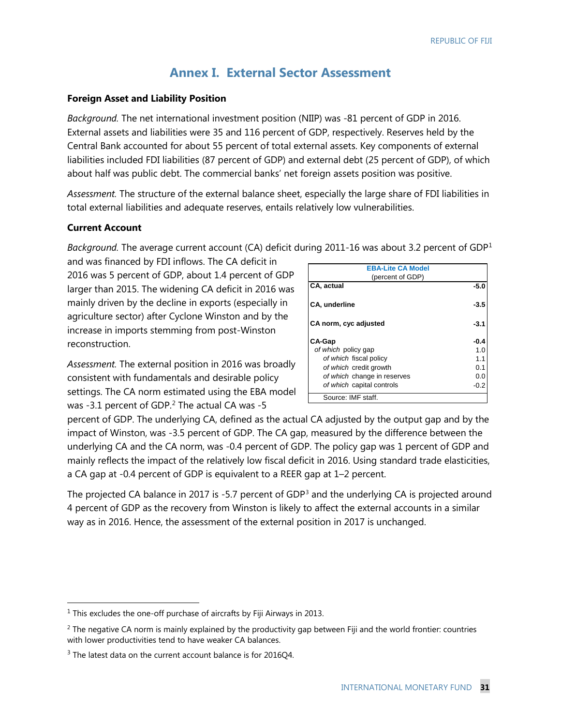# **Annex I. External Sector Assessment**

## **Foreign Asset and Liability Position**

*Background.* The net international investment position (NIIP) was -81 percent of GDP in 2016. External assets and liabilities were 35 and 116 percent of GDP, respectively. Reserves held by the Central Bank accounted for about 55 percent of total external assets. Key components of external liabilities included FDI liabilities (87 percent of GDP) and external debt (25 percent of GDP), of which about half was public debt. The commercial banks' net foreign assets position was positive.

*Assessment.* The structure of the external balance sheet, especially the large share of FDI liabilities in total external liabilities and adequate reserves, entails relatively low vulnerabilities.

## **Current Account**

*Background.* The average current account (CA) deficit during 2011-16 was about 3.2 percent of GDP[1](#page-34-0)

and was financed by FDI inflows. The CA deficit in 2016 was 5 percent of GDP, about 1.4 percent of GDP larger than 2015. The widening CA deficit in 2016 was mainly driven by the decline in exports (especially in agriculture sector) after Cyclone Winston and by the increase in imports stemming from post-Winston reconstruction.

*Assessment.* The external position in 2016 was broadly consistent with fundamentals and desirable policy settings. The CA norm estimated using the EBA model was -3.1 percent of GDP. $2$  The actual CA was -5

| <b>EBA-Lite CA Model</b><br>(percent of GDP) |        |
|----------------------------------------------|--------|
| CA, actual                                   | $-5.0$ |
| <b>CA, underline</b>                         | -3.5   |
| CA norm, cyc adjusted                        | -3.1   |
| <b>CA-Gap</b>                                | $-0.4$ |
| of which policy gap                          | 1.0    |
| of which fiscal policy                       | 1.1    |
| of which credit growth                       | 0.1    |
| of which change in reserves                  | 0.0    |
| of which capital controls                    | -0.2   |
| Source: IMF staff.                           |        |

percent of GDP. The underlying CA, defined as the actual CA adjusted by the output gap and by the impact of Winston, was -3.5 percent of GDP. The CA gap, measured by the difference between the underlying CA and the CA norm, was -0.4 percent of GDP. The policy gap was 1 percent of GDP and mainly reflects the impact of the relatively low fiscal deficit in 2016. Using standard trade elasticities, a CA gap at -0.4 percent of GDP is equivalent to a REER gap at 1–2 percent.

The projected CA balance in 2017 is -5.7 percent of GDP<sup>[3](#page-34-2)</sup> and the underlying CA is projected around 4 percent of GDP as the recovery from Winston is likely to affect the external accounts in a similar way as in 2016. Hence, the assessment of the external position in 2017 is unchanged.

<span id="page-34-0"></span> $1$  This excludes the one-off purchase of aircrafts by Fiji Airways in 2013.

<span id="page-34-1"></span> $2$  The negative CA norm is mainly explained by the productivity gap between Fiji and the world frontier: countries with lower productivities tend to have weaker CA balances.

<span id="page-34-2"></span><sup>&</sup>lt;sup>3</sup> The latest data on the current account balance is for 2016Q4.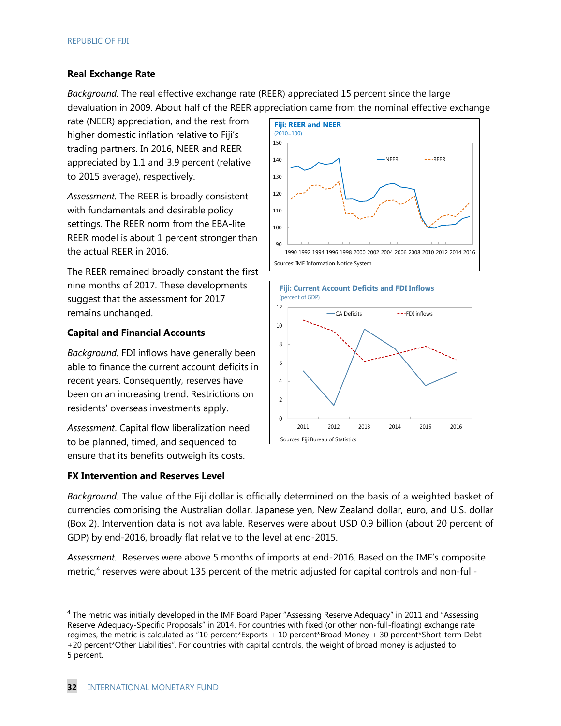## **Real Exchange Rate**

*Background.* The real effective exchange rate (REER) appreciated 15 percent since the large devaluation in 2009. About half of the REER appreciation came from the nominal effective exchange

rate (NEER) appreciation, and the rest from higher domestic inflation relative to Fiji's trading partners. In 2016, NEER and REER appreciated by 1.1 and 3.9 percent (relative to 2015 average), respectively.

*Assessment.* The REER is broadly consistent with fundamentals and desirable policy settings. The REER norm from the EBA-lite REER model is about 1 percent stronger than the actual REER in 2016.

The REER remained broadly constant the first nine months of 2017. These developments suggest that the assessment for 2017 remains unchanged.

## **Capital and Financial Accounts**

*Background.* FDI inflows have generally been able to finance the current account deficits in recent years. Consequently, reserves have been on an increasing trend. Restrictions on residents' overseas investments apply.

*Assessment*. Capital flow liberalization need to be planned, timed, and sequenced to ensure that its benefits outweigh its costs.

#### **FX Intervention and Reserves Level**





*Background.* The value of the Fiji dollar is officially determined on the basis of a weighted basket of currencies comprising the Australian dollar, Japanese yen, New Zealand dollar, euro, and U.S. dollar (Box 2). Intervention data is not available. Reserves were about USD 0.9 billion (about 20 percent of GDP) by end-2016, broadly flat relative to the level at end-2015.

*Assessment.* Reserves were above 5 months of imports at end-2016. Based on the IMF's composite metric, $4$  reserves were about 135 percent of the metric adjusted for capital controls and non-full-

<span id="page-35-0"></span><sup>&</sup>lt;sup>4</sup> The metric was initially developed in the IMF Board Paper "Assessing Reserve Adequacy" in 2011 and "Assessing Reserve Adequacy-Specific Proposals" in 2014. For countries with fixed (or other non-full-floating) exchange rate regimes, the metric is calculated as "10 percent\*Exports + 10 percent\*Broad Money + 30 percent\*Short-term Debt +20 percent\*Other Liabilities". For countries with capital controls, the weight of broad money is adjusted to 5 percent.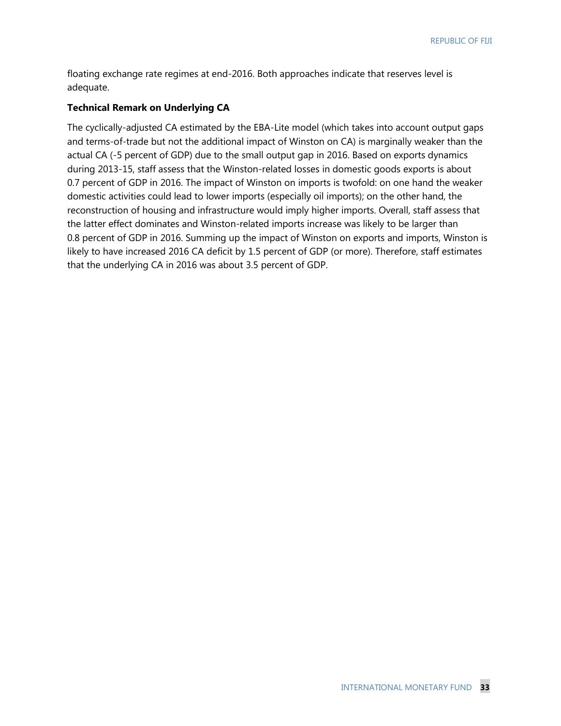floating exchange rate regimes at end-2016. Both approaches indicate that reserves level is adequate.

#### **Technical Remark on Underlying CA**

The cyclically-adjusted CA estimated by the EBA-Lite model (which takes into account output gaps and terms-of-trade but not the additional impact of Winston on CA) is marginally weaker than the actual CA (-5 percent of GDP) due to the small output gap in 2016. Based on exports dynamics during 2013-15, staff assess that the Winston-related losses in domestic goods exports is about 0.7 percent of GDP in 2016. The impact of Winston on imports is twofold: on one hand the weaker domestic activities could lead to lower imports (especially oil imports); on the other hand, the reconstruction of housing and infrastructure would imply higher imports. Overall, staff assess that the latter effect dominates and Winston-related imports increase was likely to be larger than 0.8 percent of GDP in 2016. Summing up the impact of Winston on exports and imports, Winston is likely to have increased 2016 CA deficit by 1.5 percent of GDP (or more). Therefore, staff estimates that the underlying CA in 2016 was about 3.5 percent of GDP.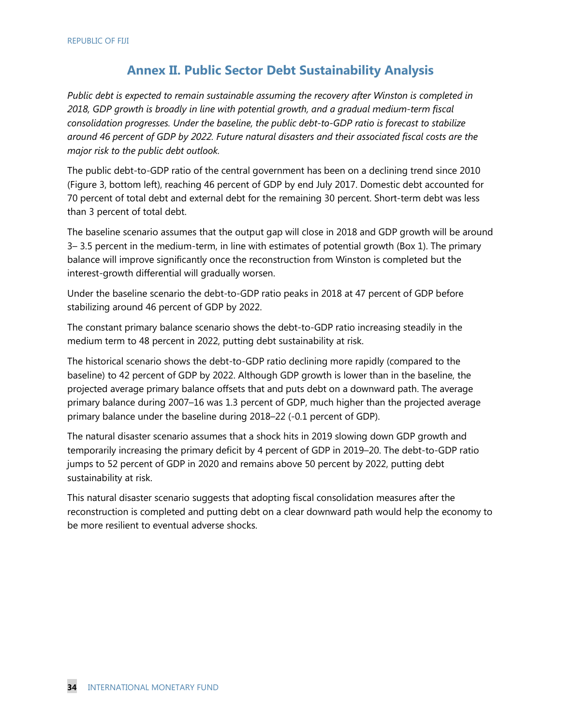# **Annex II. Public Sector Debt Sustainability Analysis**

*Public debt is expected to remain sustainable assuming the recovery after Winston is completed in 2018, GDP growth is broadly in line with potential growth, and a gradual medium-term fiscal consolidation progresses. Under the baseline, the public debt-to-GDP ratio is forecast to stabilize around 46 percent of GDP by 2022. Future natural disasters and their associated fiscal costs are the major risk to the public debt outlook.*

The public debt-to-GDP ratio of the central government has been on a declining trend since 2010 (Figure 3, bottom left), reaching 46 percent of GDP by end July 2017. Domestic debt accounted for 70 percent of total debt and external debt for the remaining 30 percent. Short-term debt was less than 3 percent of total debt.

The baseline scenario assumes that the output gap will close in 2018 and GDP growth will be around 3– 3.5 percent in the medium-term, in line with estimates of potential growth (Box 1). The primary balance will improve significantly once the reconstruction from Winston is completed but the interest-growth differential will gradually worsen.

Under the baseline scenario the debt-to-GDP ratio peaks in 2018 at 47 percent of GDP before stabilizing around 46 percent of GDP by 2022.

The constant primary balance scenario shows the debt-to-GDP ratio increasing steadily in the medium term to 48 percent in 2022, putting debt sustainability at risk.

The historical scenario shows the debt-to-GDP ratio declining more rapidly (compared to the baseline) to 42 percent of GDP by 2022. Although GDP growth is lower than in the baseline, the projected average primary balance offsets that and puts debt on a downward path. The average primary balance during 2007–16 was 1.3 percent of GDP, much higher than the projected average primary balance under the baseline during 2018–22 (-0.1 percent of GDP).

The natural disaster scenario assumes that a shock hits in 2019 slowing down GDP growth and temporarily increasing the primary deficit by 4 percent of GDP in 2019–20. The debt-to-GDP ratio jumps to 52 percent of GDP in 2020 and remains above 50 percent by 2022, putting debt sustainability at risk.

This natural disaster scenario suggests that adopting fiscal consolidation measures after the reconstruction is completed and putting debt on a clear downward path would help the economy to be more resilient to eventual adverse shocks.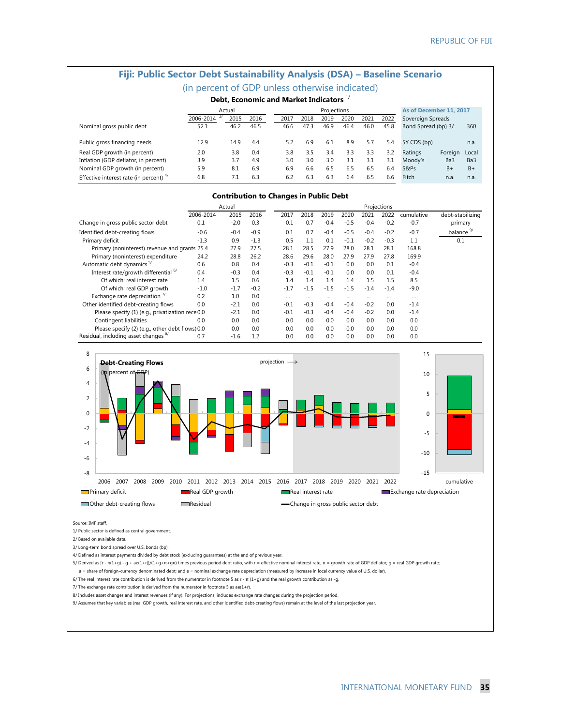# **Fiji: Public Sector Debt Sustainability Analysis (DSA) – Baseline Scenario**

| (in percent of GDP unless otherwise indicated) |  |  |  |  |  |
|------------------------------------------------|--|--|--|--|--|
|------------------------------------------------|--|--|--|--|--|

|  |  |  |  | Debt, Economic and Market Indicators $^{1/}$ |  |
|--|--|--|--|----------------------------------------------|--|
|--|--|--|--|----------------------------------------------|--|

|                                           | Actual    |      |      |      | Projections |      |      |      |      |                     | As of December 11, 2017 |       |  |
|-------------------------------------------|-----------|------|------|------|-------------|------|------|------|------|---------------------|-------------------------|-------|--|
|                                           | 2006-2014 | 2015 | 2016 | 2017 | 2018        | 2019 | 2020 | 2021 | 2022 | Sovereign Spreads   |                         |       |  |
| Nominal gross public debt                 | 52.1      | 46.2 | 46.5 | 46.6 | 47.3        | 46.9 | 46.4 | 46.0 | 45.8 | Bond Spread (bp) 3/ |                         | 360   |  |
|                                           |           |      |      |      |             |      |      |      |      |                     |                         |       |  |
| Public gross financing needs              | 12.9      | 14.9 | 4.4  | 5.2  | 6.9         | 6.1  | 8.9  | 5.7  | 5.4  | 5Y CDS (bp)         |                         | n.a.  |  |
| Real GDP growth (in percent)              | 2.0       | 3.8  | 0.4  | 3.8  | 3.5         | 3.4  | 3.3  | 3.3  | 3.2  | Ratings             | Foreign                 | Local |  |
| Inflation (GDP deflator, in percent)      | 3.9       | 3.7  | 4.9  | 3.0  | 3.0         | 3.0  | 3.1  | 3.1  | 3.1  | Moody's             | Ba3                     | Ba3   |  |
| Nominal GDP growth (in percent)           | 5.9       | 8.1  | 6.9  | 6.9  | 6.6         | 6.5  | 6.5  | 6.5  | 6.4  | S&Ps                | $B +$                   | $B+$  |  |
| Effective interest rate (in percent) $4/$ | 6.8       |      | 6.3  | 6.2  | 6.3         | 6.3  | 6.4  | 6.5  | 6.6  | Fitch               | n.a.                    | n.a.  |  |

#### **Contribution to Changes in Public Debt**

|                                                  | Actual    |        |        |        | Projections |        |        |        |        |            |                       |  |
|--------------------------------------------------|-----------|--------|--------|--------|-------------|--------|--------|--------|--------|------------|-----------------------|--|
|                                                  | 2006-2014 | 2015   | 2016   | 2017   | 2018        | 2019   | 2020   | 2021   | 2022   | cumulative | debt-stabilizing      |  |
| Change in gross public sector debt               | 0.1       | $-2.0$ | 0.3    | 0.1    | 0.7         | $-0.4$ | $-0.5$ | $-0.4$ | $-0.2$ | $-0.7$     | primary               |  |
| Identified debt-creating flows                   | $-0.6$    | $-0.4$ | $-0.9$ | 0.1    | 0.7         | $-0.4$ | $-0.5$ | $-0.4$ | $-0.2$ | $-0.7$     | balance <sup>9/</sup> |  |
| Primary deficit                                  | $-1.3$    | 0.9    | $-1.3$ | 0.5    | 1.1         | 0.1    | $-0.1$ | $-0.2$ | $-0.3$ | 1.1        | 0.1                   |  |
| Primary (noninterest) revenue and grants 25.4    |           | 27.9   | 27.5   | 28.1   | 28.5        | 27.9   | 28.0   | 28.1   | 28.1   | 168.8      |                       |  |
| Primary (noninterest) expenditure                | 24.2      | 28.8   | 26.2   | 28.6   | 29.6        | 28.0   | 27.9   | 27.9   | 27.8   | 169.9      |                       |  |
| Automatic debt dynamics <sup>5/</sup>            | 0.6       | 0.8    | 0.4    | $-0.3$ | $-0.1$      | $-0.1$ | 0.0    | 0.0    | 0.1    | $-0.4$     |                       |  |
| Interest rate/growth differential <sup>6/</sup>  | 0.4       | $-0.3$ | 0.4    | $-0.3$ | $-0.1$      | $-0.1$ | 0.0    | 0.0    | 0.1    | $-0.4$     |                       |  |
| Of which: real interest rate                     | 1.4       | 1.5    | 0.6    | 1.4    | 1.4         | 1.4    | 1.4    | 1.5    | 1.5    | 8.5        |                       |  |
| Of which: real GDP growth                        | $-1.0$    | $-1.7$ | $-0.2$ | $-1.7$ | $-1.5$      | $-1.5$ | $-1.5$ | $-1.4$ | $-1.4$ | $-9.0$     |                       |  |
| Exchange rate depreciation $\frac{7}{2}$         | 0.2       | 1.0    | 0.0    |        |             |        |        |        |        |            |                       |  |
| Other identified debt-creating flows             | 0.0       | $-2.1$ | 0.0    | $-0.1$ | $-0.3$      | $-0.4$ | $-0.4$ | $-0.2$ | 0.0    | $-1.4$     |                       |  |
| Please specify (1) (e.g., privatization rece 0.0 |           | $-2.1$ | 0.0    | $-0.1$ | $-0.3$      | $-0.4$ | $-0.4$ | $-0.2$ | 0.0    | $-1.4$     |                       |  |
| Contingent liabilities                           | 0.0       | 0.0    | 0.0    | 0.0    | 0.0         | 0.0    | 0.0    | 0.0    | 0.0    | 0.0        |                       |  |
| Please specify (2) (e.g., other debt flows) 0.0  |           | 0.0    | 0.0    | 0.0    | 0.0         | 0.0    | 0.0    | 0.0    | 0.0    | 0.0        |                       |  |
| Residual, including asset changes <sup>8/</sup>  | 0.7       | $-1.6$ | 1.2    | 0.0    | 0.0         | 0.0    | 0.0    | 0.0    | 0.0    | 0.0        |                       |  |



Source: IMF staff.

1/ Public sector is defined as central government.

2/ Based on available data.

3/ Long-term bond spread over U.S. bonds (bp).

4/ Defined as interest payments divided by debt stock (excluding guarantees) at the end of previous year.

5/ Derived as [r - π(1+g) - g + ae(1+r)]/(1+g+π+gπ) times previous period debt ratio, with r = effective nominal interest rate; π = growth rate of GDP deflator; g = real GDP growth rate;

a = share of foreign-currency denominated debt; and e = nominal exchange rate depreciation (measured by increase in local currency value of U.S. dollar).

6/ The real interest rate contribution is derived from the numerator in footnote 5 as r - π (1+g) and the real growth contribution as -g.

7/ The exchange rate contribution is derived from the numerator in footnote 5 as  $ae(1+r)$ .

8/ Includes asset changes and interest revenues (if any). For projections, includes exchange rate changes during the projection period.

9/ Assumes that key variables (real GDP growth, real interest rate, and other identified debt-creating flows) remain at the level of the last projection year.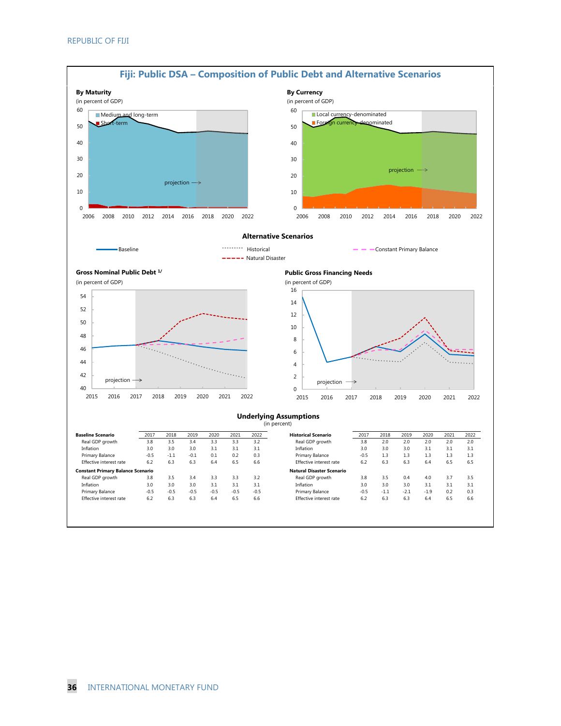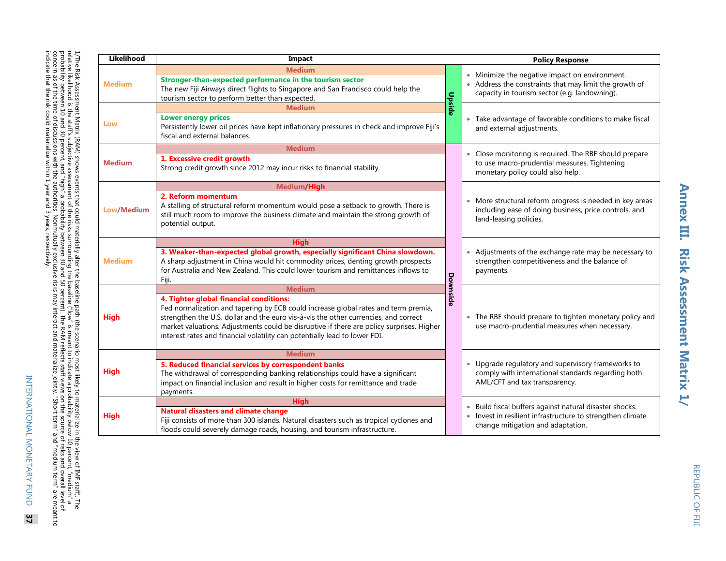| Likelihood    | Impact                                                                                                                                                                                                                                                                                                                                                                                         |          | <b>Policy Response</b>                                                                                                                                |  |  |  |  |  |
|---------------|------------------------------------------------------------------------------------------------------------------------------------------------------------------------------------------------------------------------------------------------------------------------------------------------------------------------------------------------------------------------------------------------|----------|-------------------------------------------------------------------------------------------------------------------------------------------------------|--|--|--|--|--|
|               | <b>Medium</b>                                                                                                                                                                                                                                                                                                                                                                                  |          |                                                                                                                                                       |  |  |  |  |  |
| <b>Medium</b> | Stronger-than-expected performance in the tourism sector<br>The new Fiji Airways direct flights to Singapore and San Francisco could help the<br>tourism sector to perform better than expected.                                                                                                                                                                                               | Upside   | Minimize the negative impact on environment.<br>Address the constraints that may limit the growth of<br>capacity in tourism sector (e.g. landowning). |  |  |  |  |  |
| Low           | Medium<br><b>Lower energy prices</b><br>Persistently lower oil prices have kept inflationary pressures in check and improve Fiji's<br>fiscal and external balances.                                                                                                                                                                                                                            |          | Take advantage of favorable conditions to make fiscal<br>and external adjustments.                                                                    |  |  |  |  |  |
|               | <b>Medium</b>                                                                                                                                                                                                                                                                                                                                                                                  |          | • Close monitoring is required. The RBF should prepare                                                                                                |  |  |  |  |  |
| <b>Medium</b> | 1. Excessive credit growth<br>Strong credit growth since 2012 may incur risks to financial stability.                                                                                                                                                                                                                                                                                          |          | to use macro-prudential measures. Tightening<br>monetary policy could also help.                                                                      |  |  |  |  |  |
|               | Medium/High                                                                                                                                                                                                                                                                                                                                                                                    |          |                                                                                                                                                       |  |  |  |  |  |
| Low/Medium    | 2. Reform momentum<br>A stalling of structural reform momentum would pose a setback to growth. There is<br>still much room to improve the business climate and maintain the strong growth of<br>potential output.                                                                                                                                                                              |          | More structural reform progress is needed in key areas<br>including ease of doing business, price controls, and<br>land-leasing policies.             |  |  |  |  |  |
|               | Hiah                                                                                                                                                                                                                                                                                                                                                                                           |          |                                                                                                                                                       |  |  |  |  |  |
| <b>Medium</b> | 3. Weaker-than-expected global growth, especially significant China slowdown.<br>A sharp adjustment in China would hit commodity prices, denting growth prospects<br>for Australia and New Zealand. This could lower tourism and remittances inflows to<br>Fiji.                                                                                                                               | Downside | Adjustments of the exchange rate may be necessary to<br>strengthen competitiveness and the balance of<br>payments.                                    |  |  |  |  |  |
|               | <b>Medium</b>                                                                                                                                                                                                                                                                                                                                                                                  |          |                                                                                                                                                       |  |  |  |  |  |
| High          | 4. Tighter global financial conditions:<br>Fed normalization and tapering by ECB could increase global rates and term premia,<br>strengthen the U.S. dollar and the euro vis-à-vis the other currencies, and correct<br>market valuations. Adjustments could be disruptive if there are policy surprises. Higher<br>interest rates and financial volatility can potentially lead to lower FDI. |          | The RBF should prepare to tighten monetary policy and<br>use macro-prudential measures when necessary.                                                |  |  |  |  |  |
|               | <b>Medium</b>                                                                                                                                                                                                                                                                                                                                                                                  |          |                                                                                                                                                       |  |  |  |  |  |
| High          | 5. Reduced financial services by correspondent banks<br>The withdrawal of corresponding banking relationships could have a significant<br>impact on financial inclusion and result in higher costs for remittance and trade<br>payments.                                                                                                                                                       |          | • Upgrade regulatory and supervisory frameworks to<br>comply with international standards regarding both<br>AML/CFT and tax transparency.             |  |  |  |  |  |
|               | <b>High</b>                                                                                                                                                                                                                                                                                                                                                                                    |          | Build fiscal buffers against natural disaster shocks.                                                                                                 |  |  |  |  |  |
| High          | <b>Natural disasters and climate change</b><br>Fiji consists of more than 300 islands. Natural disasters such as tropical cyclones and<br>floods could severely damage roads, housing, and tourism infrastructure.                                                                                                                                                                             |          | Invest in resilient infrastructure to strengthen climate<br>change mitigation and adaptation.                                                         |  |  |  |  |  |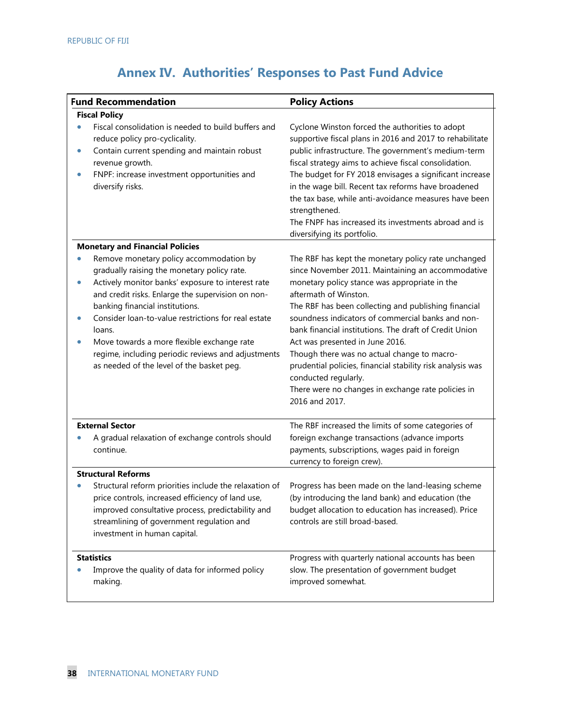|                        | <b>Fund Recommendation</b>                                                                                                                                                                                                                                                                                                                                                                                                                            | <b>Policy Actions</b>                                                                                                                                                                                                                                                                                                                                                                                                                                                                                                                                                                                     |
|------------------------|-------------------------------------------------------------------------------------------------------------------------------------------------------------------------------------------------------------------------------------------------------------------------------------------------------------------------------------------------------------------------------------------------------------------------------------------------------|-----------------------------------------------------------------------------------------------------------------------------------------------------------------------------------------------------------------------------------------------------------------------------------------------------------------------------------------------------------------------------------------------------------------------------------------------------------------------------------------------------------------------------------------------------------------------------------------------------------|
|                        | <b>Fiscal Policy</b>                                                                                                                                                                                                                                                                                                                                                                                                                                  |                                                                                                                                                                                                                                                                                                                                                                                                                                                                                                                                                                                                           |
| $\bullet$<br>$\bullet$ | Fiscal consolidation is needed to build buffers and<br>reduce policy pro-cyclicality.<br>Contain current spending and maintain robust<br>revenue growth.<br>FNPF: increase investment opportunities and<br>diversify risks.                                                                                                                                                                                                                           | Cyclone Winston forced the authorities to adopt<br>supportive fiscal plans in 2016 and 2017 to rehabilitate<br>public infrastructure. The government's medium-term<br>fiscal strategy aims to achieve fiscal consolidation.<br>The budget for FY 2018 envisages a significant increase<br>in the wage bill. Recent tax reforms have broadened<br>the tax base, while anti-avoidance measures have been<br>strengthened.<br>The FNPF has increased its investments abroad and is<br>diversifying its portfolio.                                                                                            |
|                        | <b>Monetary and Financial Policies</b>                                                                                                                                                                                                                                                                                                                                                                                                                |                                                                                                                                                                                                                                                                                                                                                                                                                                                                                                                                                                                                           |
| $\bullet$<br>$\bullet$ | Remove monetary policy accommodation by<br>gradually raising the monetary policy rate.<br>Actively monitor banks' exposure to interest rate<br>and credit risks. Enlarge the supervision on non-<br>banking financial institutions.<br>Consider loan-to-value restrictions for real estate<br>loans.<br>Move towards a more flexible exchange rate<br>regime, including periodic reviews and adjustments<br>as needed of the level of the basket peg. | The RBF has kept the monetary policy rate unchanged<br>since November 2011. Maintaining an accommodative<br>monetary policy stance was appropriate in the<br>aftermath of Winston.<br>The RBF has been collecting and publishing financial<br>soundness indicators of commercial banks and non-<br>bank financial institutions. The draft of Credit Union<br>Act was presented in June 2016.<br>Though there was no actual change to macro-<br>prudential policies, financial stability risk analysis was<br>conducted regularly.<br>There were no changes in exchange rate policies in<br>2016 and 2017. |
|                        | <b>External Sector</b><br>A gradual relaxation of exchange controls should<br>continue.                                                                                                                                                                                                                                                                                                                                                               | The RBF increased the limits of some categories of<br>foreign exchange transactions (advance imports<br>payments, subscriptions, wages paid in foreign<br>currency to foreign crew).                                                                                                                                                                                                                                                                                                                                                                                                                      |
|                        | <b>Structural Reforms</b>                                                                                                                                                                                                                                                                                                                                                                                                                             |                                                                                                                                                                                                                                                                                                                                                                                                                                                                                                                                                                                                           |
|                        | Structural reform priorities include the relaxation of<br>price controls, increased efficiency of land use,<br>improved consultative process, predictability and<br>streamlining of government regulation and<br>investment in human capital.                                                                                                                                                                                                         | Progress has been made on the land-leasing scheme<br>(by introducing the land bank) and education (the<br>budget allocation to education has increased). Price<br>controls are still broad-based.                                                                                                                                                                                                                                                                                                                                                                                                         |
|                        | <b>Statistics</b><br>Improve the quality of data for informed policy<br>making.                                                                                                                                                                                                                                                                                                                                                                       | Progress with quarterly national accounts has been<br>slow. The presentation of government budget<br>improved somewhat.                                                                                                                                                                                                                                                                                                                                                                                                                                                                                   |

# **Annex IV. Authorities' Responses to Past Fund Advice**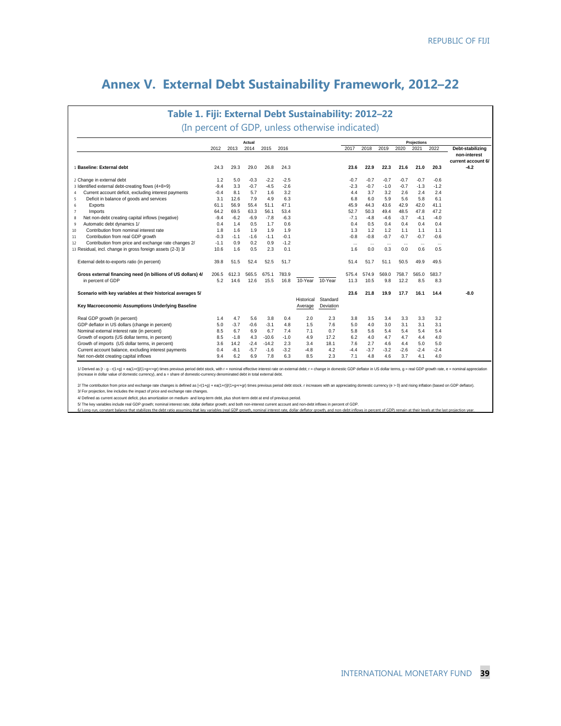# **Annex V. External Debt Sustainability Framework, 2012–22**

# **Table 1. Fiji: External Debt Sustainability: 2012–22** (In percent of GDP, unless otherwise indicated)

|                                                              |        |        | Actual |         |        |            |           |          |          |          |          | Projections |           |                                              |
|--------------------------------------------------------------|--------|--------|--------|---------|--------|------------|-----------|----------|----------|----------|----------|-------------|-----------|----------------------------------------------|
|                                                              | 2012   | 2013   | 2014   | 2015    | 2016   |            |           | 2017     | 2018     | 2019     | 2020     | 2021        | 2022      | Debt-stabilizing                             |
| 1 Baseline: External debt                                    | 24.3   | 29.3   | 29.0   | 26.8    | 24.3   |            |           | 23.6     | 22.9     | 22.3     | 21.6     | 21.0        | 20.3      | non-interest<br>current account 6/<br>$-4.2$ |
| 2 Change in external debt                                    | 1.2    | 5.0    | $-0.3$ | $-2.2$  | $-2.5$ |            |           | $-0.7$   | $-0.7$   | $-0.7$   | $-0.7$   | $-0.7$      | $-0.6$    |                                              |
| 3 Identified external debt-creating flows (4+8+9)            | $-9.4$ | 3.3    | $-0.7$ | $-4.5$  | $-2.6$ |            |           | $-2.3$   | $-0.7$   | $-1.0$   | $-0.7$   | $-1.3$      | $-1.2$    |                                              |
| Current account deficit, excluding interest payments<br>4    | $-0.4$ | 8.1    | 5.7    | 1.6     | 3.2    |            |           | 4.4      | 3.7      | 3.2      | 2.6      | 2.4         | 2.4       |                                              |
| Deficit in balance of goods and services<br>5                | 3.1    | 12.6   | 7.9    | 4.9     | 6.3    |            |           | 6.8      | 6.0      | 5.9      | 5.6      | 5.8         | 6.1       |                                              |
| Exports<br>6                                                 | 61.1   | 56.9   | 55.4   | 51.1    | 47.1   |            |           | 45.9     | 44.3     | 43.6     | 42.9     | 42.0        | 41.1      |                                              |
| Imports<br>$\overline{7}$                                    | 64.2   | 69.5   | 63.3   | 56.1    | 53.4   |            |           | 52.7     | 50.3     | 49.4     | 48.5     | 47.8        | 47.2      |                                              |
| Net non-debt creating capital inflows (negative)<br>8        | $-9.4$ | $-6.2$ | $-6.9$ | $-7.8$  | $-6.3$ |            |           | $-7.1$   | $-4.8$   | $-4.6$   | $-3.7$   | $-4.1$      | $-4.0$    |                                              |
| Automatic debt dynamics 1/<br>9                              | 0.4    | 1.4    | 0.5    | 1.7     | 0.6    |            |           | 0.4      | 0.5      | 0.4      | 0.4      | 0.4         | 0.4       |                                              |
| Contribution from nominal interest rate<br>10                | 1.8    | 1.6    | 1.9    | 1.9     | 1.9    |            |           | 1.3      | 1.2      | 1.2      | 1.1      | 1.1         | 1.1       |                                              |
| Contribution from real GDP growth<br>11                      | $-0.3$ | $-1.1$ | $-1.6$ | $-1.1$  | $-0.1$ |            |           | $-0.8$   | $-0.8$   | $-0.7$   | $-0.7$   | $-0.7$      | $-0.6$    |                                              |
| Contribution from price and exchange rate changes 2/<br>12   | $-1.1$ | 0.9    | 0.2    | 0.9     | $-1.2$ |            |           | $\cdots$ | $\cdots$ | $\cdots$ | $\cdots$ | $\cdots$    | $\ddotsc$ |                                              |
| 13 Residual, incl. change in gross foreign assets (2-3) 3/   | 10.6   | 1.6    | 0.5    | 2.3     | 0.1    |            |           | 1.6      | 0.0      | 0.3      | 0.0      | 0.6         | 0.5       |                                              |
| External debt-to-exports ratio (in percent)                  | 39.8   | 51.5   | 52.4   | 52.5    | 51.7   |            |           | 51.4     | 51.7     | 51.1     | 50.5     | 49.9        | 49.5      |                                              |
| Gross external financing need (in billions of US dollars) 4/ | 206.5  | 612.3  | 565.5  | 675.1   | 783.9  |            |           | 575.4    | 574.9    | 569.0    | 758.7    | 565.0       | 583.7     |                                              |
| in percent of GDP                                            | 5.2    | 14.6   | 12.6   | 15.5    | 16.8   | 10-Year    | 10-Year   | 11.3     | 10.5     | 9.8      | 12.2     | 8.5         | 8.3       |                                              |
| Scenario with key variables at their historical averages 5/  |        |        |        |         |        | Historical | Standard  | 23.6     | 21.8     | 19.9     | 17.7     | 16.1        | 14.4      | $-8.0$                                       |
| Key Macroeconomic Assumptions Underlying Baseline            |        |        |        |         |        | Average    | Deviation |          |          |          |          |             |           |                                              |
| Real GDP growth (in percent)                                 | 1.4    | 4.7    | 5.6    | 3.8     | 0.4    | 2.0        | 2.3       | 3.8      | 3.5      | 3.4      | 3.3      | 3.3         | 3.2       |                                              |
| GDP deflator in US dollars (change in percent)               | 5.0    | $-3.7$ | $-0.6$ | $-3.1$  | 4.8    | 1.5        | 7.6       | 5.0      | 4.0      | 3.0      | 3.1      | 3.1         | 3.1       |                                              |
| Nominal external interest rate (in percent)                  | 8.5    | 6.7    | 6.9    | 6.7     | 7.4    | 7.1        | 0.7       | 5.8      | 5.6      | 5.4      | 5.4      | 5.4         | 5.4       |                                              |
| Growth of exports (US dollar terms, in percent)              | 8.5    | $-1.8$ | 4.3    | $-10.6$ | $-1.0$ | 4.9        | 17.2      | 6.2      | 4.0      | 4.7      | 4.7      | 4.4         | 4.0       |                                              |
| Growth of imports (US dollar terms, in percent)              | 3.6    | 14.2   | $-2.4$ | $-14.2$ | 2.3    | 3.4        | 18.1      | 7.6      | 2.7      | 4.6      | 4.4      | 5.0         | 5.0       |                                              |
| Current account balance, excluding interest payments         | 0.4    | $-8.1$ | $-5.7$ | $-1.6$  | $-3.2$ | $-4.8$     | 4.2       | $-4.4$   | $-3.7$   | $-3.2$   | $-2.6$   | $-2.4$      | $-2.4$    |                                              |
| Net non-debt creating capital inflows                        | 9.4    | 6.2    | 6.9    | 7.8     | 6.3    | 8.5        | 2.3       | 7.1      | 4.8      | 4.6      | 3.7      | 4.1         | 4.0       |                                              |

1/ Derived as [r · p · r / + g / + ea( ++1)/( +g++rg) times previous period debt stock, wifit r = mominal efrictive interest rate on external debt, r = change in domestic GDP deflator in US dollar terms, g = real GDP growt

2/The contribution from prios and exchange rate ofter offering and retained as frift+g) intered the serevious period debt stock. r increases with an appreciating domestic currency (e > 0) and rising inflation (based on GD

4/ Defined as current account deficit, plus amortization on medium- and long-term debt, plus short-term debt at end of previous period.

5/ The key variables include real GDP growth; nominal interest rate; dollar deflator growth; and both non-interest current account and non-debt inflows in percent of GDP.

6/ Long-run, constant balance that stabilizes the debt ratio assuming that key variables (real GDP growth, nominal interest rate, dollar deflator growth, and non-debt inflows in percent of GDP) remain at their levels at th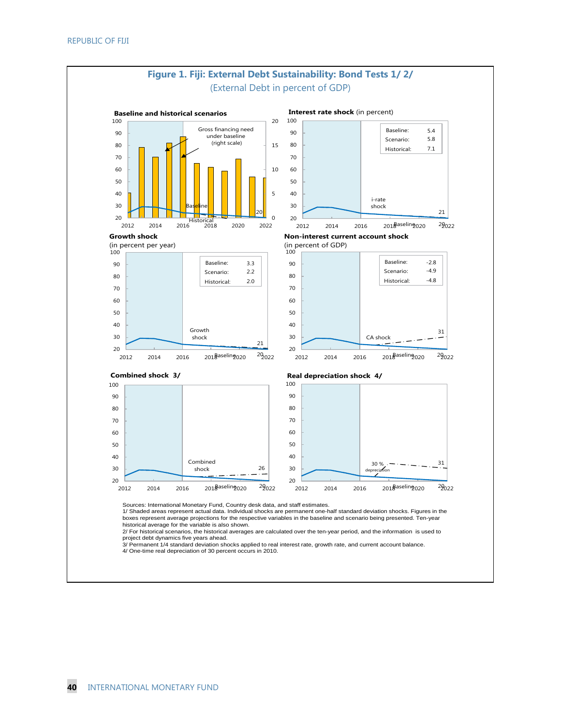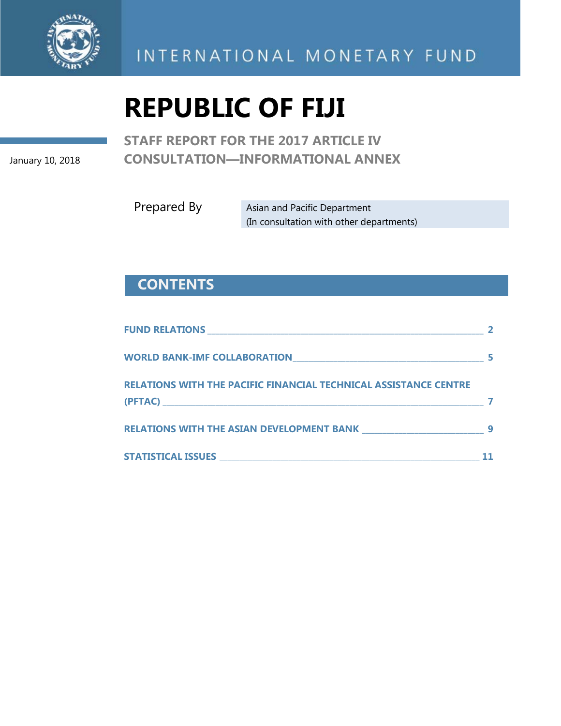

# INTERNATIONAL MONETARY FUND

# **REPUBLIC OF FIJI**

January 10, 2018

**STAFF REPORT FOR THE 2017 ARTICLE IV CONSULTATION—INFORMATIONAL ANNEX**

Prepared By Asian and Pacific Department (In consultation with other departments)

# **CONTENTS**

| RELATIONS WITH THE PACIFIC FINANCIAL TECHNICAL ASSISTANCE CENTRE                           |   |
|--------------------------------------------------------------------------------------------|---|
| <b>RELATIONS WITH THE ASIAN DEVELOPMENT BANK MELATIONS WITH THE ASIAN DEVELOPMENT BANK</b> | q |
|                                                                                            |   |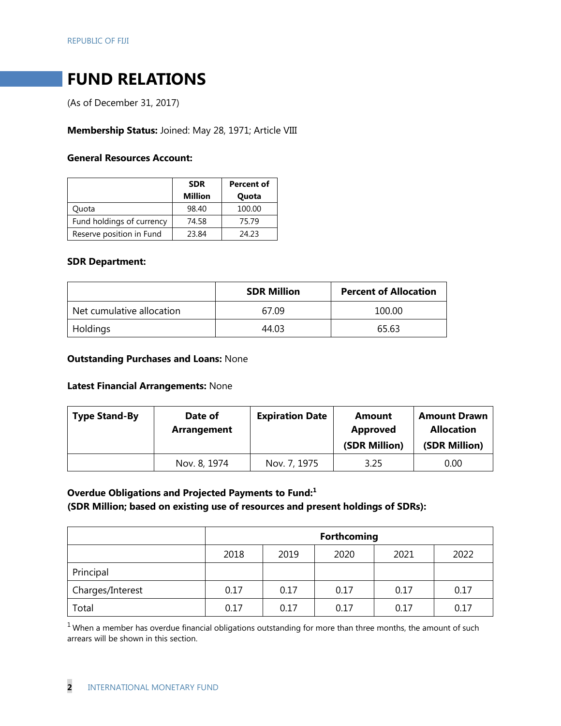# **FUND RELATIONS**

(As of December 31, 2017)

**Membership Status:** Joined: May 28, 1971; Article VIII

# **General Resources Account:**

|                           | <b>SDR</b>     | Percent of |
|---------------------------|----------------|------------|
|                           | <b>Million</b> | Quota      |
| Ouota                     | 98.40          | 100.00     |
| Fund holdings of currency | 74.58          | 75.79      |
| Reserve position in Fund  | 23.84          | 24.23      |

#### **SDR Department:**

|                           | <b>SDR Million</b> | <b>Percent of Allocation</b> |
|---------------------------|--------------------|------------------------------|
| Net cumulative allocation | 67.09              | 100.00                       |
| Holdings                  | 44.03              | 65.63                        |

## **Outstanding Purchases and Loans:** None

#### **Latest Financial Arrangements:** None

| <b>Type Stand-By</b> | Date of<br>Arrangement | <b>Expiration Date</b> | Amount<br>Approved<br>(SDR Million) | <b>Amount Drawn</b><br><b>Allocation</b><br>(SDR Million) |
|----------------------|------------------------|------------------------|-------------------------------------|-----------------------------------------------------------|
|                      | Nov. 8, 1974           | Nov. 7, 1975           | 3.25                                | 0.00                                                      |

# **Overdue Obligations and Projected Payments to Fund:1**

# **(SDR Million; based on existing use of resources and present holdings of SDRs):**

|                  | <b>Forthcoming</b> |      |      |      |      |
|------------------|--------------------|------|------|------|------|
|                  | 2018               | 2019 | 2020 | 2021 | 2022 |
| Principal        |                    |      |      |      |      |
| Charges/Interest | 0.17               | 0.17 | 0.17 | 0.17 | 0.17 |
| Total            | 0.17               | 0.17 | 0.17 | 0.17 | 0.17 |

 $1$  When a member has overdue financial obligations outstanding for more than three months, the amount of such arrears will be shown in this section.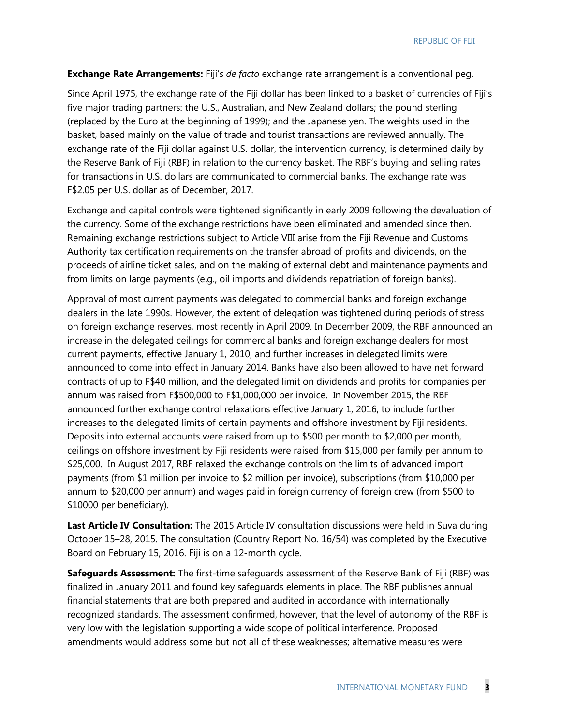REPUBLIC OF FIJI

#### **Exchange Rate Arrangements:** Fiji's *de facto* exchange rate arrangement is a conventional peg.

Since April 1975, the exchange rate of the Fiji dollar has been linked to a basket of currencies of Fiji's five major trading partners: the U.S., Australian, and New Zealand dollars; the pound sterling (replaced by the Euro at the beginning of 1999); and the Japanese yen. The weights used in the basket, based mainly on the value of trade and tourist transactions are reviewed annually. The exchange rate of the Fiji dollar against U.S. dollar, the intervention currency, is determined daily by the Reserve Bank of Fiji (RBF) in relation to the currency basket. The RBF's buying and selling rates for transactions in U.S. dollars are communicated to commercial banks. The exchange rate was F\$2.05 per U.S. dollar as of December, 2017.

Exchange and capital controls were tightened significantly in early 2009 following the devaluation of the currency. Some of the exchange restrictions have been eliminated and amended since then. Remaining exchange restrictions subject to Article VIII arise from the Fiji Revenue and Customs Authority tax certification requirements on the transfer abroad of profits and dividends, on the proceeds of airline ticket sales, and on the making of external debt and maintenance payments and from limits on large payments (e.g., oil imports and dividends repatriation of foreign banks).

Approval of most current payments was delegated to commercial banks and foreign exchange dealers in the late 1990s. However, the extent of delegation was tightened during periods of stress on foreign exchange reserves, most recently in April 2009. In December 2009, the RBF announced an increase in the delegated ceilings for commercial banks and foreign exchange dealers for most current payments, effective January 1, 2010, and further increases in delegated limits were announced to come into effect in January 2014. Banks have also been allowed to have net forward contracts of up to F\$40 million, and the delegated limit on dividends and profits for companies per annum was raised from F\$500,000 to F\$1,000,000 per invoice. In November 2015, the RBF announced further exchange control relaxations effective January 1, 2016, to include further increases to the delegated limits of certain payments and offshore investment by Fiji residents. Deposits into external accounts were raised from up to \$500 per month to \$2,000 per month, ceilings on offshore investment by Fiji residents were raised from \$15,000 per family per annum to \$25,000. In August 2017, RBF relaxed the exchange controls on the limits of advanced import payments (from \$1 million per invoice to \$2 million per invoice), subscriptions (from \$10,000 per annum to \$20,000 per annum) and wages paid in foreign currency of foreign crew (from \$500 to \$10000 per beneficiary).

**Last Article IV Consultation:** The 2015 Article IV consultation discussions were held in Suva during October 15–28, 2015. The consultation (Country Report No. 16/54) was completed by the Executive Board on February 15, 2016. Fiji is on a 12-month cycle.

**Safeguards Assessment:** The first-time safeguards assessment of the Reserve Bank of Fiji (RBF) was finalized in January 2011 and found key safeguards elements in place. The RBF publishes annual financial statements that are both prepared and audited in accordance with internationally recognized standards. The assessment confirmed, however, that the level of autonomy of the RBF is very low with the legislation supporting a wide scope of political interference. Proposed amendments would address some but not all of these weaknesses; alternative measures were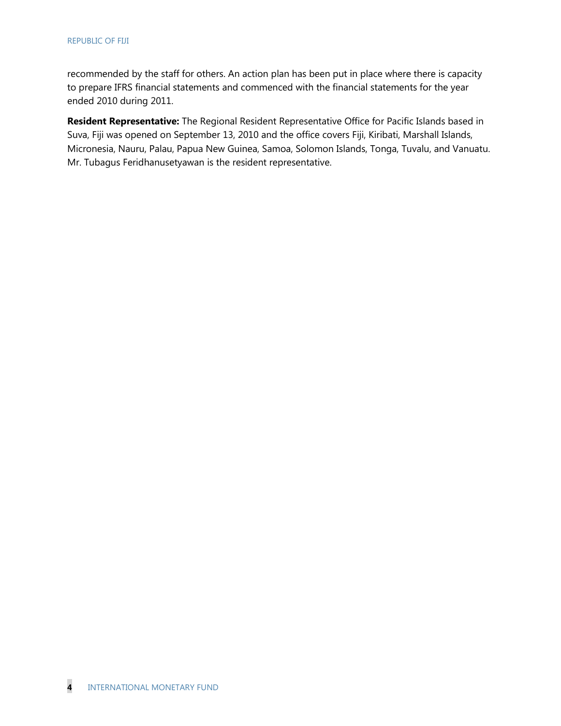recommended by the staff for others. An action plan has been put in place where there is capacity to prepare IFRS financial statements and commenced with the financial statements for the year ended 2010 during 2011.

**Resident Representative:** The Regional Resident Representative Office for Pacific Islands based in Suva, Fiji was opened on September 13, 2010 and the office covers Fiji, [Kiribati,](http://www.imf.org/external/country/KIR/index.htm) [Marshall Islands,](http://www.imf.org/external/country/MHL/index.htm) [Micronesia,](http://www.imf.org/external/country/FSM/index.htm) Nauru, [Palau,](http://www.imf.org/external/country/PLW/index.htm) [Papua New Guinea,](http://www.imf.org/external/country/PNG/index.htm) [Samoa,](http://www.imf.org/external/country/WSM/index.htm) [Solomon Islands,](http://www.imf.org/external/country/SLB/index.htm) [Tonga,](http://www.imf.org/external/country/TON/index.htm) [Tuvalu,](http://www.imf.org/external/country/TUV/index.htm) and [Vanuatu.](http://www.imf.org/external/country/VUT/index.htm) Mr. Tubagus Feridhanusetyawan is the resident representative.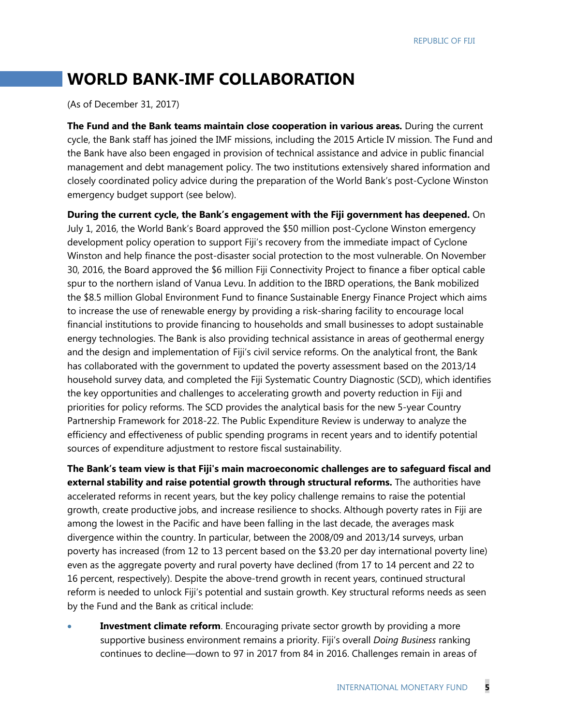# **WORLD BANK-IMF COLLABORATION**

(As of December 31, 2017)

**The Fund and the Bank teams maintain close cooperation in various areas.** During the current cycle, the Bank staff has joined the IMF missions, including the 2015 Article IV mission. The Fund and the Bank have also been engaged in provision of technical assistance and advice in public financial management and debt management policy. The two institutions extensively shared information and closely coordinated policy advice during the preparation of the World Bank's post-Cyclone Winston emergency budget support (see below).

**During the current cycle, the Bank's engagement with the Fiji government has deepened.** On July 1, 2016, the World Bank's Board approved the \$50 million post-Cyclone Winston emergency development policy operation to support Fiji's recovery from the immediate impact of Cyclone Winston and help finance the post-disaster social protection to the most vulnerable. On November 30, 2016, the Board approved the \$6 million Fiji Connectivity Project to finance a fiber optical cable spur to the northern island of Vanua Levu. In addition to the IBRD operations, the Bank mobilized the \$8.5 million Global Environment Fund to finance Sustainable Energy Finance Project which aims to increase the use of renewable energy by providing a risk-sharing facility to encourage local financial institutions to provide financing to households and small businesses to adopt sustainable energy technologies. The Bank is also providing technical assistance in areas of geothermal energy and the design and implementation of Fiji's civil service reforms. On the analytical front, the Bank has collaborated with the government to updated the poverty assessment based on the 2013/14 household survey data, and completed the Fiji Systematic Country Diagnostic (SCD), which identifies the key opportunities and challenges to accelerating growth and poverty reduction in Fiji and priorities for policy reforms. The SCD provides the analytical basis for the new 5-year Country Partnership Framework for 2018-22. The Public Expenditure Review is underway to analyze the efficiency and effectiveness of public spending programs in recent years and to identify potential sources of expenditure adjustment to restore fiscal sustainability.

**The Bank's team view is that Fiji's main macroeconomic challenges are to safeguard fiscal and external stability and raise potential growth through structural reforms.** The authorities have accelerated reforms in recent years, but the key policy challenge remains to raise the potential growth, create productive jobs, and increase resilience to shocks. Although poverty rates in Fiji are among the lowest in the Pacific and have been falling in the last decade, the averages mask divergence within the country. In particular, between the 2008/09 and 2013/14 surveys, urban poverty has increased (from 12 to 13 percent based on the \$3.20 per day international poverty line) even as the aggregate poverty and rural poverty have declined (from 17 to 14 percent and 22 to 16 percent, respectively). Despite the above-trend growth in recent years, continued structural reform is needed to unlock Fiji's potential and sustain growth. Key structural reforms needs as seen by the Fund and the Bank as critical include:

**Investment climate reform**. Encouraging private sector growth by providing a more supportive business environment remains a priority. Fiji's overall *Doing Business* ranking continues to decline—down to 97 in 2017 from 84 in 2016. Challenges remain in areas of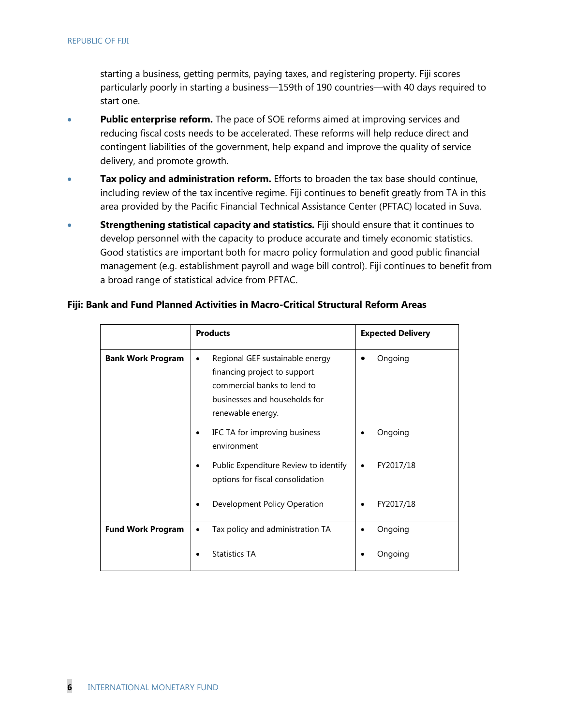starting a business, getting permits, paying taxes, and registering property. Fiji scores particularly poorly in starting a business—159th of 190 countries—with 40 days required to start one.

- **Public enterprise reform.** The pace of SOE reforms aimed at improving services and reducing fiscal costs needs to be accelerated. These reforms will help reduce direct and contingent liabilities of the government, help expand and improve the quality of service delivery, and promote growth.
- **Tax policy and administration reform.** Efforts to broaden the tax base should continue, including review of the tax incentive regime. Fiji continues to benefit greatly from TA in this area provided by the Pacific Financial Technical Assistance Center (PFTAC) located in Suva.
- **Strengthening statistical capacity and statistics.** Fiji should ensure that it continues to develop personnel with the capacity to produce accurate and timely economic statistics. Good statistics are important both for macro policy formulation and good public financial management (e.g. establishment payroll and wage bill control). Fiji continues to benefit from a broad range of statistical advice from PFTAC.

|                          | <b>Products</b>                                                                                                                                                   | <b>Expected Delivery</b> |
|--------------------------|-------------------------------------------------------------------------------------------------------------------------------------------------------------------|--------------------------|
| <b>Bank Work Program</b> | Regional GEF sustainable energy<br>$\bullet$<br>financing project to support<br>commercial banks to lend to<br>businesses and households for<br>renewable energy. | Ongoing                  |
|                          | IFC TA for improving business<br>٠<br>environment                                                                                                                 | Ongoing                  |
|                          | Public Expenditure Review to identify<br>٠<br>options for fiscal consolidation                                                                                    | FY2017/18                |
|                          | Development Policy Operation<br>$\bullet$                                                                                                                         | FY2017/18                |
| <b>Fund Work Program</b> | Tax policy and administration TA<br>٠                                                                                                                             | Ongoing                  |
|                          | <b>Statistics TA</b>                                                                                                                                              | Ongoing                  |

#### **Fiji: Bank and Fund Planned Activities in Macro-Critical Structural Reform Areas**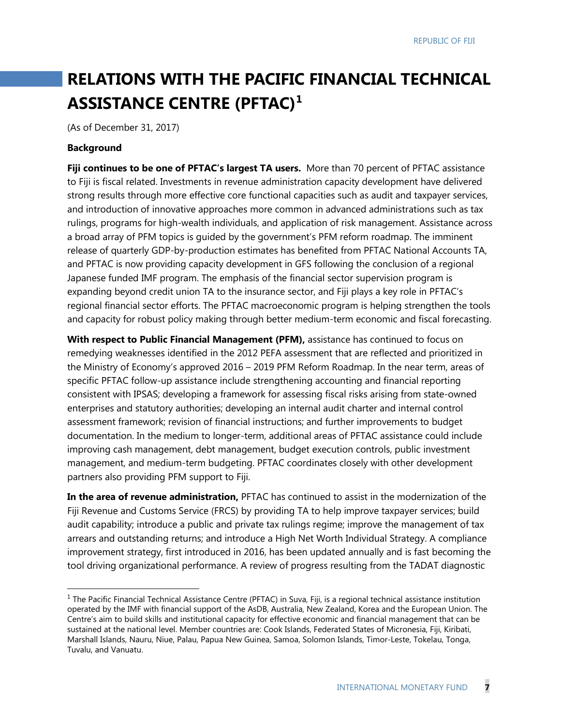# **RELATIONS WITH THE PACIFIC FINANCIAL TECHNICAL ASSISTANCE CENTRE (PFTAC)[1](#page-50-0)**

(As of December 31, 2017)

#### **Background**

**Fiji continues to be one of PFTAC's largest TA users.** More than 70 percent of PFTAC assistance to Fiji is fiscal related. Investments in revenue administration capacity development have delivered strong results through more effective core functional capacities such as audit and taxpayer services, and introduction of innovative approaches more common in advanced administrations such as tax rulings, programs for high-wealth individuals, and application of risk management. Assistance across a broad array of PFM topics is guided by the government's PFM reform roadmap. The imminent release of quarterly GDP-by-production estimates has benefited from PFTAC National Accounts TA, and PFTAC is now providing capacity development in GFS following the conclusion of a regional Japanese funded IMF program. The emphasis of the financial sector supervision program is expanding beyond credit union TA to the insurance sector, and Fiji plays a key role in PFTAC's regional financial sector efforts. The PFTAC macroeconomic program is helping strengthen the tools and capacity for robust policy making through better medium-term economic and fiscal forecasting.

**With respect to Public Financial Management (PFM),** assistance has continued to focus on remedying weaknesses identified in the 2012 PEFA assessment that are reflected and prioritized in the Ministry of Economy's approved 2016 – 2019 PFM Reform Roadmap. In the near term, areas of specific PFTAC follow-up assistance include strengthening accounting and financial reporting consistent with IPSAS; developing a framework for assessing fiscal risks arising from state-owned enterprises and statutory authorities; developing an internal audit charter and internal control assessment framework; revision of financial instructions; and further improvements to budget documentation. In the medium to longer-term, additional areas of PFTAC assistance could include improving cash management, debt management, budget execution controls, public investment management, and medium-term budgeting. PFTAC coordinates closely with other development partners also providing PFM support to Fiji.

**In the area of revenue administration,** PFTAC has continued to assist in the modernization of the Fiji Revenue and Customs Service (FRCS) by providing TA to help improve taxpayer services; build audit capability; introduce a public and private tax rulings regime; improve the management of tax arrears and outstanding returns; and introduce a High Net Worth Individual Strategy. A compliance improvement strategy, first introduced in 2016, has been updated annually and is fast becoming the tool driving organizational performance. A review of progress resulting from the TADAT diagnostic

<span id="page-50-0"></span> $<sup>1</sup>$  The Pacific Financial Technical Assistance Centre (PFTAC) in Suva, Fiji, is a regional technical assistance institution</sup> operated by the IMF with financial support of the AsDB, Australia, New Zealand, Korea and the European Union. The Centre's aim to build skills and institutional capacity for effective economic and financial management that can be sustained at the national level. Member countries are: Cook Islands, Federated States of Micronesia, Fiji, Kiribati, Marshall Islands, Nauru, Niue, Palau, Papua New Guinea, Samoa, Solomon Islands, Timor-Leste, Tokelau, Tonga, Tuvalu, and Vanuatu.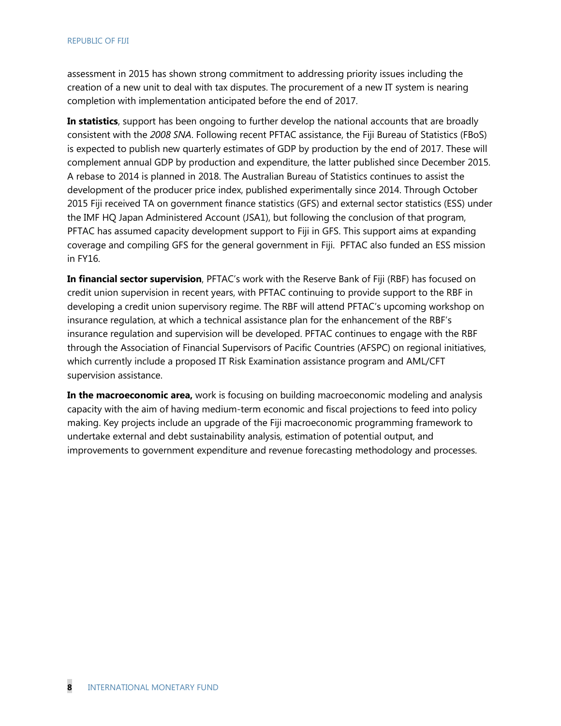assessment in 2015 has shown strong commitment to addressing priority issues including the creation of a new unit to deal with tax disputes. The procurement of a new IT system is nearing completion with implementation anticipated before the end of 2017.

**In statistics**, support has been ongoing to further develop the national accounts that are broadly consistent with the *2008 SNA*. Following recent PFTAC assistance, the Fiji Bureau of Statistics (FBoS) is expected to publish new quarterly estimates of GDP by production by the end of 2017. These will complement annual GDP by production and expenditure, the latter published since December 2015. A rebase to 2014 is planned in 2018. The Australian Bureau of Statistics continues to assist the development of the producer price index, published experimentally since 2014. Through October 2015 Fiji received TA on government finance statistics (GFS) and external sector statistics (ESS) under the IMF HQ Japan Administered Account (JSA1), but following the conclusion of that program, PFTAC has assumed capacity development support to Fiji in GFS. This support aims at expanding coverage and compiling GFS for the general government in Fiji. PFTAC also funded an ESS mission in FY16.

**In financial sector supervision**, PFTAC's work with the Reserve Bank of Fiji (RBF) has focused on credit union supervision in recent years, with PFTAC continuing to provide support to the RBF in developing a credit union supervisory regime. The RBF will attend PFTAC's upcoming workshop on insurance regulation, at which a technical assistance plan for the enhancement of the RBF's insurance regulation and supervision will be developed. PFTAC continues to engage with the RBF through the Association of Financial Supervisors of Pacific Countries (AFSPC) on regional initiatives, which currently include a proposed IT Risk Examination assistance program and AML/CFT supervision assistance.

**In the macroeconomic area,** work is focusing on building macroeconomic modeling and analysis capacity with the aim of having medium-term economic and fiscal projections to feed into policy making. Key projects include an upgrade of the Fiji macroeconomic programming framework to undertake external and debt sustainability analysis, estimation of potential output, and improvements to government expenditure and revenue forecasting methodology and processes.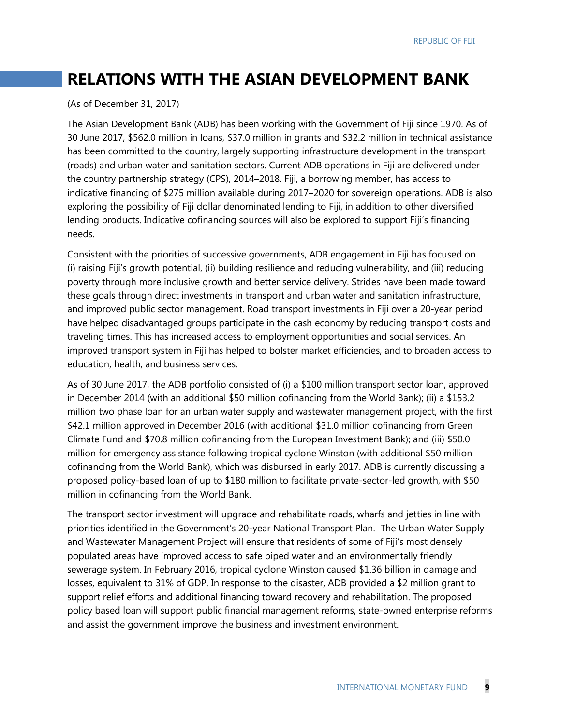# **RELATIONS WITH THE ASIAN DEVELOPMENT BANK**

#### (As of December 31, 2017)

The Asian Development Bank (ADB) has been working with the Government of Fiji since 1970. As of 30 June 2017, \$562.0 million in loans, \$37.0 million in grants and \$32.2 million in technical assistance has been committed to the country, largely supporting infrastructure development in the transport (roads) and urban water and sanitation sectors. Current ADB operations in Fiji are delivered under the country partnership strategy (CPS), 2014–2018. Fiji, a borrowing member, has access to indicative financing of \$275 million available during 2017–2020 for sovereign operations. ADB is also exploring the possibility of Fiji dollar denominated lending to Fiji, in addition to other diversified lending products. Indicative cofinancing sources will also be explored to support Fiji's financing needs.

Consistent with the priorities of successive governments, ADB engagement in Fiji has focused on (i) raising Fiji's growth potential, (ii) building resilience and reducing vulnerability, and (iii) reducing poverty through more inclusive growth and better service delivery. Strides have been made toward these goals through direct investments in transport and urban water and sanitation infrastructure, and improved public sector management. Road transport investments in Fiji over a 20-year period have helped disadvantaged groups participate in the cash economy by reducing transport costs and traveling times. This has increased access to employment opportunities and social services. An improved transport system in Fiji has helped to bolster market efficiencies, and to broaden access to education, health, and business services.

As of 30 June 2017, the ADB portfolio consisted of (i) a \$100 million transport sector loan, approved in December 2014 (with an additional \$50 million cofinancing from the World Bank); (ii) a \$153.2 million two phase loan for an urban water supply and wastewater management project, with the first \$42.1 million approved in December 2016 (with additional \$31.0 million cofinancing from Green Climate Fund and \$70.8 million cofinancing from the European Investment Bank); and (iii) \$50.0 million for emergency assistance following tropical cyclone Winston (with additional \$50 million cofinancing from the World Bank), which was disbursed in early 2017. ADB is currently discussing a proposed policy-based loan of up to \$180 million to facilitate private-sector-led growth, with \$50 million in cofinancing from the World Bank.

The transport sector investment will upgrade and rehabilitate roads, wharfs and jetties in line with priorities identified in the Government's 20-year National Transport Plan. The Urban Water Supply and Wastewater Management Project will ensure that residents of some of Fiji's most densely populated areas have improved access to safe piped water and an environmentally friendly sewerage system. In February 2016, tropical cyclone Winston caused \$1.36 billion in damage and losses, equivalent to 31% of GDP. In response to the disaster, ADB provided a \$2 million grant to support relief efforts and additional financing toward recovery and rehabilitation. The proposed policy based loan will support public financial management reforms, state-owned enterprise reforms and assist the government improve the business and investment environment.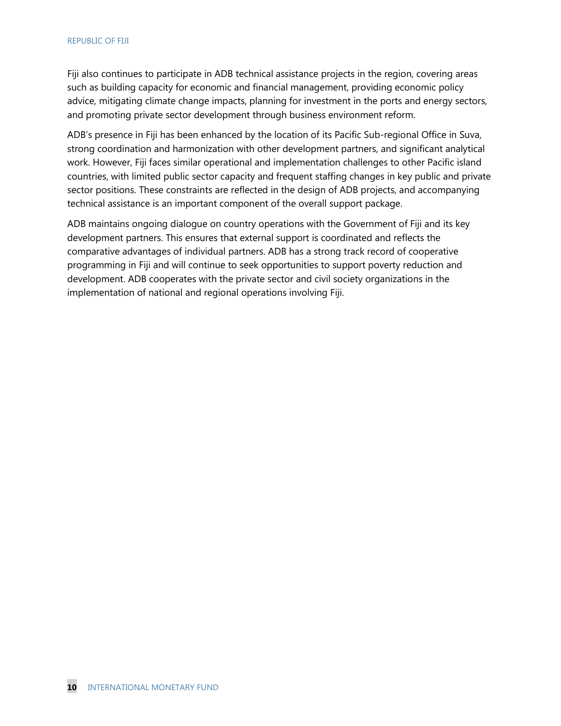Fiji also continues to participate in ADB technical assistance projects in the region, covering areas such as building capacity for economic and financial management, providing economic policy advice, mitigating climate change impacts, planning for investment in the ports and energy sectors, and promoting private sector development through business environment reform.

ADB's presence in Fiji has been enhanced by the location of its Pacific Sub-regional Office in Suva, strong coordination and harmonization with other development partners, and significant analytical work. However, Fiji faces similar operational and implementation challenges to other Pacific island countries, with limited public sector capacity and frequent staffing changes in key public and private sector positions. These constraints are reflected in the design of ADB projects, and accompanying technical assistance is an important component of the overall support package.

ADB maintains ongoing dialogue on country operations with the Government of Fiji and its key development partners. This ensures that external support is coordinated and reflects the comparative advantages of individual partners. ADB has a strong track record of cooperative programming in Fiji and will continue to seek opportunities to support poverty reduction and development. ADB cooperates with the private sector and civil society organizations in the implementation of national and regional operations involving Fiji.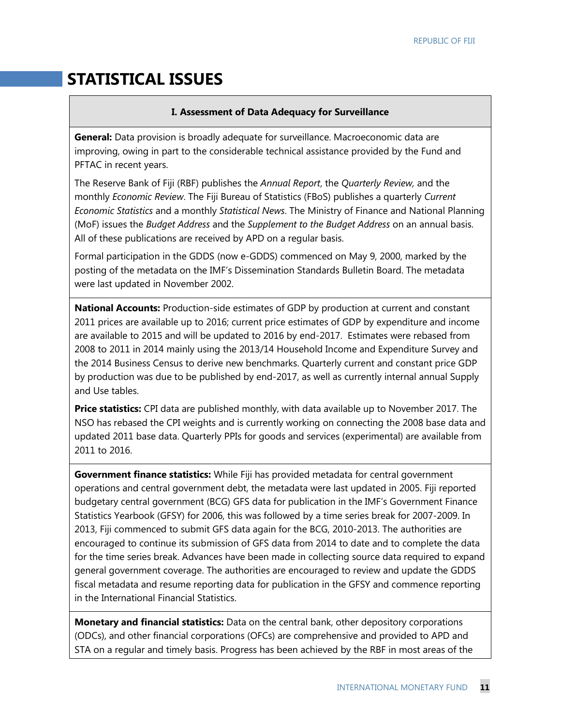# **STATISTICAL ISSUES**

#### **I. Assessment of Data Adequacy for Surveillance**

**General:** Data provision is broadly adequate for surveillance. Macroeconomic data are improving, owing in part to the considerable technical assistance provided by the Fund and PFTAC in recent years.

The Reserve Bank of Fiji (RBF) publishes the *Annual Report*, the *Quarterly Review,* and the monthly *Economic Review*. The Fiji Bureau of Statistics (FBoS) publishes a quarterly *Current Economic Statistics* and a monthly *Statistical News*. The Ministry of Finance and National Planning (MoF) issues the *Budget Address* and the *Supplement to the Budget Address* on an annual basis. All of these publications are received by APD on a regular basis.

Formal participation in the GDDS (now e-GDDS) commenced on May 9, 2000, marked by the posting of the metadata on the IMF's Dissemination Standards Bulletin Board. The metadata were last updated in November 2002.

**National Accounts:** Production-side estimates of GDP by production at current and constant 2011 prices are available up to 2016; current price estimates of GDP by expenditure and income are available to 2015 and will be updated to 2016 by end-2017. Estimates were rebased from 2008 to 2011 in 2014 mainly using the 2013/14 Household Income and Expenditure Survey and the 2014 Business Census to derive new benchmarks. Quarterly current and constant price GDP by production was due to be published by end-2017, as well as currently internal annual Supply and Use tables.

**Price statistics:** CPI data are published monthly, with data available up to November 2017. The NSO has rebased the CPI weights and is currently working on connecting the 2008 base data and updated 2011 base data. Quarterly PPIs for goods and services (experimental) are available from 2011 to 2016.

**Government finance statistics:** While Fiji has provided metadata for central government operations and central government debt, the metadata were last updated in 2005. Fiji reported budgetary central government (BCG) GFS data for publication in the IMF's Government Finance Statistics Yearbook (GFSY) for 2006, this was followed by a time series break for 2007-2009. In 2013, Fiji commenced to submit GFS data again for the BCG, 2010-2013. The authorities are encouraged to continue its submission of GFS data from 2014 to date and to complete the data for the time series break. Advances have been made in collecting source data required to expand general government coverage. The authorities are encouraged to review and update the GDDS fiscal metadata and resume reporting data for publication in the GFSY and commence reporting in the International Financial Statistics.

**Monetary and financial statistics:** Data on the central bank, other depository corporations (ODCs), and other financial corporations (OFCs) are comprehensive and provided to APD and STA on a regular and timely basis. Progress has been achieved by the RBF in most areas of the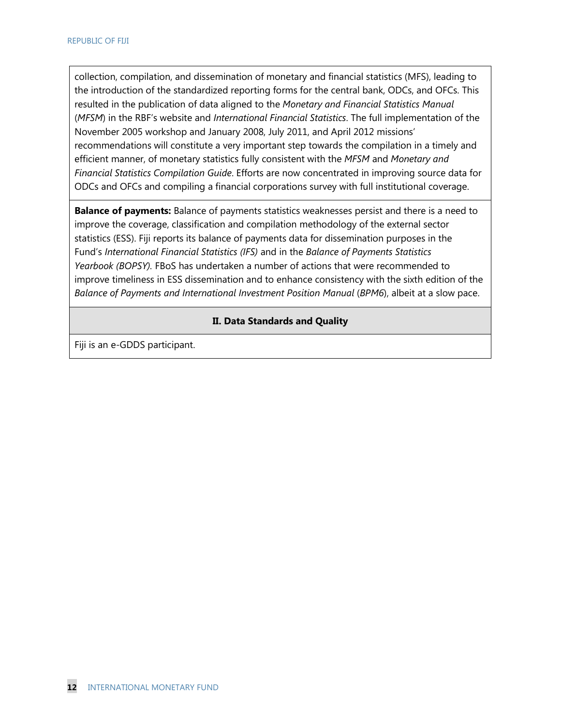collection, compilation, and dissemination of monetary and financial statistics (MFS), leading to the introduction of the standardized reporting forms for the central bank, ODCs, and OFCs. This resulted in the publication of data aligned to the *Monetary and Financial Statistics Manual* (*MFSM*) in the RBF's website and *International Financial Statistics*. The full implementation of the November 2005 workshop and January 2008, July 2011, and April 2012 missions' recommendations will constitute a very important step towards the compilation in a timely and efficient manner, of monetary statistics fully consistent with the *MFSM* and *Monetary and Financial Statistics Compilation Guide*. Efforts are now concentrated in improving source data for ODCs and OFCs and compiling a financial corporations survey with full institutional coverage.

**Balance of payments:** Balance of payments statistics weaknesses persist and there is a need to improve the coverage, classification and compilation methodology of the external sector statistics (ESS). Fiji reports its balance of payments data for dissemination purposes in the Fund's *International Financial Statistics (IFS)* and in the *Balance of Payments Statistics Yearbook (BOPSY).* FBoS has undertaken a number of actions that were recommended to improve timeliness in ESS dissemination and to enhance consistency with the sixth edition of the *Balance of Payments and International Investment Position Manual* (*BPM6*), albeit at a slow pace.

#### **II. Data Standards and Quality**

Fiji is an e-GDDS participant.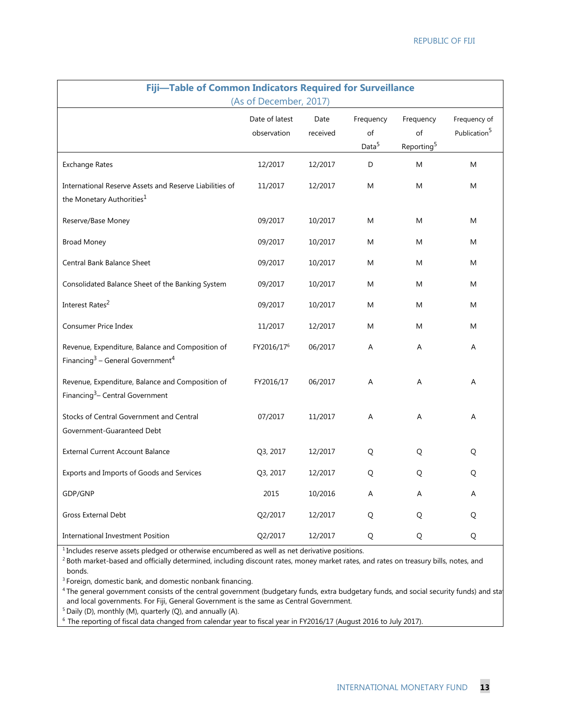| Fiji-Table of Common Indicators Required for Surveillance<br>(As of December, 2017)                          |                               |                  |                                      |                                           |                                          |
|--------------------------------------------------------------------------------------------------------------|-------------------------------|------------------|--------------------------------------|-------------------------------------------|------------------------------------------|
|                                                                                                              | Date of latest<br>observation | Date<br>received | Frequency<br>of<br>Data <sup>5</sup> | Frequency<br>of<br>Reporting <sup>5</sup> | Frequency of<br>Publication <sup>5</sup> |
| <b>Exchange Rates</b>                                                                                        | 12/2017                       | 12/2017          | D                                    | M                                         | M                                        |
| International Reserve Assets and Reserve Liabilities of<br>the Monetary Authorities <sup>1</sup>             | 11/2017                       | 12/2017          | M                                    | M                                         | M                                        |
| Reserve/Base Money                                                                                           | 09/2017                       | 10/2017          | M                                    | M                                         | M                                        |
| <b>Broad Money</b>                                                                                           | 09/2017                       | 10/2017          | M                                    | M                                         | M                                        |
| Central Bank Balance Sheet                                                                                   | 09/2017                       | 10/2017          | M                                    | Μ                                         | M                                        |
| Consolidated Balance Sheet of the Banking System                                                             | 09/2017                       | 10/2017          | M                                    | M                                         | M                                        |
| Interest Rates <sup>2</sup>                                                                                  | 09/2017                       | 10/2017          | M                                    | M                                         | M                                        |
| Consumer Price Index                                                                                         | 11/2017                       | 12/2017          | M                                    | M                                         | M                                        |
| Revenue, Expenditure, Balance and Composition of<br>Financing <sup>3</sup> – General Government <sup>4</sup> | FY2016/17 <sup>6</sup>        | 06/2017          | Α                                    | Α                                         | Α                                        |
| Revenue, Expenditure, Balance and Composition of<br>Financing <sup>3</sup> – Central Government              | FY2016/17                     | 06/2017          | A                                    | A                                         | A                                        |
| Stocks of Central Government and Central<br>Government-Guaranteed Debt                                       | 07/2017                       | 11/2017          | A                                    | A                                         | A                                        |
| <b>External Current Account Balance</b>                                                                      | Q3, 2017                      | 12/2017          | Q                                    | Q                                         | Q                                        |
| Exports and Imports of Goods and Services                                                                    | Q3, 2017                      | 12/2017          | Q                                    | Q                                         | Q                                        |
| GDP/GNP                                                                                                      | 2015                          | 10/2016          | A                                    | A                                         | A                                        |
| <b>Gross External Debt</b>                                                                                   | Q2/2017                       | 12/2017          | Q                                    | Q                                         | Q                                        |
| <b>International Investment Position</b>                                                                     | Q2/2017                       | 12/2017          | Q                                    | Q                                         | Q                                        |

<sup>1</sup> Includes reserve assets pledged or otherwise encumbered as well as net derivative positions.

<sup>2</sup> Both market-based and officially determined, including discount rates, money market rates, and rates on treasury bills, notes, and bonds.

<sup>3</sup> Foreign, domestic bank, and domestic nonbank financing.

<sup>4</sup> The general government consists of the central government (budgetary funds, extra budgetary funds, and social security funds) and sta and local governments. For Fiji, General Government is the same as Central Government.

 $5$  Daily (D), monthly (M), quarterly (Q), and annually (A).

6 The reporting of fiscal data changed from calendar year to fiscal year in FY2016/17 (August 2016 to July 2017).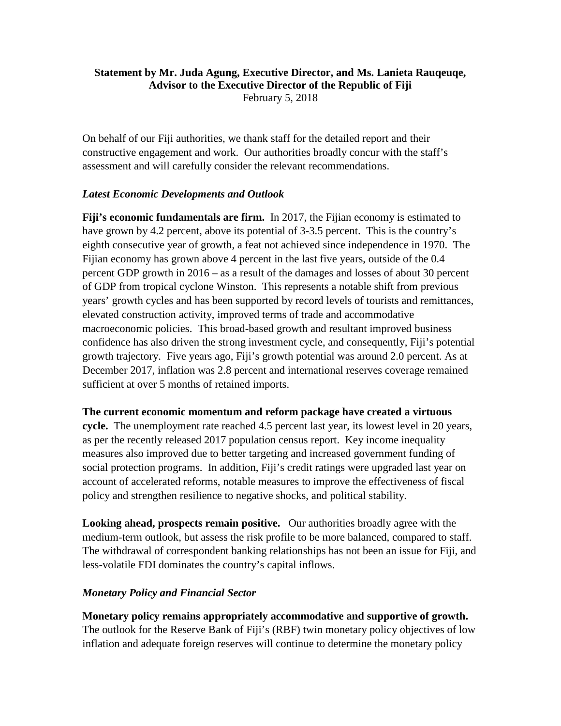# **Statement by Mr. Juda Agung, Executive Director, and Ms. Lanieta Rauqeuqe, Advisor to the Executive Director of the Republic of Fiji**

February 5, 2018

On behalf of our Fiji authorities, we thank staff for the detailed report and their constructive engagement and work. Our authorities broadly concur with the staff's assessment and will carefully consider the relevant recommendations.

# *Latest Economic Developments and Outlook*

**Fiji's economic fundamentals are firm.** In 2017, the Fijian economy is estimated to have grown by 4.2 percent, above its potential of 3-3.5 percent. This is the country's eighth consecutive year of growth, a feat not achieved since independence in 1970. The Fijian economy has grown above 4 percent in the last five years, outside of the 0.4 percent GDP growth in 2016 – as a result of the damages and losses of about 30 percent of GDP from tropical cyclone Winston. This represents a notable shift from previous years' growth cycles and has been supported by record levels of tourists and remittances, elevated construction activity, improved terms of trade and accommodative macroeconomic policies. This broad-based growth and resultant improved business confidence has also driven the strong investment cycle, and consequently, Fiji's potential growth trajectory. Five years ago, Fiji's growth potential was around 2.0 percent. As at December 2017, inflation was 2.8 percent and international reserves coverage remained sufficient at over 5 months of retained imports.

# **The current economic momentum and reform package have created a virtuous**

**cycle.** The unemployment rate reached 4.5 percent last year, its lowest level in 20 years, as per the recently released 2017 population census report. Key income inequality measures also improved due to better targeting and increased government funding of social protection programs. In addition, Fiji's credit ratings were upgraded last year on account of accelerated reforms, notable measures to improve the effectiveness of fiscal policy and strengthen resilience to negative shocks, and political stability.

**Looking ahead, prospects remain positive.** Our authorities broadly agree with the medium-term outlook, but assess the risk profile to be more balanced, compared to staff. The withdrawal of correspondent banking relationships has not been an issue for Fiji, and less-volatile FDI dominates the country's capital inflows.

# *Monetary Policy and Financial Sector*

**Monetary policy remains appropriately accommodative and supportive of growth.**  The outlook for the Reserve Bank of Fiji's (RBF) twin monetary policy objectives of low inflation and adequate foreign reserves will continue to determine the monetary policy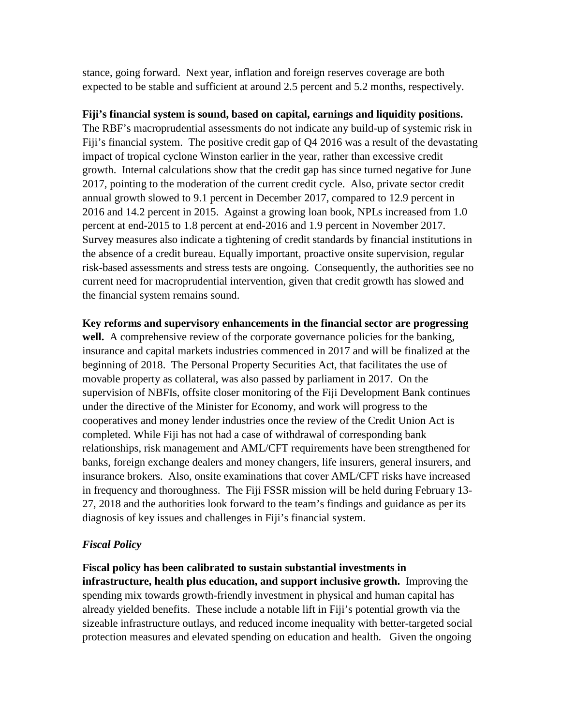stance, going forward. Next year, inflation and foreign reserves coverage are both expected to be stable and sufficient at around 2.5 percent and 5.2 months, respectively.

# **Fiji's financial system is sound, based on capital, earnings and liquidity positions.**

The RBF's macroprudential assessments do not indicate any build-up of systemic risk in Fiji's financial system. The positive credit gap of Q4 2016 was a result of the devastating impact of tropical cyclone Winston earlier in the year, rather than excessive credit growth. Internal calculations show that the credit gap has since turned negative for June 2017, pointing to the moderation of the current credit cycle. Also, private sector credit annual growth slowed to 9.1 percent in December 2017, compared to 12.9 percent in 2016 and 14.2 percent in 2015. Against a growing loan book, NPLs increased from 1.0 percent at end-2015 to 1.8 percent at end-2016 and 1.9 percent in November 2017. Survey measures also indicate a tightening of credit standards by financial institutions in the absence of a credit bureau. Equally important, proactive onsite supervision, regular risk-based assessments and stress tests are ongoing. Consequently, the authorities see no current need for macroprudential intervention, given that credit growth has slowed and the financial system remains sound.

**Key reforms and supervisory enhancements in the financial sector are progressing**  well. A comprehensive review of the corporate governance policies for the banking, insurance and capital markets industries commenced in 2017 and will be finalized at the beginning of 2018. The Personal Property Securities Act, that facilitates the use of movable property as collateral, was also passed by parliament in 2017. On the supervision of NBFIs, offsite closer monitoring of the Fiji Development Bank continues under the directive of the Minister for Economy, and work will progress to the cooperatives and money lender industries once the review of the Credit Union Act is completed. While Fiji has not had a case of withdrawal of corresponding bank relationships, risk management and AML/CFT requirements have been strengthened for banks, foreign exchange dealers and money changers, life insurers, general insurers, and insurance brokers. Also, onsite examinations that cover AML/CFT risks have increased in frequency and thoroughness. The Fiji FSSR mission will be held during February 13- 27, 2018 and the authorities look forward to the team's findings and guidance as per its diagnosis of key issues and challenges in Fiji's financial system.

# *Fiscal Policy*

**Fiscal policy has been calibrated to sustain substantial investments in infrastructure, health plus education, and support inclusive growth.** Improving the spending mix towards growth-friendly investment in physical and human capital has already yielded benefits. These include a notable lift in Fiji's potential growth via the sizeable infrastructure outlays, and reduced income inequality with better-targeted social protection measures and elevated spending on education and health. Given the ongoing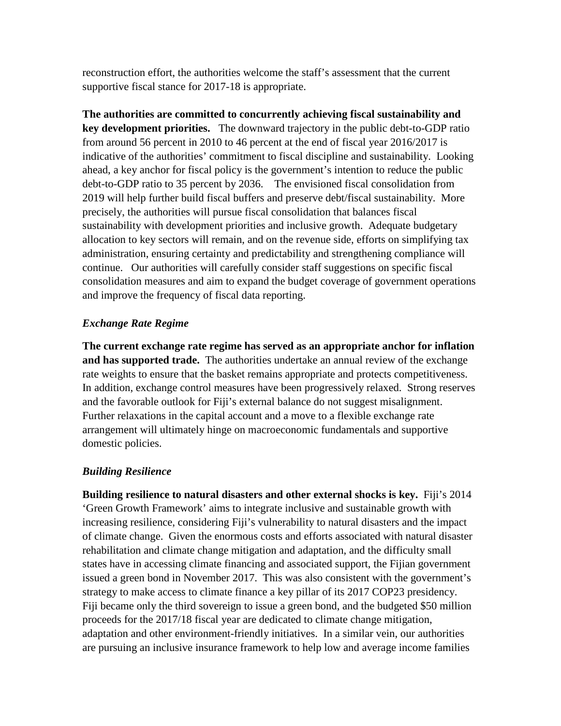reconstruction effort, the authorities welcome the staff's assessment that the current supportive fiscal stance for 2017-18 is appropriate.

**The authorities are committed to concurrently achieving fiscal sustainability and key development priorities.** The downward trajectory in the public debt-to-GDP ratio from around 56 percent in 2010 to 46 percent at the end of fiscal year 2016/2017 is indicative of the authorities' commitment to fiscal discipline and sustainability. Looking ahead, a key anchor for fiscal policy is the government's intention to reduce the public debt-to-GDP ratio to 35 percent by 2036. The envisioned fiscal consolidation from 2019 will help further build fiscal buffers and preserve debt/fiscal sustainability. More precisely, the authorities will pursue fiscal consolidation that balances fiscal sustainability with development priorities and inclusive growth. Adequate budgetary allocation to key sectors will remain, and on the revenue side, efforts on simplifying tax administration, ensuring certainty and predictability and strengthening compliance will continue. Our authorities will carefully consider staff suggestions on specific fiscal consolidation measures and aim to expand the budget coverage of government operations and improve the frequency of fiscal data reporting.

# *Exchange Rate Regime*

**The current exchange rate regime has served as an appropriate anchor for inflation and has supported trade.** The authorities undertake an annual review of the exchange rate weights to ensure that the basket remains appropriate and protects competitiveness. In addition, exchange control measures have been progressively relaxed. Strong reserves and the favorable outlook for Fiji's external balance do not suggest misalignment. Further relaxations in the capital account and a move to a flexible exchange rate arrangement will ultimately hinge on macroeconomic fundamentals and supportive domestic policies.

# *Building Resilience*

**Building resilience to natural disasters and other external shocks is key.** Fiji's 2014 'Green Growth Framework' aims to integrate inclusive and sustainable growth with increasing resilience, considering Fiji's vulnerability to natural disasters and the impact of climate change. Given the enormous costs and efforts associated with natural disaster rehabilitation and climate change mitigation and adaptation, and the difficulty small states have in accessing climate financing and associated support, the Fijian government issued a green bond in November 2017. This was also consistent with the government's strategy to make access to climate finance a key pillar of its 2017 COP23 presidency. Fiji became only the third sovereign to issue a green bond, and the budgeted \$50 million proceeds for the 2017/18 fiscal year are dedicated to climate change mitigation, adaptation and other environment-friendly initiatives. In a similar vein, our authorities are pursuing an inclusive insurance framework to help low and average income families